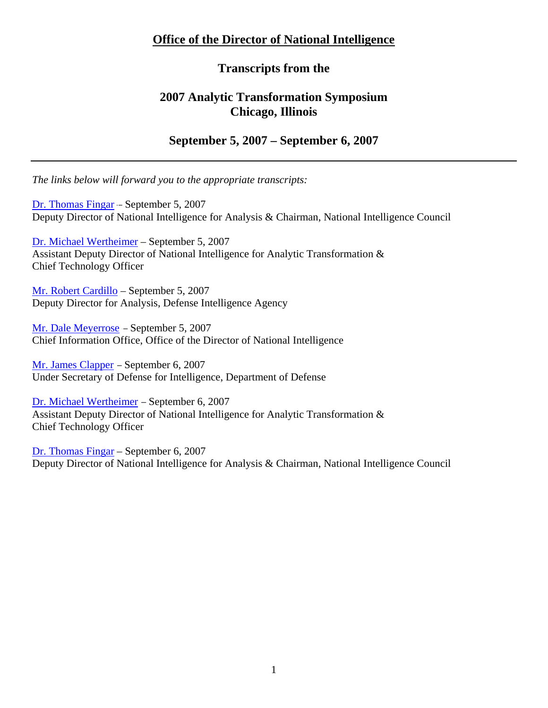# **Office of the Director of National Intelligence**

# **Transcripts from the**

# **2007 Analytic Transformation Symposium Chicago, Illinois**

## **September 5, 2007 – September 6, 2007**

*The links below will forward you to the appropriate transcripts:* 

[Dr. Thomas Fingar –](#page-1-0) September 5, 2007 Deputy Director of National Intelligence for Analysis & Chairman, National Intelligence Council

[Dr. Michael Wertheimer](#page-17-0) – September 5, 2007 Assistant Deputy Director of National Intelligence for Analytic Transformation & Chief Technology Officer

[Mr. Robert Cardillo](#page-27-0) – September 5, 2007 Deputy Director for Analysis, Defense Intelligence Agency

[Mr. Dale Meyerrose –](#page-35-0) September 5, 2007 Chief Information Office, Office of the Director of National Intelligence

[Mr. James Clapper](#page-43-0) – September 6, 2007 Under Secretary of Defense for Intelligence, Department of Defense

[Dr. Michael Wertheimer](#page-57-0) – September 6, 2007 Assistant Deputy Director of National Intelligence for Analytic Transformation & Chief Technology Officer

[Dr. Thomas Fingar](#page-68-0) – September 6, 2007 Deputy Director of National Intelligence for Analysis & Chairman, National Intelligence Council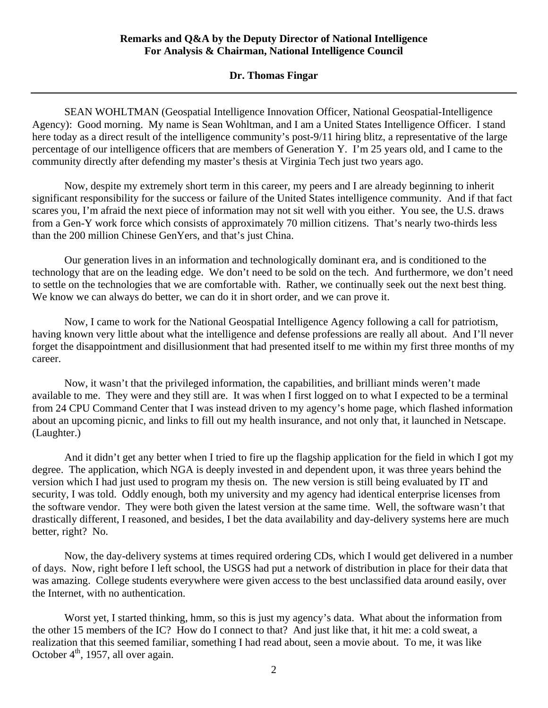## **Dr. Thomas Fingar**

<span id="page-1-0"></span>SEAN WOHLTMAN (Geospatial Intelligence Innovation Officer, National Geospatial-Intelligence Agency): Good morning. My name is Sean Wohltman, and I am a United States Intelligence Officer. I stand here today as a direct result of the intelligence community's post-9/11 hiring blitz, a representative of the large percentage of our intelligence officers that are members of Generation Y. I'm 25 years old, and I came to the community directly after defending my master's thesis at Virginia Tech just two years ago.

Now, despite my extremely short term in this career, my peers and I are already beginning to inherit significant responsibility for the success or failure of the United States intelligence community. And if that fact scares you, I'm afraid the next piece of information may not sit well with you either. You see, the U.S. draws from a Gen-Y work force which consists of approximately 70 million citizens. That's nearly two-thirds less than the 200 million Chinese GenYers, and that's just China.

Our generation lives in an information and technologically dominant era, and is conditioned to the technology that are on the leading edge. We don't need to be sold on the tech. And furthermore, we don't need to settle on the technologies that we are comfortable with. Rather, we continually seek out the next best thing. We know we can always do better, we can do it in short order, and we can prove it.

Now, I came to work for the National Geospatial Intelligence Agency following a call for patriotism, having known very little about what the intelligence and defense professions are really all about. And I'll never forget the disappointment and disillusionment that had presented itself to me within my first three months of my career.

Now, it wasn't that the privileged information, the capabilities, and brilliant minds weren't made available to me. They were and they still are. It was when I first logged on to what I expected to be a terminal from 24 CPU Command Center that I was instead driven to my agency's home page, which flashed information about an upcoming picnic, and links to fill out my health insurance, and not only that, it launched in Netscape. (Laughter.)

And it didn't get any better when I tried to fire up the flagship application for the field in which I got my degree. The application, which NGA is deeply invested in and dependent upon, it was three years behind the version which I had just used to program my thesis on. The new version is still being evaluated by IT and security, I was told. Oddly enough, both my university and my agency had identical enterprise licenses from the software vendor. They were both given the latest version at the same time. Well, the software wasn't that drastically different, I reasoned, and besides, I bet the data availability and day-delivery systems here are much better, right? No.

Now, the day-delivery systems at times required ordering CDs, which I would get delivered in a number of days. Now, right before I left school, the USGS had put a network of distribution in place for their data that was amazing. College students everywhere were given access to the best unclassified data around easily, over the Internet, with no authentication.

Worst yet, I started thinking, hmm, so this is just my agency's data. What about the information from the other 15 members of the IC? How do I connect to that? And just like that, it hit me: a cold sweat, a realization that this seemed familiar, something I had read about, seen a movie about. To me, it was like October  $4<sup>th</sup>$ , 1957, all over again.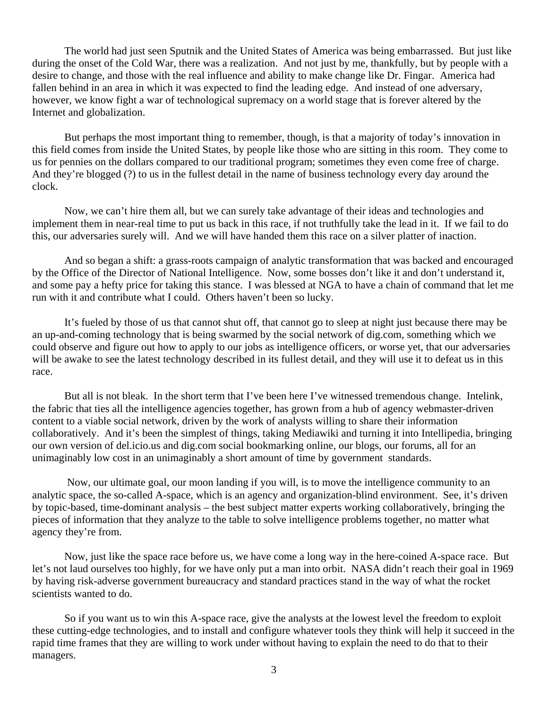The world had just seen Sputnik and the United States of America was being embarrassed. But just like during the onset of the Cold War, there was a realization. And not just by me, thankfully, but by people with a desire to change, and those with the real influence and ability to make change like Dr. Fingar. America had fallen behind in an area in which it was expected to find the leading edge. And instead of one adversary, however, we know fight a war of technological supremacy on a world stage that is forever altered by the Internet and globalization.

But perhaps the most important thing to remember, though, is that a majority of today's innovation in this field comes from inside the United States, by people like those who are sitting in this room. They come to us for pennies on the dollars compared to our traditional program; sometimes they even come free of charge. And they're blogged (?) to us in the fullest detail in the name of business technology every day around the clock.

Now, we can't hire them all, but we can surely take advantage of their ideas and technologies and implement them in near-real time to put us back in this race, if not truthfully take the lead in it. If we fail to do this, our adversaries surely will. And we will have handed them this race on a silver platter of inaction.

And so began a shift: a grass-roots campaign of analytic transformation that was backed and encouraged by the Office of the Director of National Intelligence. Now, some bosses don't like it and don't understand it, and some pay a hefty price for taking this stance. I was blessed at NGA to have a chain of command that let me run with it and contribute what I could. Others haven't been so lucky.

It's fueled by those of us that cannot shut off, that cannot go to sleep at night just because there may be an up-and-coming technology that is being swarmed by the social network of dig.com, something which we could observe and figure out how to apply to our jobs as intelligence officers, or worse yet, that our adversaries will be awake to see the latest technology described in its fullest detail, and they will use it to defeat us in this race.

But all is not bleak. In the short term that I've been here I've witnessed tremendous change. Intelink, the fabric that ties all the intelligence agencies together, has grown from a hub of agency webmaster-driven content to a viable social network, driven by the work of analysts willing to share their information collaboratively. And it's been the simplest of things, taking Mediawiki and turning it into Intellipedia, bringing our own version of del.icio.us and dig.com social bookmarking online, our blogs, our forums, all for an unimaginably low cost in an unimaginably a short amount of time by government standards.

 Now, our ultimate goal, our moon landing if you will, is to move the intelligence community to an analytic space, the so-called A-space, which is an agency and organization-blind environment. See, it's driven by topic-based, time-dominant analysis – the best subject matter experts working collaboratively, bringing the pieces of information that they analyze to the table to solve intelligence problems together, no matter what agency they're from.

Now, just like the space race before us, we have come a long way in the here-coined A-space race. But let's not laud ourselves too highly, for we have only put a man into orbit. NASA didn't reach their goal in 1969 by having risk-adverse government bureaucracy and standard practices stand in the way of what the rocket scientists wanted to do.

So if you want us to win this A-space race, give the analysts at the lowest level the freedom to exploit these cutting-edge technologies, and to install and configure whatever tools they think will help it succeed in the rapid time frames that they are willing to work under without having to explain the need to do that to their managers.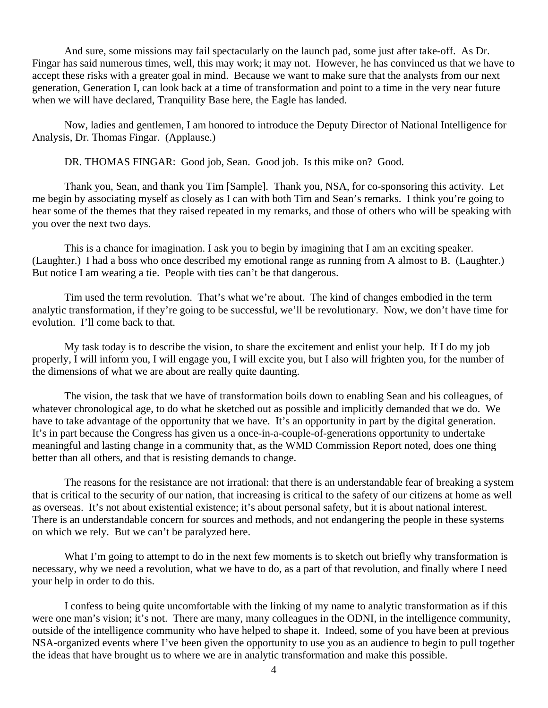And sure, some missions may fail spectacularly on the launch pad, some just after take-off. As Dr. Fingar has said numerous times, well, this may work; it may not. However, he has convinced us that we have to accept these risks with a greater goal in mind. Because we want to make sure that the analysts from our next generation, Generation I, can look back at a time of transformation and point to a time in the very near future when we will have declared, Tranquility Base here, the Eagle has landed.

Now, ladies and gentlemen, I am honored to introduce the Deputy Director of National Intelligence for Analysis, Dr. Thomas Fingar. (Applause.)

DR. THOMAS FINGAR: Good job, Sean. Good job. Is this mike on? Good.

Thank you, Sean, and thank you Tim [Sample]. Thank you, NSA, for co-sponsoring this activity. Let me begin by associating myself as closely as I can with both Tim and Sean's remarks. I think you're going to hear some of the themes that they raised repeated in my remarks, and those of others who will be speaking with you over the next two days.

This is a chance for imagination. I ask you to begin by imagining that I am an exciting speaker. (Laughter.) I had a boss who once described my emotional range as running from A almost to B. (Laughter.) But notice I am wearing a tie. People with ties can't be that dangerous.

Tim used the term revolution. That's what we're about. The kind of changes embodied in the term analytic transformation, if they're going to be successful, we'll be revolutionary. Now, we don't have time for evolution. I'll come back to that.

My task today is to describe the vision, to share the excitement and enlist your help. If I do my job properly, I will inform you, I will engage you, I will excite you, but I also will frighten you, for the number of the dimensions of what we are about are really quite daunting.

The vision, the task that we have of transformation boils down to enabling Sean and his colleagues, of whatever chronological age, to do what he sketched out as possible and implicitly demanded that we do. We have to take advantage of the opportunity that we have. It's an opportunity in part by the digital generation. It's in part because the Congress has given us a once-in-a-couple-of-generations opportunity to undertake meaningful and lasting change in a community that, as the WMD Commission Report noted, does one thing better than all others, and that is resisting demands to change.

The reasons for the resistance are not irrational: that there is an understandable fear of breaking a system that is critical to the security of our nation, that increasing is critical to the safety of our citizens at home as well as overseas. It's not about existential existence; it's about personal safety, but it is about national interest. There is an understandable concern for sources and methods, and not endangering the people in these systems on which we rely. But we can't be paralyzed here.

What I'm going to attempt to do in the next few moments is to sketch out briefly why transformation is necessary, why we need a revolution, what we have to do, as a part of that revolution, and finally where I need your help in order to do this.

I confess to being quite uncomfortable with the linking of my name to analytic transformation as if this were one man's vision; it's not. There are many, many colleagues in the ODNI, in the intelligence community, outside of the intelligence community who have helped to shape it. Indeed, some of you have been at previous NSA-organized events where I've been given the opportunity to use you as an audience to begin to pull together the ideas that have brought us to where we are in analytic transformation and make this possible.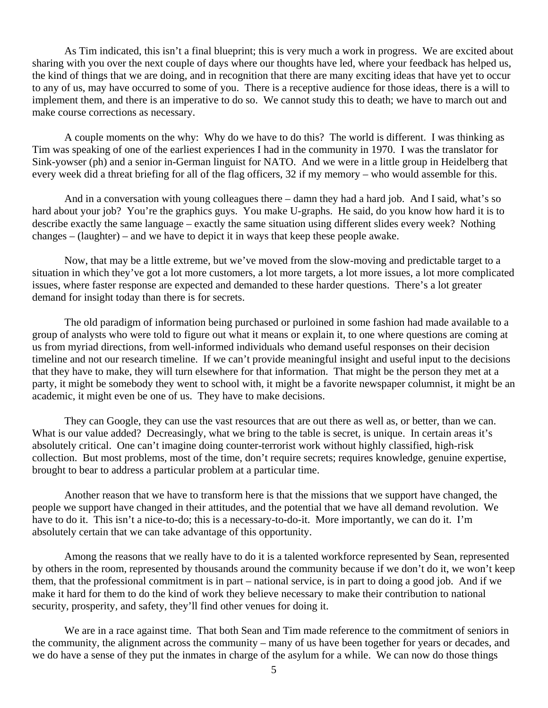As Tim indicated, this isn't a final blueprint; this is very much a work in progress. We are excited about sharing with you over the next couple of days where our thoughts have led, where your feedback has helped us, the kind of things that we are doing, and in recognition that there are many exciting ideas that have yet to occur to any of us, may have occurred to some of you. There is a receptive audience for those ideas, there is a will to implement them, and there is an imperative to do so. We cannot study this to death; we have to march out and make course corrections as necessary.

A couple moments on the why: Why do we have to do this? The world is different. I was thinking as Tim was speaking of one of the earliest experiences I had in the community in 1970. I was the translator for Sink-yowser (ph) and a senior in-German linguist for NATO. And we were in a little group in Heidelberg that every week did a threat briefing for all of the flag officers, 32 if my memory – who would assemble for this.

And in a conversation with young colleagues there – damn they had a hard job. And I said, what's so hard about your job? You're the graphics guys. You make U-graphs. He said, do you know how hard it is to describe exactly the same language – exactly the same situation using different slides every week? Nothing changes – (laughter) – and we have to depict it in ways that keep these people awake.

Now, that may be a little extreme, but we've moved from the slow-moving and predictable target to a situation in which they've got a lot more customers, a lot more targets, a lot more issues, a lot more complicated issues, where faster response are expected and demanded to these harder questions. There's a lot greater demand for insight today than there is for secrets.

The old paradigm of information being purchased or purloined in some fashion had made available to a group of analysts who were told to figure out what it means or explain it, to one where questions are coming at us from myriad directions, from well-informed individuals who demand useful responses on their decision timeline and not our research timeline. If we can't provide meaningful insight and useful input to the decisions that they have to make, they will turn elsewhere for that information. That might be the person they met at a party, it might be somebody they went to school with, it might be a favorite newspaper columnist, it might be an academic, it might even be one of us. They have to make decisions.

They can Google, they can use the vast resources that are out there as well as, or better, than we can. What is our value added? Decreasingly, what we bring to the table is secret, is unique. In certain areas it's absolutely critical. One can't imagine doing counter-terrorist work without highly classified, high-risk collection. But most problems, most of the time, don't require secrets; requires knowledge, genuine expertise, brought to bear to address a particular problem at a particular time.

Another reason that we have to transform here is that the missions that we support have changed, the people we support have changed in their attitudes, and the potential that we have all demand revolution. We have to do it. This isn't a nice-to-do; this is a necessary-to-do-it. More importantly, we can do it. I'm absolutely certain that we can take advantage of this opportunity.

Among the reasons that we really have to do it is a talented workforce represented by Sean, represented by others in the room, represented by thousands around the community because if we don't do it, we won't keep them, that the professional commitment is in part – national service, is in part to doing a good job. And if we make it hard for them to do the kind of work they believe necessary to make their contribution to national security, prosperity, and safety, they'll find other venues for doing it.

We are in a race against time. That both Sean and Tim made reference to the commitment of seniors in the community, the alignment across the community – many of us have been together for years or decades, and we do have a sense of they put the inmates in charge of the asylum for a while. We can now do those things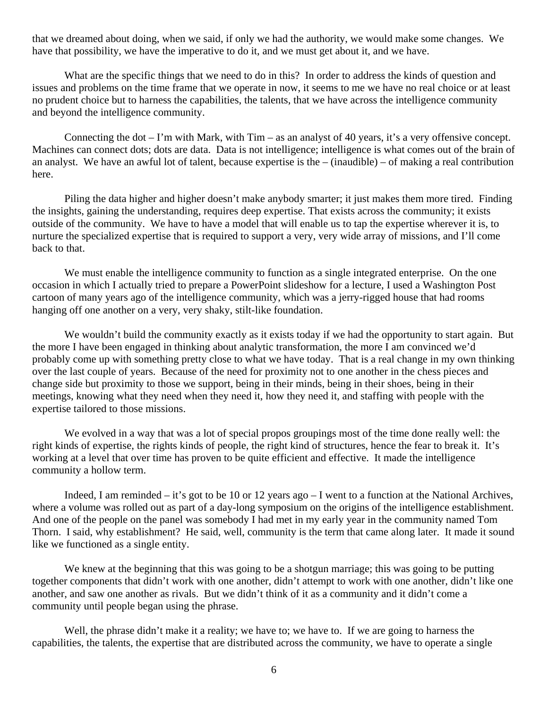that we dreamed about doing, when we said, if only we had the authority, we would make some changes. We have that possibility, we have the imperative to do it, and we must get about it, and we have.

What are the specific things that we need to do in this? In order to address the kinds of question and issues and problems on the time frame that we operate in now, it seems to me we have no real choice or at least no prudent choice but to harness the capabilities, the talents, that we have across the intelligence community and beyond the intelligence community.

Connecting the dot – I'm with Mark, with Tim – as an analyst of 40 years, it's a very offensive concept. Machines can connect dots; dots are data. Data is not intelligence; intelligence is what comes out of the brain of an analyst. We have an awful lot of talent, because expertise is the – (inaudible) – of making a real contribution here.

Piling the data higher and higher doesn't make anybody smarter; it just makes them more tired. Finding the insights, gaining the understanding, requires deep expertise. That exists across the community; it exists outside of the community. We have to have a model that will enable us to tap the expertise wherever it is, to nurture the specialized expertise that is required to support a very, very wide array of missions, and I'll come back to that.

We must enable the intelligence community to function as a single integrated enterprise. On the one occasion in which I actually tried to prepare a PowerPoint slideshow for a lecture, I used a Washington Post cartoon of many years ago of the intelligence community, which was a jerry-rigged house that had rooms hanging off one another on a very, very shaky, stilt-like foundation.

We wouldn't build the community exactly as it exists today if we had the opportunity to start again. But the more I have been engaged in thinking about analytic transformation, the more I am convinced we'd probably come up with something pretty close to what we have today. That is a real change in my own thinking over the last couple of years. Because of the need for proximity not to one another in the chess pieces and change side but proximity to those we support, being in their minds, being in their shoes, being in their meetings, knowing what they need when they need it, how they need it, and staffing with people with the expertise tailored to those missions.

We evolved in a way that was a lot of special propos groupings most of the time done really well: the right kinds of expertise, the rights kinds of people, the right kind of structures, hence the fear to break it. It's working at a level that over time has proven to be quite efficient and effective. It made the intelligence community a hollow term.

Indeed, I am reminded – it's got to be 10 or 12 years ago – I went to a function at the National Archives, where a volume was rolled out as part of a day-long symposium on the origins of the intelligence establishment. And one of the people on the panel was somebody I had met in my early year in the community named Tom Thorn. I said, why establishment? He said, well, community is the term that came along later. It made it sound like we functioned as a single entity.

We knew at the beginning that this was going to be a shotgun marriage; this was going to be putting together components that didn't work with one another, didn't attempt to work with one another, didn't like one another, and saw one another as rivals. But we didn't think of it as a community and it didn't come a community until people began using the phrase.

Well, the phrase didn't make it a reality; we have to; we have to. If we are going to harness the capabilities, the talents, the expertise that are distributed across the community, we have to operate a single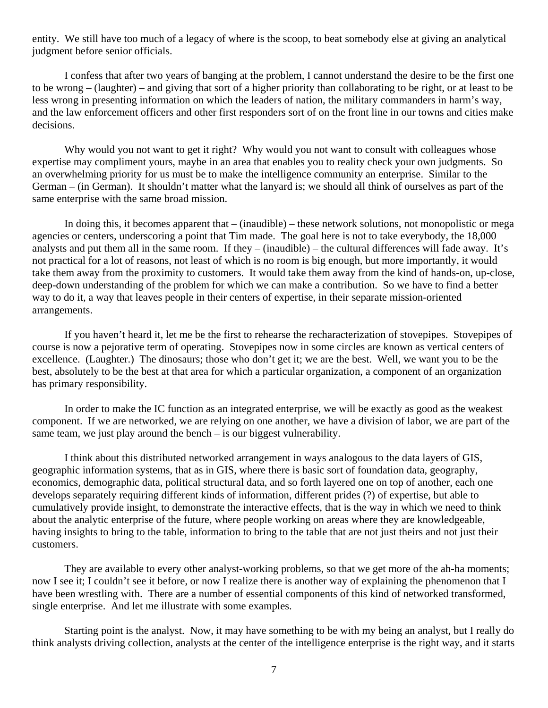entity. We still have too much of a legacy of where is the scoop, to beat somebody else at giving an analytical judgment before senior officials.

I confess that after two years of banging at the problem, I cannot understand the desire to be the first one to be wrong – (laughter) – and giving that sort of a higher priority than collaborating to be right, or at least to be less wrong in presenting information on which the leaders of nation, the military commanders in harm's way, and the law enforcement officers and other first responders sort of on the front line in our towns and cities make decisions.

Why would you not want to get it right? Why would you not want to consult with colleagues whose expertise may compliment yours, maybe in an area that enables you to reality check your own judgments. So an overwhelming priority for us must be to make the intelligence community an enterprise. Similar to the German – (in German). It shouldn't matter what the lanyard is; we should all think of ourselves as part of the same enterprise with the same broad mission.

In doing this, it becomes apparent that – (inaudible) – these network solutions, not monopolistic or mega agencies or centers, underscoring a point that Tim made. The goal here is not to take everybody, the 18,000 analysts and put them all in the same room. If they – (inaudible) – the cultural differences will fade away. It's not practical for a lot of reasons, not least of which is no room is big enough, but more importantly, it would take them away from the proximity to customers. It would take them away from the kind of hands-on, up-close, deep-down understanding of the problem for which we can make a contribution. So we have to find a better way to do it, a way that leaves people in their centers of expertise, in their separate mission-oriented arrangements.

If you haven't heard it, let me be the first to rehearse the recharacterization of stovepipes. Stovepipes of course is now a pejorative term of operating. Stovepipes now in some circles are known as vertical centers of excellence. (Laughter.) The dinosaurs; those who don't get it; we are the best. Well, we want you to be the best, absolutely to be the best at that area for which a particular organization, a component of an organization has primary responsibility.

In order to make the IC function as an integrated enterprise, we will be exactly as good as the weakest component. If we are networked, we are relying on one another, we have a division of labor, we are part of the same team, we just play around the bench – is our biggest vulnerability.

I think about this distributed networked arrangement in ways analogous to the data layers of GIS, geographic information systems, that as in GIS, where there is basic sort of foundation data, geography, economics, demographic data, political structural data, and so forth layered one on top of another, each one develops separately requiring different kinds of information, different prides (?) of expertise, but able to cumulatively provide insight, to demonstrate the interactive effects, that is the way in which we need to think about the analytic enterprise of the future, where people working on areas where they are knowledgeable, having insights to bring to the table, information to bring to the table that are not just theirs and not just their customers.

They are available to every other analyst-working problems, so that we get more of the ah-ha moments; now I see it; I couldn't see it before, or now I realize there is another way of explaining the phenomenon that I have been wrestling with. There are a number of essential components of this kind of networked transformed, single enterprise. And let me illustrate with some examples.

Starting point is the analyst. Now, it may have something to be with my being an analyst, but I really do think analysts driving collection, analysts at the center of the intelligence enterprise is the right way, and it starts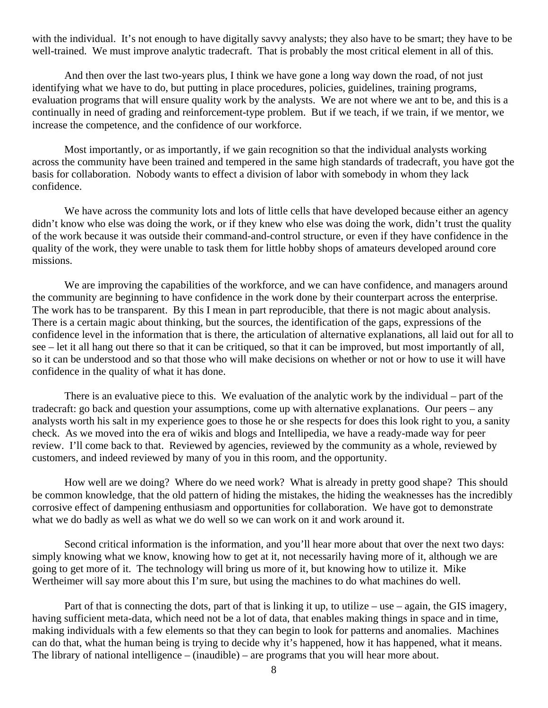with the individual. It's not enough to have digitally savvy analysts; they also have to be smart; they have to be well-trained. We must improve analytic tradecraft. That is probably the most critical element in all of this.

And then over the last two-years plus, I think we have gone a long way down the road, of not just identifying what we have to do, but putting in place procedures, policies, guidelines, training programs, evaluation programs that will ensure quality work by the analysts. We are not where we ant to be, and this is a continually in need of grading and reinforcement-type problem. But if we teach, if we train, if we mentor, we increase the competence, and the confidence of our workforce.

Most importantly, or as importantly, if we gain recognition so that the individual analysts working across the community have been trained and tempered in the same high standards of tradecraft, you have got the basis for collaboration. Nobody wants to effect a division of labor with somebody in whom they lack confidence.

We have across the community lots and lots of little cells that have developed because either an agency didn't know who else was doing the work, or if they knew who else was doing the work, didn't trust the quality of the work because it was outside their command-and-control structure, or even if they have confidence in the quality of the work, they were unable to task them for little hobby shops of amateurs developed around core missions.

We are improving the capabilities of the workforce, and we can have confidence, and managers around the community are beginning to have confidence in the work done by their counterpart across the enterprise. The work has to be transparent. By this I mean in part reproducible, that there is not magic about analysis. There is a certain magic about thinking, but the sources, the identification of the gaps, expressions of the confidence level in the information that is there, the articulation of alternative explanations, all laid out for all to see – let it all hang out there so that it can be critiqued, so that it can be improved, but most importantly of all, so it can be understood and so that those who will make decisions on whether or not or how to use it will have confidence in the quality of what it has done.

There is an evaluative piece to this. We evaluation of the analytic work by the individual – part of the tradecraft: go back and question your assumptions, come up with alternative explanations. Our peers – any analysts worth his salt in my experience goes to those he or she respects for does this look right to you, a sanity check. As we moved into the era of wikis and blogs and Intellipedia, we have a ready-made way for peer review. I'll come back to that. Reviewed by agencies, reviewed by the community as a whole, reviewed by customers, and indeed reviewed by many of you in this room, and the opportunity.

How well are we doing? Where do we need work? What is already in pretty good shape? This should be common knowledge, that the old pattern of hiding the mistakes, the hiding the weaknesses has the incredibly corrosive effect of dampening enthusiasm and opportunities for collaboration. We have got to demonstrate what we do badly as well as what we do well so we can work on it and work around it.

Second critical information is the information, and you'll hear more about that over the next two days: simply knowing what we know, knowing how to get at it, not necessarily having more of it, although we are going to get more of it. The technology will bring us more of it, but knowing how to utilize it. Mike Wertheimer will say more about this I'm sure, but using the machines to do what machines do well.

Part of that is connecting the dots, part of that is linking it up, to utilize – use – again, the GIS imagery, having sufficient meta-data, which need not be a lot of data, that enables making things in space and in time, making individuals with a few elements so that they can begin to look for patterns and anomalies. Machines can do that, what the human being is trying to decide why it's happened, how it has happened, what it means. The library of national intelligence – (inaudible) – are programs that you will hear more about.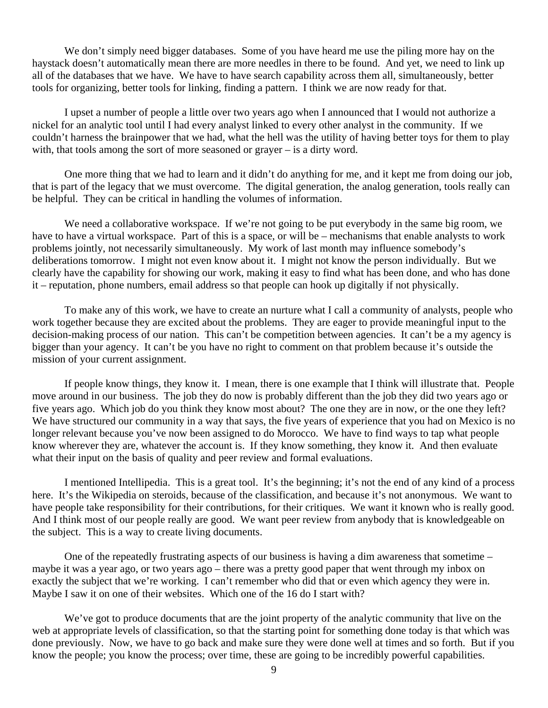We don't simply need bigger databases. Some of you have heard me use the piling more hay on the haystack doesn't automatically mean there are more needles in there to be found. And yet, we need to link up all of the databases that we have. We have to have search capability across them all, simultaneously, better tools for organizing, better tools for linking, finding a pattern. I think we are now ready for that.

I upset a number of people a little over two years ago when I announced that I would not authorize a nickel for an analytic tool until I had every analyst linked to every other analyst in the community. If we couldn't harness the brainpower that we had, what the hell was the utility of having better toys for them to play with, that tools among the sort of more seasoned or grayer – is a dirty word.

One more thing that we had to learn and it didn't do anything for me, and it kept me from doing our job, that is part of the legacy that we must overcome. The digital generation, the analog generation, tools really can be helpful. They can be critical in handling the volumes of information.

We need a collaborative workspace. If we're not going to be put everybody in the same big room, we have to have a virtual workspace. Part of this is a space, or will be – mechanisms that enable analysts to work problems jointly, not necessarily simultaneously. My work of last month may influence somebody's deliberations tomorrow. I might not even know about it. I might not know the person individually. But we clearly have the capability for showing our work, making it easy to find what has been done, and who has done it – reputation, phone numbers, email address so that people can hook up digitally if not physically.

To make any of this work, we have to create an nurture what I call a community of analysts, people who work together because they are excited about the problems. They are eager to provide meaningful input to the decision-making process of our nation. This can't be competition between agencies. It can't be a my agency is bigger than your agency. It can't be you have no right to comment on that problem because it's outside the mission of your current assignment.

If people know things, they know it. I mean, there is one example that I think will illustrate that. People move around in our business. The job they do now is probably different than the job they did two years ago or five years ago. Which job do you think they know most about? The one they are in now, or the one they left? We have structured our community in a way that says, the five years of experience that you had on Mexico is no longer relevant because you've now been assigned to do Morocco. We have to find ways to tap what people know wherever they are, whatever the account is. If they know something, they know it. And then evaluate what their input on the basis of quality and peer review and formal evaluations.

I mentioned Intellipedia. This is a great tool. It's the beginning; it's not the end of any kind of a process here. It's the Wikipedia on steroids, because of the classification, and because it's not anonymous. We want to have people take responsibility for their contributions, for their critiques. We want it known who is really good. And I think most of our people really are good. We want peer review from anybody that is knowledgeable on the subject. This is a way to create living documents.

One of the repeatedly frustrating aspects of our business is having a dim awareness that sometime – maybe it was a year ago, or two years ago – there was a pretty good paper that went through my inbox on exactly the subject that we're working. I can't remember who did that or even which agency they were in. Maybe I saw it on one of their websites. Which one of the 16 do I start with?

We've got to produce documents that are the joint property of the analytic community that live on the web at appropriate levels of classification, so that the starting point for something done today is that which was done previously. Now, we have to go back and make sure they were done well at times and so forth. But if you know the people; you know the process; over time, these are going to be incredibly powerful capabilities.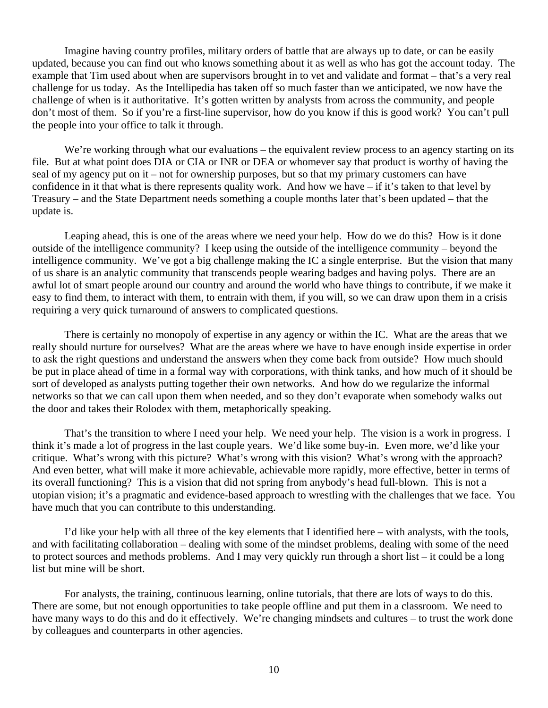Imagine having country profiles, military orders of battle that are always up to date, or can be easily updated, because you can find out who knows something about it as well as who has got the account today. The example that Tim used about when are supervisors brought in to vet and validate and format – that's a very real challenge for us today. As the Intellipedia has taken off so much faster than we anticipated, we now have the challenge of when is it authoritative. It's gotten written by analysts from across the community, and people don't most of them. So if you're a first-line supervisor, how do you know if this is good work? You can't pull the people into your office to talk it through.

We're working through what our evaluations – the equivalent review process to an agency starting on its file. But at what point does DIA or CIA or INR or DEA or whomever say that product is worthy of having the seal of my agency put on it – not for ownership purposes, but so that my primary customers can have confidence in it that what is there represents quality work. And how we have – if it's taken to that level by Treasury – and the State Department needs something a couple months later that's been updated – that the update is.

Leaping ahead, this is one of the areas where we need your help. How do we do this? How is it done outside of the intelligence community? I keep using the outside of the intelligence community – beyond the intelligence community. We've got a big challenge making the IC a single enterprise. But the vision that many of us share is an analytic community that transcends people wearing badges and having polys. There are an awful lot of smart people around our country and around the world who have things to contribute, if we make it easy to find them, to interact with them, to entrain with them, if you will, so we can draw upon them in a crisis requiring a very quick turnaround of answers to complicated questions.

There is certainly no monopoly of expertise in any agency or within the IC. What are the areas that we really should nurture for ourselves? What are the areas where we have to have enough inside expertise in order to ask the right questions and understand the answers when they come back from outside? How much should be put in place ahead of time in a formal way with corporations, with think tanks, and how much of it should be sort of developed as analysts putting together their own networks. And how do we regularize the informal networks so that we can call upon them when needed, and so they don't evaporate when somebody walks out the door and takes their Rolodex with them, metaphorically speaking.

That's the transition to where I need your help. We need your help. The vision is a work in progress. I think it's made a lot of progress in the last couple years. We'd like some buy-in. Even more, we'd like your critique. What's wrong with this picture? What's wrong with this vision? What's wrong with the approach? And even better, what will make it more achievable, achievable more rapidly, more effective, better in terms of its overall functioning? This is a vision that did not spring from anybody's head full-blown. This is not a utopian vision; it's a pragmatic and evidence-based approach to wrestling with the challenges that we face. You have much that you can contribute to this understanding.

I'd like your help with all three of the key elements that I identified here – with analysts, with the tools, and with facilitating collaboration – dealing with some of the mindset problems, dealing with some of the need to protect sources and methods problems. And I may very quickly run through a short list – it could be a long list but mine will be short.

For analysts, the training, continuous learning, online tutorials, that there are lots of ways to do this. There are some, but not enough opportunities to take people offline and put them in a classroom. We need to have many ways to do this and do it effectively. We're changing mindsets and cultures – to trust the work done by colleagues and counterparts in other agencies.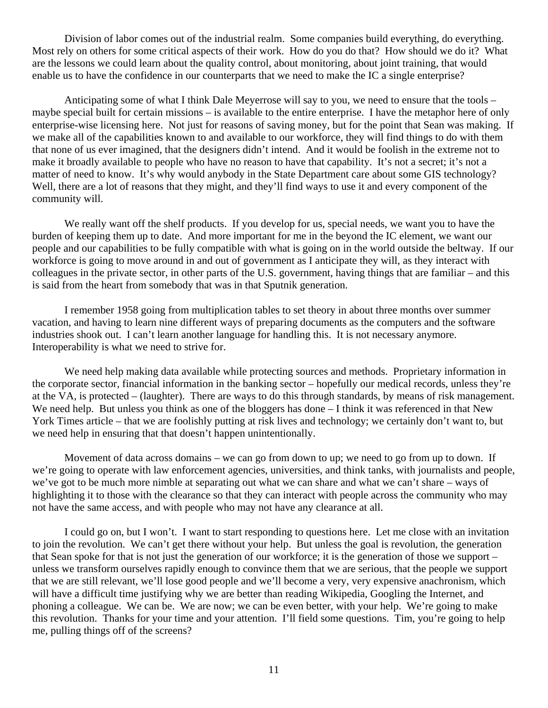Division of labor comes out of the industrial realm. Some companies build everything, do everything. Most rely on others for some critical aspects of their work. How do you do that? How should we do it? What are the lessons we could learn about the quality control, about monitoring, about joint training, that would enable us to have the confidence in our counterparts that we need to make the IC a single enterprise?

Anticipating some of what I think Dale Meyerrose will say to you, we need to ensure that the tools – maybe special built for certain missions – is available to the entire enterprise. I have the metaphor here of only enterprise-wise licensing here. Not just for reasons of saving money, but for the point that Sean was making. If we make all of the capabilities known to and available to our workforce, they will find things to do with them that none of us ever imagined, that the designers didn't intend. And it would be foolish in the extreme not to make it broadly available to people who have no reason to have that capability. It's not a secret; it's not a matter of need to know. It's why would anybody in the State Department care about some GIS technology? Well, there are a lot of reasons that they might, and they'll find ways to use it and every component of the community will.

We really want off the shelf products. If you develop for us, special needs, we want you to have the burden of keeping them up to date. And more important for me in the beyond the IC element, we want our people and our capabilities to be fully compatible with what is going on in the world outside the beltway. If our workforce is going to move around in and out of government as I anticipate they will, as they interact with colleagues in the private sector, in other parts of the U.S. government, having things that are familiar – and this is said from the heart from somebody that was in that Sputnik generation.

I remember 1958 going from multiplication tables to set theory in about three months over summer vacation, and having to learn nine different ways of preparing documents as the computers and the software industries shook out. I can't learn another language for handling this. It is not necessary anymore. Interoperability is what we need to strive for.

We need help making data available while protecting sources and methods. Proprietary information in the corporate sector, financial information in the banking sector – hopefully our medical records, unless they're at the VA, is protected – (laughter). There are ways to do this through standards, by means of risk management. We need help. But unless you think as one of the bloggers has done – I think it was referenced in that New York Times article – that we are foolishly putting at risk lives and technology; we certainly don't want to, but we need help in ensuring that that doesn't happen unintentionally.

Movement of data across domains – we can go from down to up; we need to go from up to down. If we're going to operate with law enforcement agencies, universities, and think tanks, with journalists and people, we've got to be much more nimble at separating out what we can share and what we can't share – ways of highlighting it to those with the clearance so that they can interact with people across the community who may not have the same access, and with people who may not have any clearance at all.

I could go on, but I won't. I want to start responding to questions here. Let me close with an invitation to join the revolution. We can't get there without your help. But unless the goal is revolution, the generation that Sean spoke for that is not just the generation of our workforce; it is the generation of those we support – unless we transform ourselves rapidly enough to convince them that we are serious, that the people we support that we are still relevant, we'll lose good people and we'll become a very, very expensive anachronism, which will have a difficult time justifying why we are better than reading Wikipedia, Googling the Internet, and phoning a colleague. We can be. We are now; we can be even better, with your help. We're going to make this revolution. Thanks for your time and your attention. I'll field some questions. Tim, you're going to help me, pulling things off of the screens?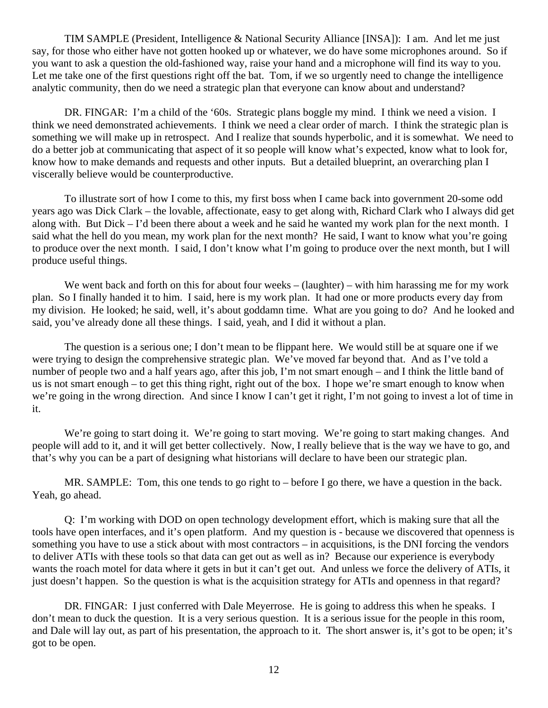TIM SAMPLE (President, Intelligence & National Security Alliance [INSA]): I am. And let me just say, for those who either have not gotten hooked up or whatever, we do have some microphones around. So if you want to ask a question the old-fashioned way, raise your hand and a microphone will find its way to you. Let me take one of the first questions right off the bat. Tom, if we so urgently need to change the intelligence analytic community, then do we need a strategic plan that everyone can know about and understand?

DR. FINGAR: I'm a child of the '60s. Strategic plans boggle my mind. I think we need a vision. I think we need demonstrated achievements. I think we need a clear order of march. I think the strategic plan is something we will make up in retrospect. And I realize that sounds hyperbolic, and it is somewhat. We need to do a better job at communicating that aspect of it so people will know what's expected, know what to look for, know how to make demands and requests and other inputs. But a detailed blueprint, an overarching plan I viscerally believe would be counterproductive.

To illustrate sort of how I come to this, my first boss when I came back into government 20-some odd years ago was Dick Clark – the lovable, affectionate, easy to get along with, Richard Clark who I always did get along with. But Dick – I'd been there about a week and he said he wanted my work plan for the next month. I said what the hell do you mean, my work plan for the next month? He said, I want to know what you're going to produce over the next month. I said, I don't know what I'm going to produce over the next month, but I will produce useful things.

We went back and forth on this for about four weeks – (laughter) – with him harassing me for my work plan. So I finally handed it to him. I said, here is my work plan. It had one or more products every day from my division. He looked; he said, well, it's about goddamn time. What are you going to do? And he looked and said, you've already done all these things. I said, yeah, and I did it without a plan.

The question is a serious one; I don't mean to be flippant here. We would still be at square one if we were trying to design the comprehensive strategic plan. We've moved far beyond that. And as I've told a number of people two and a half years ago, after this job, I'm not smart enough – and I think the little band of us is not smart enough – to get this thing right, right out of the box. I hope we're smart enough to know when we're going in the wrong direction. And since I know I can't get it right, I'm not going to invest a lot of time in it.

We're going to start doing it. We're going to start moving. We're going to start making changes. And people will add to it, and it will get better collectively. Now, I really believe that is the way we have to go, and that's why you can be a part of designing what historians will declare to have been our strategic plan.

MR. SAMPLE: Tom, this one tends to go right to – before I go there, we have a question in the back. Yeah, go ahead.

Q: I'm working with DOD on open technology development effort, which is making sure that all the tools have open interfaces, and it's open platform. And my question is - because we discovered that openness is something you have to use a stick about with most contractors – in acquisitions, is the DNI forcing the vendors to deliver ATIs with these tools so that data can get out as well as in? Because our experience is everybody wants the roach motel for data where it gets in but it can't get out. And unless we force the delivery of ATIs, it just doesn't happen. So the question is what is the acquisition strategy for ATIs and openness in that regard?

DR. FINGAR: I just conferred with Dale Meyerrose. He is going to address this when he speaks. I don't mean to duck the question. It is a very serious question. It is a serious issue for the people in this room, and Dale will lay out, as part of his presentation, the approach to it. The short answer is, it's got to be open; it's got to be open.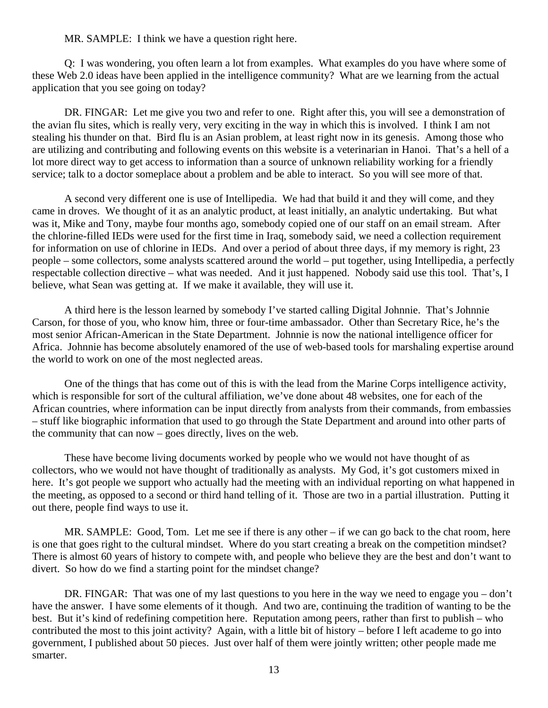MR. SAMPLE: I think we have a question right here.

Q: I was wondering, you often learn a lot from examples. What examples do you have where some of these Web 2.0 ideas have been applied in the intelligence community? What are we learning from the actual application that you see going on today?

DR. FINGAR: Let me give you two and refer to one. Right after this, you will see a demonstration of the avian flu sites, which is really very, very exciting in the way in which this is involved. I think I am not stealing his thunder on that. Bird flu is an Asian problem, at least right now in its genesis. Among those who are utilizing and contributing and following events on this website is a veterinarian in Hanoi. That's a hell of a lot more direct way to get access to information than a source of unknown reliability working for a friendly service; talk to a doctor someplace about a problem and be able to interact. So you will see more of that.

A second very different one is use of Intellipedia. We had that build it and they will come, and they came in droves. We thought of it as an analytic product, at least initially, an analytic undertaking. But what was it, Mike and Tony, maybe four months ago, somebody copied one of our staff on an email stream. After the chlorine-filled IEDs were used for the first time in Iraq, somebody said, we need a collection requirement for information on use of chlorine in IEDs. And over a period of about three days, if my memory is right, 23 people – some collectors, some analysts scattered around the world – put together, using Intellipedia, a perfectly respectable collection directive – what was needed. And it just happened. Nobody said use this tool. That's, I believe, what Sean was getting at. If we make it available, they will use it.

A third here is the lesson learned by somebody I've started calling Digital Johnnie. That's Johnnie Carson, for those of you, who know him, three or four-time ambassador. Other than Secretary Rice, he's the most senior African-American in the State Department. Johnnie is now the national intelligence officer for Africa. Johnnie has become absolutely enamored of the use of web-based tools for marshaling expertise around the world to work on one of the most neglected areas.

One of the things that has come out of this is with the lead from the Marine Corps intelligence activity, which is responsible for sort of the cultural affiliation, we've done about 48 websites, one for each of the African countries, where information can be input directly from analysts from their commands, from embassies – stuff like biographic information that used to go through the State Department and around into other parts of the community that can now – goes directly, lives on the web.

These have become living documents worked by people who we would not have thought of as collectors, who we would not have thought of traditionally as analysts. My God, it's got customers mixed in here. It's got people we support who actually had the meeting with an individual reporting on what happened in the meeting, as opposed to a second or third hand telling of it. Those are two in a partial illustration. Putting it out there, people find ways to use it.

MR. SAMPLE: Good, Tom. Let me see if there is any other – if we can go back to the chat room, here is one that goes right to the cultural mindset. Where do you start creating a break on the competition mindset? There is almost 60 years of history to compete with, and people who believe they are the best and don't want to divert. So how do we find a starting point for the mindset change?

DR. FINGAR: That was one of my last questions to you here in the way we need to engage you – don't have the answer. I have some elements of it though. And two are, continuing the tradition of wanting to be the best. But it's kind of redefining competition here. Reputation among peers, rather than first to publish – who contributed the most to this joint activity? Again, with a little bit of history – before I left academe to go into government, I published about 50 pieces. Just over half of them were jointly written; other people made me smarter.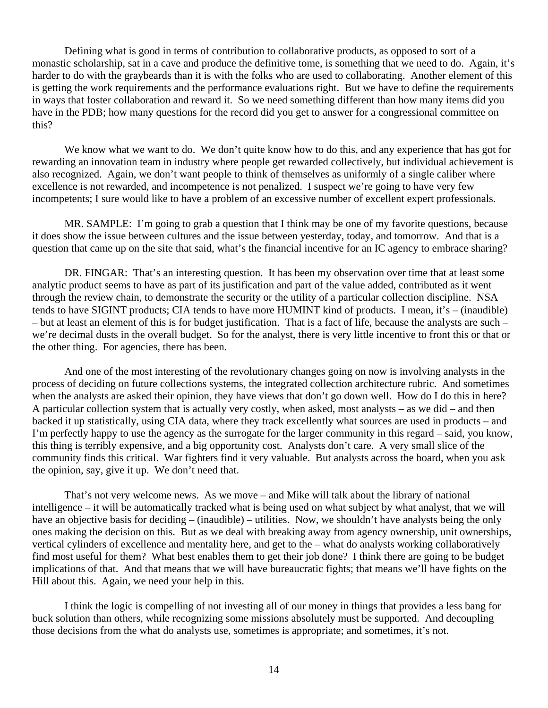Defining what is good in terms of contribution to collaborative products, as opposed to sort of a monastic scholarship, sat in a cave and produce the definitive tome, is something that we need to do. Again, it's harder to do with the graybeards than it is with the folks who are used to collaborating. Another element of this is getting the work requirements and the performance evaluations right. But we have to define the requirements in ways that foster collaboration and reward it. So we need something different than how many items did you have in the PDB; how many questions for the record did you get to answer for a congressional committee on this?

We know what we want to do. We don't quite know how to do this, and any experience that has got for rewarding an innovation team in industry where people get rewarded collectively, but individual achievement is also recognized. Again, we don't want people to think of themselves as uniformly of a single caliber where excellence is not rewarded, and incompetence is not penalized. I suspect we're going to have very few incompetents; I sure would like to have a problem of an excessive number of excellent expert professionals.

MR. SAMPLE: I'm going to grab a question that I think may be one of my favorite questions, because it does show the issue between cultures and the issue between yesterday, today, and tomorrow. And that is a question that came up on the site that said, what's the financial incentive for an IC agency to embrace sharing?

DR. FINGAR: That's an interesting question. It has been my observation over time that at least some analytic product seems to have as part of its justification and part of the value added, contributed as it went through the review chain, to demonstrate the security or the utility of a particular collection discipline. NSA tends to have SIGINT products; CIA tends to have more HUMINT kind of products. I mean, it's – (inaudible) – but at least an element of this is for budget justification. That is a fact of life, because the analysts are such – we're decimal dusts in the overall budget. So for the analyst, there is very little incentive to front this or that or the other thing. For agencies, there has been.

And one of the most interesting of the revolutionary changes going on now is involving analysts in the process of deciding on future collections systems, the integrated collection architecture rubric. And sometimes when the analysts are asked their opinion, they have views that don't go down well. How do I do this in here? A particular collection system that is actually very costly, when asked, most analysts – as we did – and then backed it up statistically, using CIA data, where they track excellently what sources are used in products – and I'm perfectly happy to use the agency as the surrogate for the larger community in this regard – said, you know, this thing is terribly expensive, and a big opportunity cost. Analysts don't care. A very small slice of the community finds this critical. War fighters find it very valuable. But analysts across the board, when you ask the opinion, say, give it up. We don't need that.

That's not very welcome news. As we move – and Mike will talk about the library of national intelligence – it will be automatically tracked what is being used on what subject by what analyst, that we will have an objective basis for deciding – (inaudible) – utilities. Now, we shouldn't have analysts being the only ones making the decision on this. But as we deal with breaking away from agency ownership, unit ownerships, vertical cylinders of excellence and mentality here, and get to the – what do analysts working collaboratively find most useful for them? What best enables them to get their job done? I think there are going to be budget implications of that. And that means that we will have bureaucratic fights; that means we'll have fights on the Hill about this. Again, we need your help in this.

I think the logic is compelling of not investing all of our money in things that provides a less bang for buck solution than others, while recognizing some missions absolutely must be supported. And decoupling those decisions from the what do analysts use, sometimes is appropriate; and sometimes, it's not.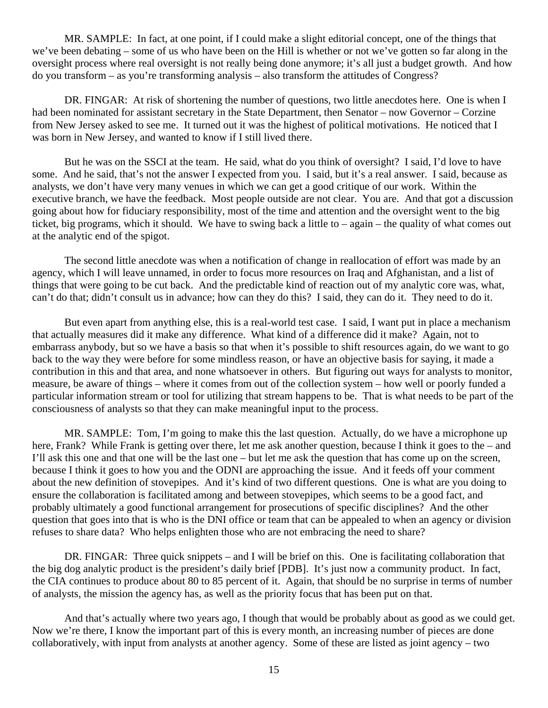MR. SAMPLE: In fact, at one point, if I could make a slight editorial concept, one of the things that we've been debating – some of us who have been on the Hill is whether or not we've gotten so far along in the oversight process where real oversight is not really being done anymore; it's all just a budget growth. And how do you transform – as you're transforming analysis – also transform the attitudes of Congress?

DR. FINGAR: At risk of shortening the number of questions, two little anecdotes here. One is when I had been nominated for assistant secretary in the State Department, then Senator – now Governor – Corzine from New Jersey asked to see me. It turned out it was the highest of political motivations. He noticed that I was born in New Jersey, and wanted to know if I still lived there.

But he was on the SSCI at the team. He said, what do you think of oversight? I said, I'd love to have some. And he said, that's not the answer I expected from you. I said, but it's a real answer. I said, because as analysts, we don't have very many venues in which we can get a good critique of our work. Within the executive branch, we have the feedback. Most people outside are not clear. You are. And that got a discussion going about how for fiduciary responsibility, most of the time and attention and the oversight went to the big ticket, big programs, which it should. We have to swing back a little to – again – the quality of what comes out at the analytic end of the spigot.

The second little anecdote was when a notification of change in reallocation of effort was made by an agency, which I will leave unnamed, in order to focus more resources on Iraq and Afghanistan, and a list of things that were going to be cut back. And the predictable kind of reaction out of my analytic core was, what, can't do that; didn't consult us in advance; how can they do this? I said, they can do it. They need to do it.

But even apart from anything else, this is a real-world test case. I said, I want put in place a mechanism that actually measures did it make any difference. What kind of a difference did it make? Again, not to embarrass anybody, but so we have a basis so that when it's possible to shift resources again, do we want to go back to the way they were before for some mindless reason, or have an objective basis for saying, it made a contribution in this and that area, and none whatsoever in others. But figuring out ways for analysts to monitor, measure, be aware of things – where it comes from out of the collection system – how well or poorly funded a particular information stream or tool for utilizing that stream happens to be. That is what needs to be part of the consciousness of analysts so that they can make meaningful input to the process.

MR. SAMPLE: Tom, I'm going to make this the last question. Actually, do we have a microphone up here, Frank? While Frank is getting over there, let me ask another question, because I think it goes to the – and I'll ask this one and that one will be the last one – but let me ask the question that has come up on the screen, because I think it goes to how you and the ODNI are approaching the issue. And it feeds off your comment about the new definition of stovepipes. And it's kind of two different questions. One is what are you doing to ensure the collaboration is facilitated among and between stovepipes, which seems to be a good fact, and probably ultimately a good functional arrangement for prosecutions of specific disciplines? And the other question that goes into that is who is the DNI office or team that can be appealed to when an agency or division refuses to share data? Who helps enlighten those who are not embracing the need to share?

DR. FINGAR: Three quick snippets – and I will be brief on this. One is facilitating collaboration that the big dog analytic product is the president's daily brief [PDB]. It's just now a community product. In fact, the CIA continues to produce about 80 to 85 percent of it. Again, that should be no surprise in terms of number of analysts, the mission the agency has, as well as the priority focus that has been put on that.

And that's actually where two years ago, I though that would be probably about as good as we could get. Now we're there, I know the important part of this is every month, an increasing number of pieces are done collaboratively, with input from analysts at another agency. Some of these are listed as joint agency – two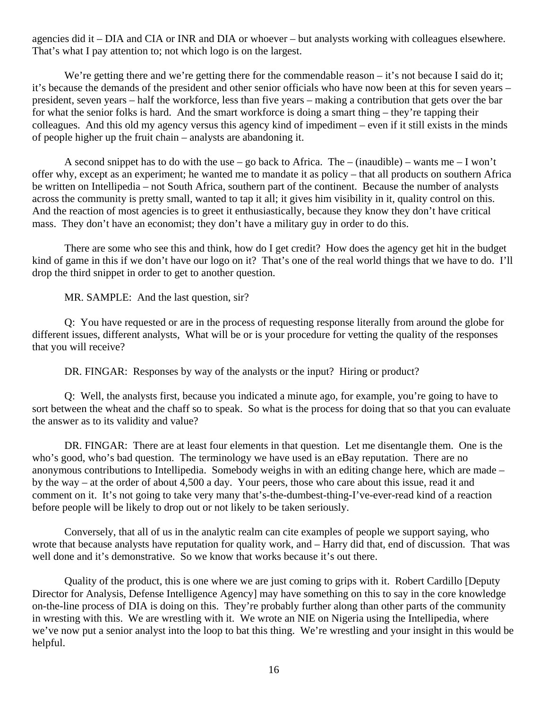agencies did it – DIA and CIA or INR and DIA or whoever – but analysts working with colleagues elsewhere. That's what I pay attention to; not which logo is on the largest.

We're getting there and we're getting there for the commendable reason – it's not because I said do it; it's because the demands of the president and other senior officials who have now been at this for seven years – president, seven years – half the workforce, less than five years – making a contribution that gets over the bar for what the senior folks is hard. And the smart workforce is doing a smart thing – they're tapping their colleagues. And this old my agency versus this agency kind of impediment – even if it still exists in the minds of people higher up the fruit chain – analysts are abandoning it.

A second snippet has to do with the use – go back to Africa. The – (inaudible) – wants me – I won't offer why, except as an experiment; he wanted me to mandate it as policy – that all products on southern Africa be written on Intellipedia – not South Africa, southern part of the continent. Because the number of analysts across the community is pretty small, wanted to tap it all; it gives him visibility in it, quality control on this. And the reaction of most agencies is to greet it enthusiastically, because they know they don't have critical mass. They don't have an economist; they don't have a military guy in order to do this.

There are some who see this and think, how do I get credit? How does the agency get hit in the budget kind of game in this if we don't have our logo on it? That's one of the real world things that we have to do. I'll drop the third snippet in order to get to another question.

MR. SAMPLE: And the last question, sir?

Q: You have requested or are in the process of requesting response literally from around the globe for different issues, different analysts, What will be or is your procedure for vetting the quality of the responses that you will receive?

DR. FINGAR: Responses by way of the analysts or the input? Hiring or product?

Q: Well, the analysts first, because you indicated a minute ago, for example, you're going to have to sort between the wheat and the chaff so to speak. So what is the process for doing that so that you can evaluate the answer as to its validity and value?

DR. FINGAR: There are at least four elements in that question. Let me disentangle them. One is the who's good, who's bad question. The terminology we have used is an eBay reputation. There are no anonymous contributions to Intellipedia. Somebody weighs in with an editing change here, which are made – by the way – at the order of about 4,500 a day. Your peers, those who care about this issue, read it and comment on it. It's not going to take very many that's-the-dumbest-thing-I've-ever-read kind of a reaction before people will be likely to drop out or not likely to be taken seriously.

Conversely, that all of us in the analytic realm can cite examples of people we support saying, who wrote that because analysts have reputation for quality work, and – Harry did that, end of discussion. That was well done and it's demonstrative. So we know that works because it's out there.

Quality of the product, this is one where we are just coming to grips with it. Robert Cardillo [Deputy Director for Analysis, Defense Intelligence Agency] may have something on this to say in the core knowledge on-the-line process of DIA is doing on this. They're probably further along than other parts of the community in wresting with this. We are wrestling with it. We wrote an NIE on Nigeria using the Intellipedia, where we've now put a senior analyst into the loop to bat this thing. We're wrestling and your insight in this would be helpful.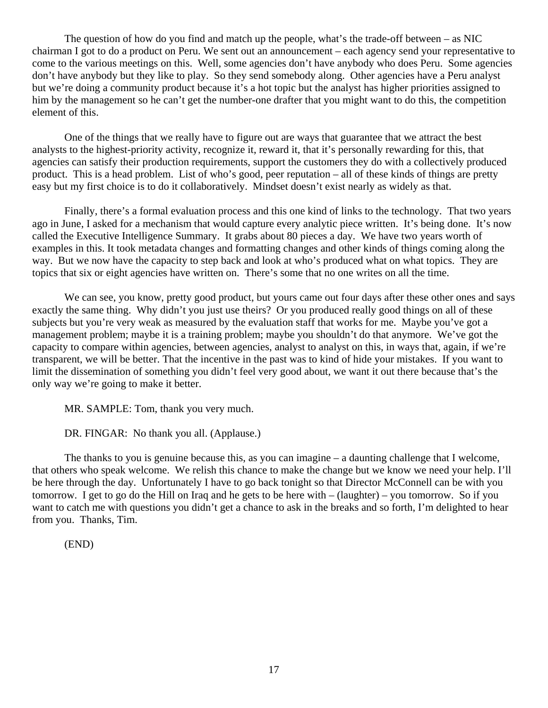The question of how do you find and match up the people, what's the trade-off between – as NIC chairman I got to do a product on Peru. We sent out an announcement – each agency send your representative to come to the various meetings on this. Well, some agencies don't have anybody who does Peru. Some agencies don't have anybody but they like to play. So they send somebody along. Other agencies have a Peru analyst but we're doing a community product because it's a hot topic but the analyst has higher priorities assigned to him by the management so he can't get the number-one drafter that you might want to do this, the competition element of this.

One of the things that we really have to figure out are ways that guarantee that we attract the best analysts to the highest-priority activity, recognize it, reward it, that it's personally rewarding for this, that agencies can satisfy their production requirements, support the customers they do with a collectively produced product. This is a head problem. List of who's good, peer reputation – all of these kinds of things are pretty easy but my first choice is to do it collaboratively. Mindset doesn't exist nearly as widely as that.

Finally, there's a formal evaluation process and this one kind of links to the technology. That two years ago in June, I asked for a mechanism that would capture every analytic piece written. It's being done. It's now called the Executive Intelligence Summary. It grabs about 80 pieces a day. We have two years worth of examples in this. It took metadata changes and formatting changes and other kinds of things coming along the way. But we now have the capacity to step back and look at who's produced what on what topics. They are topics that six or eight agencies have written on. There's some that no one writes on all the time.

We can see, you know, pretty good product, but yours came out four days after these other ones and says exactly the same thing. Why didn't you just use theirs? Or you produced really good things on all of these subjects but you're very weak as measured by the evaluation staff that works for me. Maybe you've got a management problem; maybe it is a training problem; maybe you shouldn't do that anymore. We've got the capacity to compare within agencies, between agencies, analyst to analyst on this, in ways that, again, if we're transparent, we will be better. That the incentive in the past was to kind of hide your mistakes. If you want to limit the dissemination of something you didn't feel very good about, we want it out there because that's the only way we're going to make it better.

MR. SAMPLE: Tom, thank you very much.

DR. FINGAR: No thank you all. (Applause.)

The thanks to you is genuine because this, as you can imagine – a daunting challenge that I welcome, that others who speak welcome. We relish this chance to make the change but we know we need your help. I'll be here through the day. Unfortunately I have to go back tonight so that Director McConnell can be with you tomorrow. I get to go do the Hill on Iraq and he gets to be here with – (laughter) – you tomorrow. So if you want to catch me with questions you didn't get a chance to ask in the breaks and so forth, I'm delighted to hear from you. Thanks, Tim.

(END)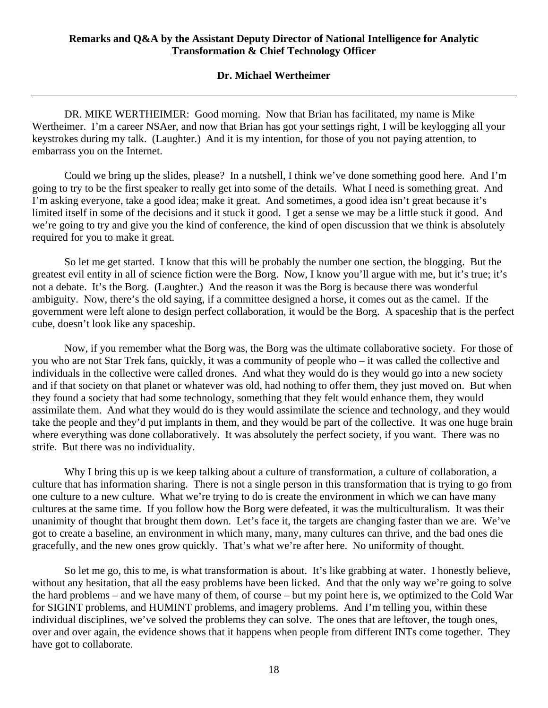#### **Dr. Michael Wertheimer**

<span id="page-17-0"></span>DR. MIKE WERTHEIMER: Good morning. Now that Brian has facilitated, my name is Mike Wertheimer. I'm a career NSAer, and now that Brian has got your settings right, I will be keylogging all your keystrokes during my talk. (Laughter.) And it is my intention, for those of you not paying attention, to embarrass you on the Internet.

Could we bring up the slides, please? In a nutshell, I think we've done something good here. And I'm going to try to be the first speaker to really get into some of the details. What I need is something great. And I'm asking everyone, take a good idea; make it great. And sometimes, a good idea isn't great because it's limited itself in some of the decisions and it stuck it good. I get a sense we may be a little stuck it good. And we're going to try and give you the kind of conference, the kind of open discussion that we think is absolutely required for you to make it great.

So let me get started. I know that this will be probably the number one section, the blogging. But the greatest evil entity in all of science fiction were the Borg. Now, I know you'll argue with me, but it's true; it's not a debate. It's the Borg. (Laughter.) And the reason it was the Borg is because there was wonderful ambiguity. Now, there's the old saying, if a committee designed a horse, it comes out as the camel. If the government were left alone to design perfect collaboration, it would be the Borg. A spaceship that is the perfect cube, doesn't look like any spaceship.

Now, if you remember what the Borg was, the Borg was the ultimate collaborative society. For those of you who are not Star Trek fans, quickly, it was a community of people who – it was called the collective and individuals in the collective were called drones. And what they would do is they would go into a new society and if that society on that planet or whatever was old, had nothing to offer them, they just moved on. But when they found a society that had some technology, something that they felt would enhance them, they would assimilate them. And what they would do is they would assimilate the science and technology, and they would take the people and they'd put implants in them, and they would be part of the collective. It was one huge brain where everything was done collaboratively. It was absolutely the perfect society, if you want. There was no strife. But there was no individuality.

Why I bring this up is we keep talking about a culture of transformation, a culture of collaboration, a culture that has information sharing. There is not a single person in this transformation that is trying to go from one culture to a new culture. What we're trying to do is create the environment in which we can have many cultures at the same time. If you follow how the Borg were defeated, it was the multiculturalism. It was their unanimity of thought that brought them down. Let's face it, the targets are changing faster than we are. We've got to create a baseline, an environment in which many, many, many cultures can thrive, and the bad ones die gracefully, and the new ones grow quickly. That's what we're after here. No uniformity of thought.

So let me go, this to me, is what transformation is about. It's like grabbing at water. I honestly believe, without any hesitation, that all the easy problems have been licked. And that the only way we're going to solve the hard problems – and we have many of them, of course – but my point here is, we optimized to the Cold War for SIGINT problems, and HUMINT problems, and imagery problems. And I'm telling you, within these individual disciplines, we've solved the problems they can solve. The ones that are leftover, the tough ones, over and over again, the evidence shows that it happens when people from different INTs come together. They have got to collaborate.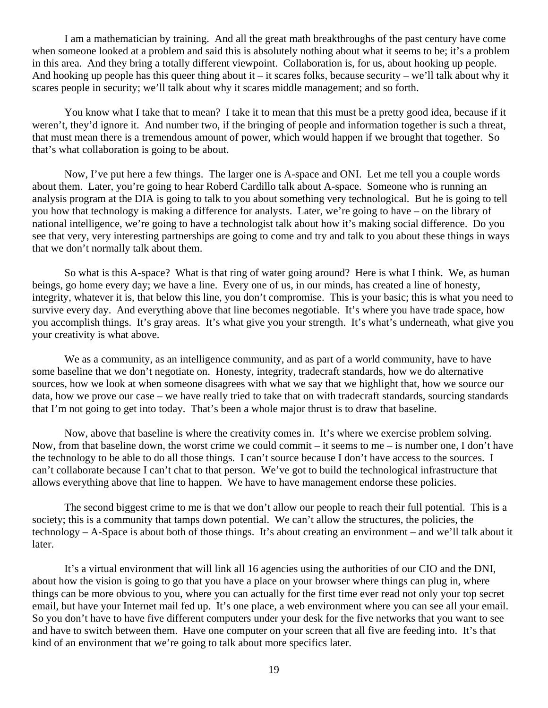I am a mathematician by training. And all the great math breakthroughs of the past century have come when someone looked at a problem and said this is absolutely nothing about what it seems to be; it's a problem in this area. And they bring a totally different viewpoint. Collaboration is, for us, about hooking up people. And hooking up people has this queer thing about it – it scares folks, because security – we'll talk about why it scares people in security; we'll talk about why it scares middle management; and so forth.

You know what I take that to mean? I take it to mean that this must be a pretty good idea, because if it weren't, they'd ignore it. And number two, if the bringing of people and information together is such a threat, that must mean there is a tremendous amount of power, which would happen if we brought that together. So that's what collaboration is going to be about.

Now, I've put here a few things. The larger one is A-space and ONI. Let me tell you a couple words about them. Later, you're going to hear Roberd Cardillo talk about A-space. Someone who is running an analysis program at the DIA is going to talk to you about something very technological. But he is going to tell you how that technology is making a difference for analysts. Later, we're going to have – on the library of national intelligence, we're going to have a technologist talk about how it's making social difference. Do you see that very, very interesting partnerships are going to come and try and talk to you about these things in ways that we don't normally talk about them.

So what is this A-space? What is that ring of water going around? Here is what I think. We, as human beings, go home every day; we have a line. Every one of us, in our minds, has created a line of honesty, integrity, whatever it is, that below this line, you don't compromise. This is your basic; this is what you need to survive every day. And everything above that line becomes negotiable. It's where you have trade space, how you accomplish things. It's gray areas. It's what give you your strength. It's what's underneath, what give you your creativity is what above.

We as a community, as an intelligence community, and as part of a world community, have to have some baseline that we don't negotiate on. Honesty, integrity, tradecraft standards, how we do alternative sources, how we look at when someone disagrees with what we say that we highlight that, how we source our data, how we prove our case – we have really tried to take that on with tradecraft standards, sourcing standards that I'm not going to get into today. That's been a whole major thrust is to draw that baseline.

Now, above that baseline is where the creativity comes in. It's where we exercise problem solving. Now, from that baseline down, the worst crime we could commit – it seems to me – is number one, I don't have the technology to be able to do all those things. I can't source because I don't have access to the sources. I can't collaborate because I can't chat to that person. We've got to build the technological infrastructure that allows everything above that line to happen. We have to have management endorse these policies.

The second biggest crime to me is that we don't allow our people to reach their full potential. This is a society; this is a community that tamps down potential. We can't allow the structures, the policies, the technology – A-Space is about both of those things. It's about creating an environment – and we'll talk about it later.

It's a virtual environment that will link all 16 agencies using the authorities of our CIO and the DNI, about how the vision is going to go that you have a place on your browser where things can plug in, where things can be more obvious to you, where you can actually for the first time ever read not only your top secret email, but have your Internet mail fed up. It's one place, a web environment where you can see all your email. So you don't have to have five different computers under your desk for the five networks that you want to see and have to switch between them. Have one computer on your screen that all five are feeding into. It's that kind of an environment that we're going to talk about more specifics later.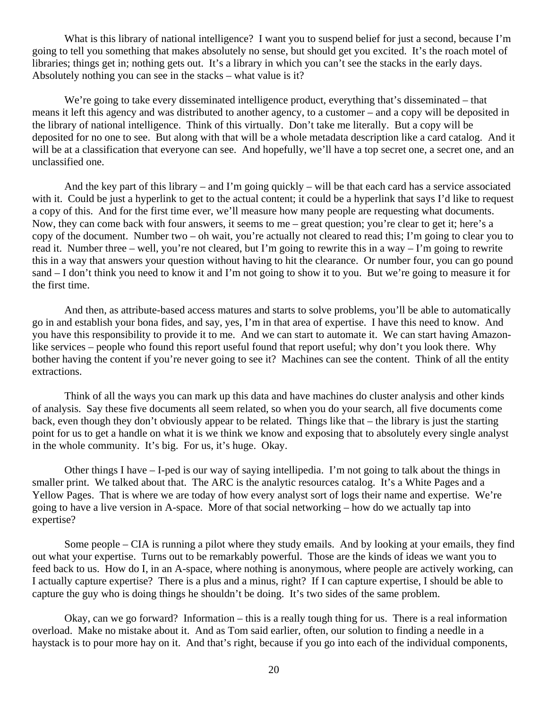What is this library of national intelligence? I want you to suspend belief for just a second, because I'm going to tell you something that makes absolutely no sense, but should get you excited. It's the roach motel of libraries; things get in; nothing gets out. It's a library in which you can't see the stacks in the early days. Absolutely nothing you can see in the stacks – what value is it?

We're going to take every disseminated intelligence product, everything that's disseminated – that means it left this agency and was distributed to another agency, to a customer – and a copy will be deposited in the library of national intelligence. Think of this virtually. Don't take me literally. But a copy will be deposited for no one to see. But along with that will be a whole metadata description like a card catalog. And it will be at a classification that everyone can see. And hopefully, we'll have a top secret one, a secret one, and an unclassified one.

And the key part of this library – and I'm going quickly – will be that each card has a service associated with it. Could be just a hyperlink to get to the actual content; it could be a hyperlink that says I'd like to request a copy of this. And for the first time ever, we'll measure how many people are requesting what documents. Now, they can come back with four answers, it seems to me – great question; you're clear to get it; here's a copy of the document. Number two – oh wait, you're actually not cleared to read this; I'm going to clear you to read it. Number three – well, you're not cleared, but I'm going to rewrite this in a way – I'm going to rewrite this in a way that answers your question without having to hit the clearance. Or number four, you can go pound sand – I don't think you need to know it and I'm not going to show it to you. But we're going to measure it for the first time.

And then, as attribute-based access matures and starts to solve problems, you'll be able to automatically go in and establish your bona fides, and say, yes, I'm in that area of expertise. I have this need to know. And you have this responsibility to provide it to me. And we can start to automate it. We can start having Amazonlike services – people who found this report useful found that report useful; why don't you look there. Why bother having the content if you're never going to see it? Machines can see the content. Think of all the entity extractions.

Think of all the ways you can mark up this data and have machines do cluster analysis and other kinds of analysis. Say these five documents all seem related, so when you do your search, all five documents come back, even though they don't obviously appear to be related. Things like that – the library is just the starting point for us to get a handle on what it is we think we know and exposing that to absolutely every single analyst in the whole community. It's big. For us, it's huge. Okay.

Other things I have – I-ped is our way of saying intellipedia. I'm not going to talk about the things in smaller print. We talked about that. The ARC is the analytic resources catalog. It's a White Pages and a Yellow Pages. That is where we are today of how every analyst sort of logs their name and expertise. We're going to have a live version in A-space. More of that social networking – how do we actually tap into expertise?

Some people – CIA is running a pilot where they study emails. And by looking at your emails, they find out what your expertise. Turns out to be remarkably powerful. Those are the kinds of ideas we want you to feed back to us. How do I, in an A-space, where nothing is anonymous, where people are actively working, can I actually capture expertise? There is a plus and a minus, right? If I can capture expertise, I should be able to capture the guy who is doing things he shouldn't be doing. It's two sides of the same problem.

Okay, can we go forward? Information – this is a really tough thing for us. There is a real information overload. Make no mistake about it. And as Tom said earlier, often, our solution to finding a needle in a haystack is to pour more hay on it. And that's right, because if you go into each of the individual components,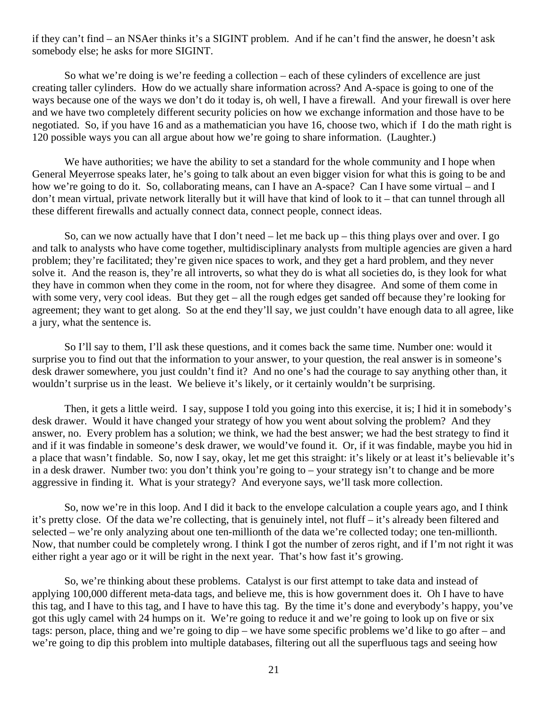if they can't find – an NSAer thinks it's a SIGINT problem. And if he can't find the answer, he doesn't ask somebody else; he asks for more SIGINT.

So what we're doing is we're feeding a collection – each of these cylinders of excellence are just creating taller cylinders. How do we actually share information across? And A-space is going to one of the ways because one of the ways we don't do it today is, oh well, I have a firewall. And your firewall is over here and we have two completely different security policies on how we exchange information and those have to be negotiated. So, if you have 16 and as a mathematician you have 16, choose two, which if I do the math right is 120 possible ways you can all argue about how we're going to share information. (Laughter.)

We have authorities; we have the ability to set a standard for the whole community and I hope when General Meyerrose speaks later, he's going to talk about an even bigger vision for what this is going to be and how we're going to do it. So, collaborating means, can I have an A-space? Can I have some virtual – and I don't mean virtual, private network literally but it will have that kind of look to it – that can tunnel through all these different firewalls and actually connect data, connect people, connect ideas.

So, can we now actually have that I don't need – let me back up – this thing plays over and over. I go and talk to analysts who have come together, multidisciplinary analysts from multiple agencies are given a hard problem; they're facilitated; they're given nice spaces to work, and they get a hard problem, and they never solve it. And the reason is, they're all introverts, so what they do is what all societies do, is they look for what they have in common when they come in the room, not for where they disagree. And some of them come in with some very, very cool ideas. But they get – all the rough edges get sanded off because they're looking for agreement; they want to get along. So at the end they'll say, we just couldn't have enough data to all agree, like a jury, what the sentence is.

So I'll say to them, I'll ask these questions, and it comes back the same time. Number one: would it surprise you to find out that the information to your answer, to your question, the real answer is in someone's desk drawer somewhere, you just couldn't find it? And no one's had the courage to say anything other than, it wouldn't surprise us in the least. We believe it's likely, or it certainly wouldn't be surprising.

Then, it gets a little weird. I say, suppose I told you going into this exercise, it is; I hid it in somebody's desk drawer. Would it have changed your strategy of how you went about solving the problem? And they answer, no. Every problem has a solution; we think, we had the best answer; we had the best strategy to find it and if it was findable in someone's desk drawer, we would've found it. Or, if it was findable, maybe you hid in a place that wasn't findable. So, now I say, okay, let me get this straight: it's likely or at least it's believable it's in a desk drawer. Number two: you don't think you're going to – your strategy isn't to change and be more aggressive in finding it. What is your strategy? And everyone says, we'll task more collection.

So, now we're in this loop. And I did it back to the envelope calculation a couple years ago, and I think it's pretty close. Of the data we're collecting, that is genuinely intel, not fluff – it's already been filtered and selected – we're only analyzing about one ten-millionth of the data we're collected today; one ten-millionth. Now, that number could be completely wrong. I think I got the number of zeros right, and if I'm not right it was either right a year ago or it will be right in the next year. That's how fast it's growing.

So, we're thinking about these problems. Catalyst is our first attempt to take data and instead of applying 100,000 different meta-data tags, and believe me, this is how government does it. Oh I have to have this tag, and I have to this tag, and I have to have this tag. By the time it's done and everybody's happy, you've got this ugly camel with 24 humps on it. We're going to reduce it and we're going to look up on five or six tags: person, place, thing and we're going to dip – we have some specific problems we'd like to go after – and we're going to dip this problem into multiple databases, filtering out all the superfluous tags and seeing how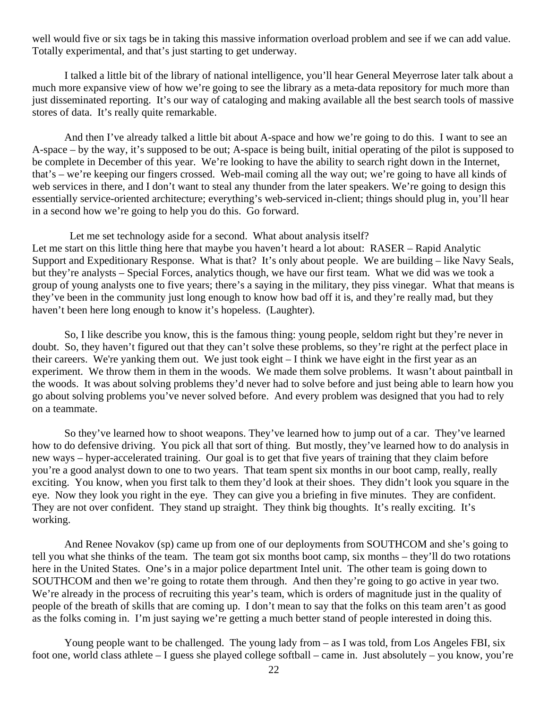well would five or six tags be in taking this massive information overload problem and see if we can add value. Totally experimental, and that's just starting to get underway.

I talked a little bit of the library of national intelligence, you'll hear General Meyerrose later talk about a much more expansive view of how we're going to see the library as a meta-data repository for much more than just disseminated reporting. It's our way of cataloging and making available all the best search tools of massive stores of data. It's really quite remarkable.

And then I've already talked a little bit about A-space and how we're going to do this. I want to see an A-space – by the way, it's supposed to be out; A-space is being built, initial operating of the pilot is supposed to be complete in December of this year. We're looking to have the ability to search right down in the Internet, that's – we're keeping our fingers crossed. Web-mail coming all the way out; we're going to have all kinds of web services in there, and I don't want to steal any thunder from the later speakers. We're going to design this essentially service-oriented architecture; everything's web-serviced in-client; things should plug in, you'll hear in a second how we're going to help you do this. Go forward.

 Let me set technology aside for a second. What about analysis itself? Let me start on this little thing here that maybe you haven't heard a lot about: RASER – Rapid Analytic Support and Expeditionary Response. What is that? It's only about people. We are building – like Navy Seals, but they're analysts – Special Forces, analytics though, we have our first team. What we did was we took a group of young analysts one to five years; there's a saying in the military, they piss vinegar. What that means is they've been in the community just long enough to know how bad off it is, and they're really mad, but they haven't been here long enough to know it's hopeless. (Laughter).

 So, I like describe you know, this is the famous thing: young people, seldom right but they're never in doubt. So, they haven't figured out that they can't solve these problems, so they're right at the perfect place in their careers. We're yanking them out. We just took eight – I think we have eight in the first year as an experiment. We throw them in them in the woods. We made them solve problems. It wasn't about paintball in the woods. It was about solving problems they'd never had to solve before and just being able to learn how you go about solving problems you've never solved before. And every problem was designed that you had to rely on a teammate.

So they've learned how to shoot weapons. They've learned how to jump out of a car. They've learned how to do defensive driving. You pick all that sort of thing. But mostly, they've learned how to do analysis in new ways – hyper-accelerated training. Our goal is to get that five years of training that they claim before you're a good analyst down to one to two years. That team spent six months in our boot camp, really, really exciting. You know, when you first talk to them they'd look at their shoes. They didn't look you square in the eye. Now they look you right in the eye. They can give you a briefing in five minutes. They are confident. They are not over confident. They stand up straight. They think big thoughts. It's really exciting. It's working.

And Renee Novakov (sp) came up from one of our deployments from SOUTHCOM and she's going to tell you what she thinks of the team. The team got six months boot camp, six months – they'll do two rotations here in the United States. One's in a major police department Intel unit. The other team is going down to SOUTHCOM and then we're going to rotate them through. And then they're going to go active in year two. We're already in the process of recruiting this year's team, which is orders of magnitude just in the quality of people of the breath of skills that are coming up. I don't mean to say that the folks on this team aren't as good as the folks coming in. I'm just saying we're getting a much better stand of people interested in doing this.

Young people want to be challenged. The young lady from – as I was told, from Los Angeles FBI, six foot one, world class athlete – I guess she played college softball – came in. Just absolutely – you know, you're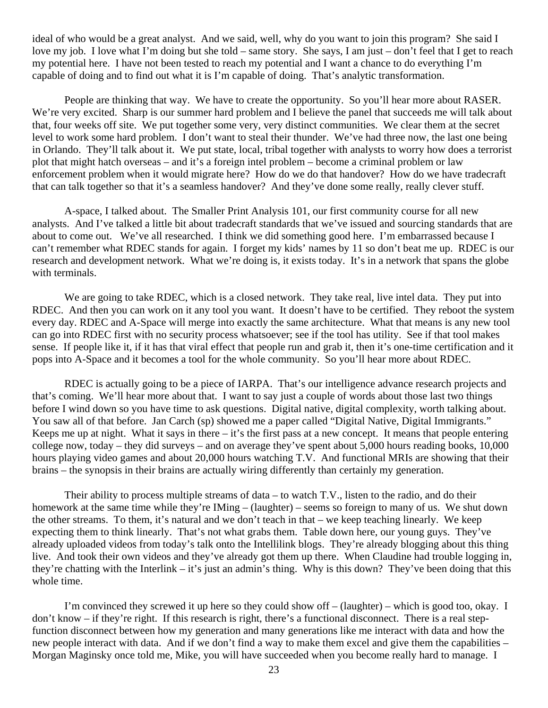ideal of who would be a great analyst. And we said, well, why do you want to join this program? She said I love my job. I love what I'm doing but she told – same story. She says, I am just – don't feel that I get to reach my potential here. I have not been tested to reach my potential and I want a chance to do everything I'm capable of doing and to find out what it is I'm capable of doing. That's analytic transformation.

People are thinking that way. We have to create the opportunity. So you'll hear more about RASER. We're very excited. Sharp is our summer hard problem and I believe the panel that succeeds me will talk about that, four weeks off site. We put together some very, very distinct communities. We clear them at the secret level to work some hard problem. I don't want to steal their thunder. We've had three now, the last one being in Orlando. They'll talk about it. We put state, local, tribal together with analysts to worry how does a terrorist plot that might hatch overseas – and it's a foreign intel problem – become a criminal problem or law enforcement problem when it would migrate here? How do we do that handover? How do we have tradecraft that can talk together so that it's a seamless handover? And they've done some really, really clever stuff.

A-space, I talked about. The Smaller Print Analysis 101, our first community course for all new analysts. And I've talked a little bit about tradecraft standards that we've issued and sourcing standards that are about to come out. We've all researched. I think we did something good here. I'm embarrassed because I can't remember what RDEC stands for again. I forget my kids' names by 11 so don't beat me up. RDEC is our research and development network. What we're doing is, it exists today. It's in a network that spans the globe with terminals.

We are going to take RDEC, which is a closed network. They take real, live intel data. They put into RDEC. And then you can work on it any tool you want. It doesn't have to be certified. They reboot the system every day. RDEC and A-Space will merge into exactly the same architecture. What that means is any new tool can go into RDEC first with no security process whatsoever; see if the tool has utility. See if that tool makes sense. If people like it, if it has that viral effect that people run and grab it, then it's one-time certification and it pops into A-Space and it becomes a tool for the whole community. So you'll hear more about RDEC.

RDEC is actually going to be a piece of IARPA. That's our intelligence advance research projects and that's coming. We'll hear more about that. I want to say just a couple of words about those last two things before I wind down so you have time to ask questions. Digital native, digital complexity, worth talking about. You saw all of that before. Jan Carch (sp) showed me a paper called "Digital Native, Digital Immigrants." Keeps me up at night. What it says in there – it's the first pass at a new concept. It means that people entering college now, today – they did surveys – and on average they've spent about 5,000 hours reading books, 10,000 hours playing video games and about 20,000 hours watching T.V. And functional MRIs are showing that their brains – the synopsis in their brains are actually wiring differently than certainly my generation.

Their ability to process multiple streams of data – to watch T.V., listen to the radio, and do their homework at the same time while they're IMing – (laughter) – seems so foreign to many of us. We shut down the other streams. To them, it's natural and we don't teach in that – we keep teaching linearly. We keep expecting them to think linearly. That's not what grabs them. Table down here, our young guys. They've already uploaded videos from today's talk onto the Intellilink blogs. They're already blogging about this thing live. And took their own videos and they've already got them up there. When Claudine had trouble logging in, they're chatting with the Interlink – it's just an admin's thing. Why is this down? They've been doing that this whole time.

I'm convinced they screwed it up here so they could show off – (laughter) – which is good too, okay. I don't know – if they're right. If this research is right, there's a functional disconnect. There is a real stepfunction disconnect between how my generation and many generations like me interact with data and how the new people interact with data. And if we don't find a way to make them excel and give them the capabilities – Morgan Maginsky once told me, Mike, you will have succeeded when you become really hard to manage. I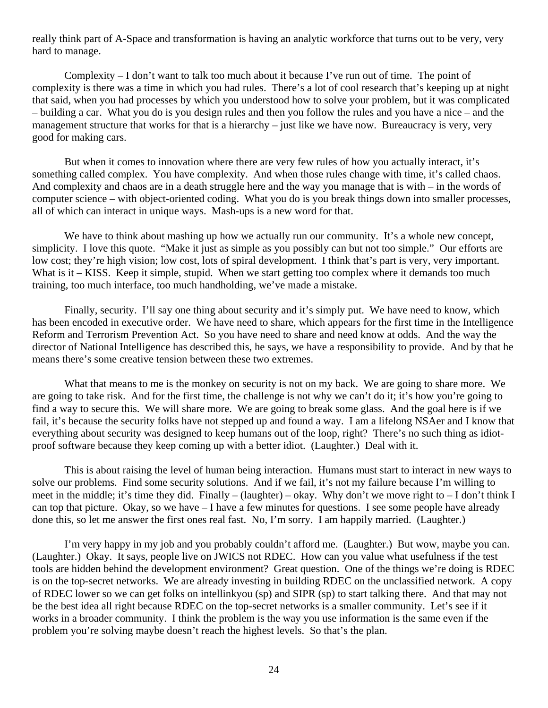really think part of A-Space and transformation is having an analytic workforce that turns out to be very, very hard to manage.

Complexity – I don't want to talk too much about it because I've run out of time. The point of complexity is there was a time in which you had rules. There's a lot of cool research that's keeping up at night that said, when you had processes by which you understood how to solve your problem, but it was complicated – building a car. What you do is you design rules and then you follow the rules and you have a nice – and the management structure that works for that is a hierarchy – just like we have now. Bureaucracy is very, very good for making cars.

But when it comes to innovation where there are very few rules of how you actually interact, it's something called complex. You have complexity. And when those rules change with time, it's called chaos. And complexity and chaos are in a death struggle here and the way you manage that is with – in the words of computer science – with object-oriented coding. What you do is you break things down into smaller processes, all of which can interact in unique ways. Mash-ups is a new word for that.

We have to think about mashing up how we actually run our community. It's a whole new concept, simplicity. I love this quote. "Make it just as simple as you possibly can but not too simple." Our efforts are low cost; they're high vision; low cost, lots of spiral development. I think that's part is very, very important. What is it – KISS. Keep it simple, stupid. When we start getting too complex where it demands too much training, too much interface, too much handholding, we've made a mistake.

Finally, security. I'll say one thing about security and it's simply put. We have need to know, which has been encoded in executive order. We have need to share, which appears for the first time in the Intelligence Reform and Terrorism Prevention Act. So you have need to share and need know at odds. And the way the director of National Intelligence has described this, he says, we have a responsibility to provide. And by that he means there's some creative tension between these two extremes.

What that means to me is the monkey on security is not on my back. We are going to share more. We are going to take risk. And for the first time, the challenge is not why we can't do it; it's how you're going to find a way to secure this. We will share more. We are going to break some glass. And the goal here is if we fail, it's because the security folks have not stepped up and found a way. I am a lifelong NSAer and I know that everything about security was designed to keep humans out of the loop, right? There's no such thing as idiotproof software because they keep coming up with a better idiot. (Laughter.) Deal with it.

This is about raising the level of human being interaction. Humans must start to interact in new ways to solve our problems. Find some security solutions. And if we fail, it's not my failure because I'm willing to meet in the middle; it's time they did. Finally – (laughter) – okay. Why don't we move right to – I don't think I can top that picture. Okay, so we have – I have a few minutes for questions. I see some people have already done this, so let me answer the first ones real fast. No, I'm sorry. I am happily married. (Laughter.)

I'm very happy in my job and you probably couldn't afford me. (Laughter.) But wow, maybe you can. (Laughter.) Okay. It says, people live on JWICS not RDEC. How can you value what usefulness if the test tools are hidden behind the development environment? Great question. One of the things we're doing is RDEC is on the top-secret networks. We are already investing in building RDEC on the unclassified network. A copy of RDEC lower so we can get folks on intellinkyou (sp) and SIPR (sp) to start talking there. And that may not be the best idea all right because RDEC on the top-secret networks is a smaller community. Let's see if it works in a broader community. I think the problem is the way you use information is the same even if the problem you're solving maybe doesn't reach the highest levels. So that's the plan.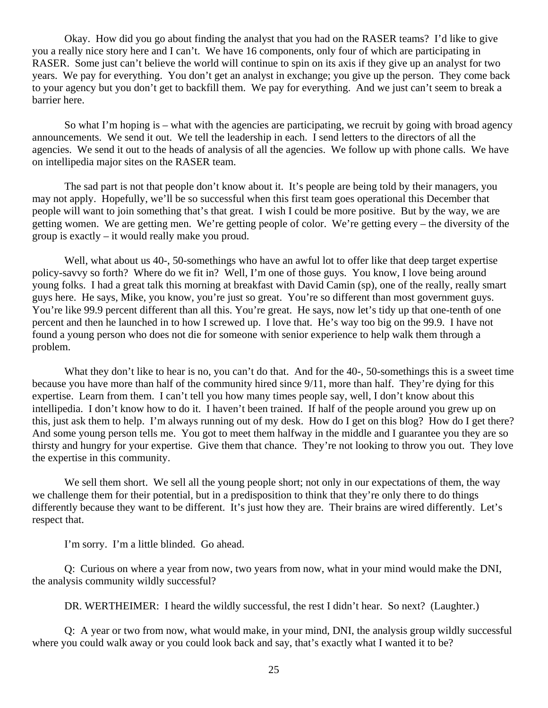Okay. How did you go about finding the analyst that you had on the RASER teams? I'd like to give you a really nice story here and I can't. We have 16 components, only four of which are participating in RASER. Some just can't believe the world will continue to spin on its axis if they give up an analyst for two years. We pay for everything. You don't get an analyst in exchange; you give up the person. They come back to your agency but you don't get to backfill them. We pay for everything. And we just can't seem to break a barrier here.

So what I'm hoping is – what with the agencies are participating, we recruit by going with broad agency announcements. We send it out. We tell the leadership in each. I send letters to the directors of all the agencies. We send it out to the heads of analysis of all the agencies. We follow up with phone calls. We have on intellipedia major sites on the RASER team.

The sad part is not that people don't know about it. It's people are being told by their managers, you may not apply. Hopefully, we'll be so successful when this first team goes operational this December that people will want to join something that's that great. I wish I could be more positive. But by the way, we are getting women. We are getting men. We're getting people of color. We're getting every – the diversity of the group is exactly – it would really make you proud.

Well, what about us 40-, 50-somethings who have an awful lot to offer like that deep target expertise policy-savvy so forth? Where do we fit in? Well, I'm one of those guys. You know, I love being around young folks. I had a great talk this morning at breakfast with David Camin (sp), one of the really, really smart guys here. He says, Mike, you know, you're just so great. You're so different than most government guys. You're like 99.9 percent different than all this. You're great. He says, now let's tidy up that one-tenth of one percent and then he launched in to how I screwed up. I love that. He's way too big on the 99.9. I have not found a young person who does not die for someone with senior experience to help walk them through a problem.

What they don't like to hear is no, you can't do that. And for the 40-, 50-somethings this is a sweet time because you have more than half of the community hired since 9/11, more than half. They're dying for this expertise. Learn from them. I can't tell you how many times people say, well, I don't know about this intellipedia. I don't know how to do it. I haven't been trained. If half of the people around you grew up on this, just ask them to help. I'm always running out of my desk. How do I get on this blog? How do I get there? And some young person tells me. You got to meet them halfway in the middle and I guarantee you they are so thirsty and hungry for your expertise. Give them that chance. They're not looking to throw you out. They love the expertise in this community.

We sell them short. We sell all the young people short; not only in our expectations of them, the way we challenge them for their potential, but in a predisposition to think that they're only there to do things differently because they want to be different. It's just how they are. Their brains are wired differently. Let's respect that.

I'm sorry. I'm a little blinded. Go ahead.

Q: Curious on where a year from now, two years from now, what in your mind would make the DNI, the analysis community wildly successful?

DR. WERTHEIMER: I heard the wildly successful, the rest I didn't hear. So next? (Laughter.)

Q: A year or two from now, what would make, in your mind, DNI, the analysis group wildly successful where you could walk away or you could look back and say, that's exactly what I wanted it to be?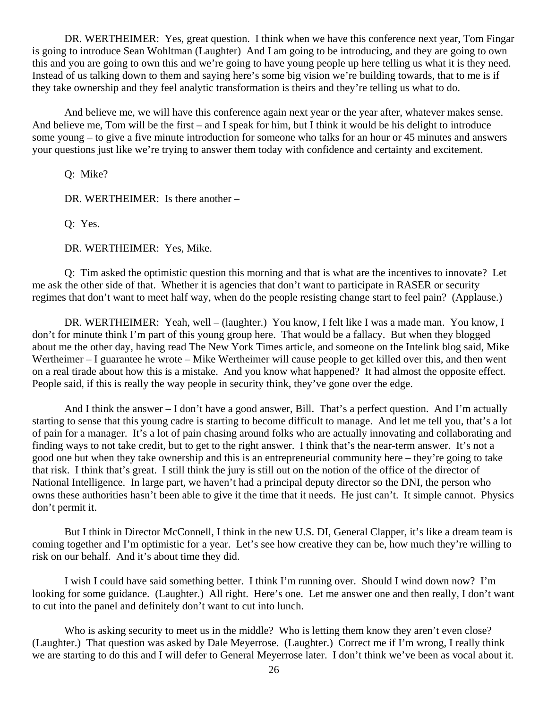DR. WERTHEIMER: Yes, great question. I think when we have this conference next year, Tom Fingar is going to introduce Sean Wohltman (Laughter) And I am going to be introducing, and they are going to own this and you are going to own this and we're going to have young people up here telling us what it is they need. Instead of us talking down to them and saying here's some big vision we're building towards, that to me is if they take ownership and they feel analytic transformation is theirs and they're telling us what to do.

And believe me, we will have this conference again next year or the year after, whatever makes sense. And believe me, Tom will be the first – and I speak for him, but I think it would be his delight to introduce some young – to give a five minute introduction for someone who talks for an hour or 45 minutes and answers your questions just like we're trying to answer them today with confidence and certainty and excitement.

Q: Mike?

DR. WERTHEIMER: Is there another –

Q: Yes.

DR. WERTHEIMER: Yes, Mike.

Q: Tim asked the optimistic question this morning and that is what are the incentives to innovate? Let me ask the other side of that. Whether it is agencies that don't want to participate in RASER or security regimes that don't want to meet half way, when do the people resisting change start to feel pain? (Applause.)

DR. WERTHEIMER: Yeah, well – (laughter.) You know, I felt like I was a made man. You know, I don't for minute think I'm part of this young group here. That would be a fallacy. But when they blogged about me the other day, having read The New York Times article, and someone on the Intelink blog said, Mike Wertheimer – I guarantee he wrote – Mike Wertheimer will cause people to get killed over this, and then went on a real tirade about how this is a mistake. And you know what happened? It had almost the opposite effect. People said, if this is really the way people in security think, they've gone over the edge.

And I think the answer – I don't have a good answer, Bill. That's a perfect question. And I'm actually starting to sense that this young cadre is starting to become difficult to manage. And let me tell you, that's a lot of pain for a manager. It's a lot of pain chasing around folks who are actually innovating and collaborating and finding ways to not take credit, but to get to the right answer. I think that's the near-term answer. It's not a good one but when they take ownership and this is an entrepreneurial community here – they're going to take that risk. I think that's great. I still think the jury is still out on the notion of the office of the director of National Intelligence. In large part, we haven't had a principal deputy director so the DNI, the person who owns these authorities hasn't been able to give it the time that it needs. He just can't. It simple cannot. Physics don't permit it.

But I think in Director McConnell, I think in the new U.S. DI, General Clapper, it's like a dream team is coming together and I'm optimistic for a year. Let's see how creative they can be, how much they're willing to risk on our behalf. And it's about time they did.

I wish I could have said something better. I think I'm running over. Should I wind down now? I'm looking for some guidance. (Laughter.) All right. Here's one. Let me answer one and then really, I don't want to cut into the panel and definitely don't want to cut into lunch.

Who is asking security to meet us in the middle? Who is letting them know they aren't even close? (Laughter.) That question was asked by Dale Meyerrose. (Laughter.) Correct me if I'm wrong, I really think we are starting to do this and I will defer to General Meyerrose later. I don't think we've been as vocal about it.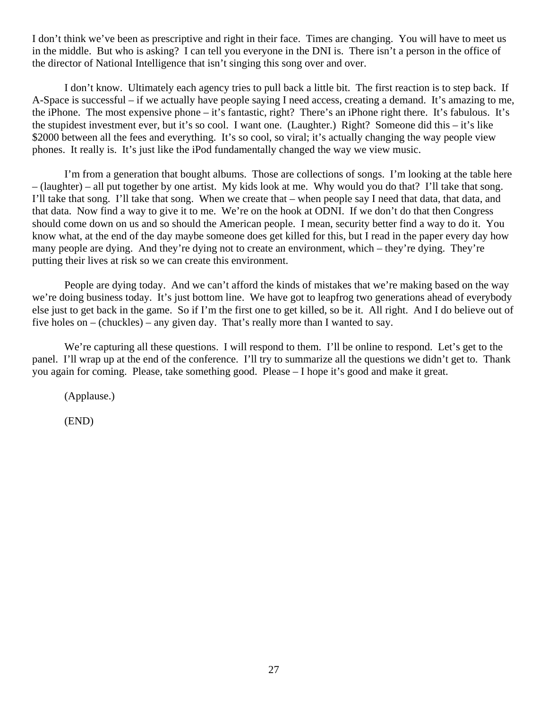I don't think we've been as prescriptive and right in their face. Times are changing. You will have to meet us in the middle. But who is asking? I can tell you everyone in the DNI is. There isn't a person in the office of the director of National Intelligence that isn't singing this song over and over.

I don't know. Ultimately each agency tries to pull back a little bit. The first reaction is to step back. If A-Space is successful – if we actually have people saying I need access, creating a demand. It's amazing to me, the iPhone. The most expensive phone – it's fantastic, right? There's an iPhone right there. It's fabulous. It's the stupidest investment ever, but it's so cool. I want one. (Laughter.) Right? Someone did this – it's like \$2000 between all the fees and everything. It's so cool, so viral; it's actually changing the way people view phones. It really is. It's just like the iPod fundamentally changed the way we view music.

I'm from a generation that bought albums. Those are collections of songs. I'm looking at the table here – (laughter) – all put together by one artist. My kids look at me. Why would you do that? I'll take that song. I'll take that song. I'll take that song. When we create that – when people say I need that data, that data, and that data. Now find a way to give it to me. We're on the hook at ODNI. If we don't do that then Congress should come down on us and so should the American people. I mean, security better find a way to do it. You know what, at the end of the day maybe someone does get killed for this, but I read in the paper every day how many people are dying. And they're dying not to create an environment, which – they're dying. They're putting their lives at risk so we can create this environment.

People are dying today. And we can't afford the kinds of mistakes that we're making based on the way we're doing business today. It's just bottom line. We have got to leapfrog two generations ahead of everybody else just to get back in the game. So if I'm the first one to get killed, so be it. All right. And I do believe out of five holes on – (chuckles) – any given day. That's really more than I wanted to say.

We're capturing all these questions. I will respond to them. I'll be online to respond. Let's get to the panel. I'll wrap up at the end of the conference. I'll try to summarize all the questions we didn't get to. Thank you again for coming. Please, take something good. Please – I hope it's good and make it great.

(Applause.)

(END)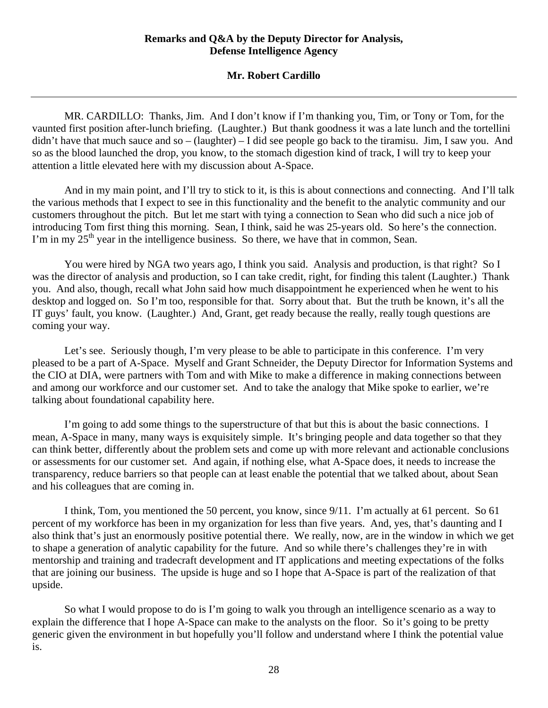### **Remarks and Q&A by the Deputy Director for Analysis, Defense Intelligence Agency**

### **Mr. Robert Cardillo**

<span id="page-27-0"></span> MR. CARDILLO: Thanks, Jim. And I don't know if I'm thanking you, Tim, or Tony or Tom, for the vaunted first position after-lunch briefing. (Laughter.) But thank goodness it was a late lunch and the tortellini didn't have that much sauce and so – (laughter) – I did see people go back to the tiramisu. Jim, I saw you. And so as the blood launched the drop, you know, to the stomach digestion kind of track, I will try to keep your attention a little elevated here with my discussion about A-Space.

 And in my main point, and I'll try to stick to it, is this is about connections and connecting. And I'll talk the various methods that I expect to see in this functionality and the benefit to the analytic community and our customers throughout the pitch. But let me start with tying a connection to Sean who did such a nice job of introducing Tom first thing this morning. Sean, I think, said he was 25-years old. So here's the connection. I'm in my  $25<sup>th</sup>$  year in the intelligence business. So there, we have that in common, Sean.

 You were hired by NGA two years ago, I think you said. Analysis and production, is that right? So I was the director of analysis and production, so I can take credit, right, for finding this talent (Laughter.) Thank you. And also, though, recall what John said how much disappointment he experienced when he went to his desktop and logged on. So I'm too, responsible for that. Sorry about that. But the truth be known, it's all the IT guys' fault, you know. (Laughter.) And, Grant, get ready because the really, really tough questions are coming your way.

Let's see. Seriously though, I'm very please to be able to participate in this conference. I'm very pleased to be a part of A-Space. Myself and Grant Schneider, the Deputy Director for Information Systems and the CIO at DIA, were partners with Tom and with Mike to make a difference in making connections between and among our workforce and our customer set. And to take the analogy that Mike spoke to earlier, we're talking about foundational capability here.

 I'm going to add some things to the superstructure of that but this is about the basic connections. I mean, A-Space in many, many ways is exquisitely simple. It's bringing people and data together so that they can think better, differently about the problem sets and come up with more relevant and actionable conclusions or assessments for our customer set. And again, if nothing else, what A-Space does, it needs to increase the transparency, reduce barriers so that people can at least enable the potential that we talked about, about Sean and his colleagues that are coming in.

 I think, Tom, you mentioned the 50 percent, you know, since 9/11. I'm actually at 61 percent. So 61 percent of my workforce has been in my organization for less than five years. And, yes, that's daunting and I also think that's just an enormously positive potential there. We really, now, are in the window in which we get to shape a generation of analytic capability for the future. And so while there's challenges they're in with mentorship and training and tradecraft development and IT applications and meeting expectations of the folks that are joining our business. The upside is huge and so I hope that A-Space is part of the realization of that upside.

 So what I would propose to do is I'm going to walk you through an intelligence scenario as a way to explain the difference that I hope A-Space can make to the analysts on the floor. So it's going to be pretty generic given the environment in but hopefully you'll follow and understand where I think the potential value is.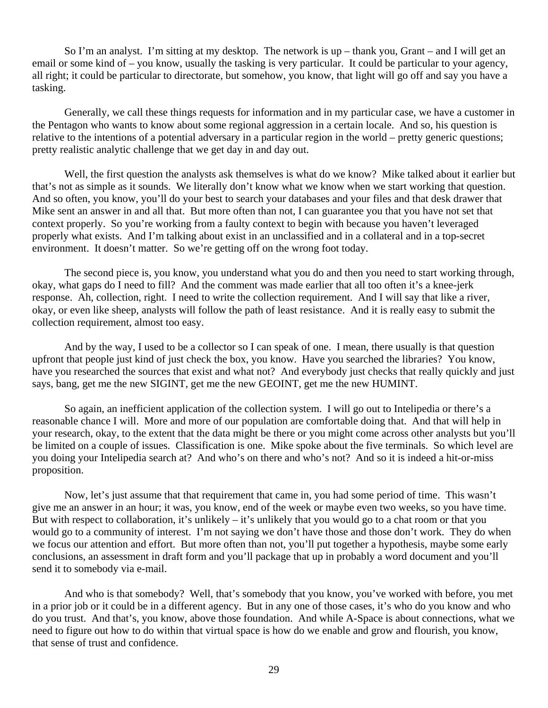So I'm an analyst. I'm sitting at my desktop. The network is up – thank you, Grant – and I will get an email or some kind of – you know, usually the tasking is very particular. It could be particular to your agency, all right; it could be particular to directorate, but somehow, you know, that light will go off and say you have a tasking.

 Generally, we call these things requests for information and in my particular case, we have a customer in the Pentagon who wants to know about some regional aggression in a certain locale. And so, his question is relative to the intentions of a potential adversary in a particular region in the world – pretty generic questions; pretty realistic analytic challenge that we get day in and day out.

 Well, the first question the analysts ask themselves is what do we know? Mike talked about it earlier but that's not as simple as it sounds. We literally don't know what we know when we start working that question. And so often, you know, you'll do your best to search your databases and your files and that desk drawer that Mike sent an answer in and all that. But more often than not, I can guarantee you that you have not set that context properly. So you're working from a faulty context to begin with because you haven't leveraged properly what exists. And I'm talking about exist in an unclassified and in a collateral and in a top-secret environment. It doesn't matter. So we're getting off on the wrong foot today.

The second piece is, you know, you understand what you do and then you need to start working through, okay, what gaps do I need to fill? And the comment was made earlier that all too often it's a knee-jerk response. Ah, collection, right. I need to write the collection requirement. And I will say that like a river, okay, or even like sheep, analysts will follow the path of least resistance. And it is really easy to submit the collection requirement, almost too easy.

And by the way, I used to be a collector so I can speak of one. I mean, there usually is that question upfront that people just kind of just check the box, you know. Have you searched the libraries? You know, have you researched the sources that exist and what not? And everybody just checks that really quickly and just says, bang, get me the new SIGINT, get me the new GEOINT, get me the new HUMINT.

So again, an inefficient application of the collection system. I will go out to Intelipedia or there's a reasonable chance I will. More and more of our population are comfortable doing that. And that will help in your research, okay, to the extent that the data might be there or you might come across other analysts but you'll be limited on a couple of issues. Classification is one. Mike spoke about the five terminals. So which level are you doing your Intelipedia search at? And who's on there and who's not? And so it is indeed a hit-or-miss proposition.

Now, let's just assume that that requirement that came in, you had some period of time. This wasn't give me an answer in an hour; it was, you know, end of the week or maybe even two weeks, so you have time. But with respect to collaboration, it's unlikely – it's unlikely that you would go to a chat room or that you would go to a community of interest. I'm not saying we don't have those and those don't work. They do when we focus our attention and effort. But more often than not, you'll put together a hypothesis, maybe some early conclusions, an assessment in draft form and you'll package that up in probably a word document and you'll send it to somebody via e-mail.

And who is that somebody? Well, that's somebody that you know, you've worked with before, you met in a prior job or it could be in a different agency. But in any one of those cases, it's who do you know and who do you trust. And that's, you know, above those foundation. And while A-Space is about connections, what we need to figure out how to do within that virtual space is how do we enable and grow and flourish, you know, that sense of trust and confidence.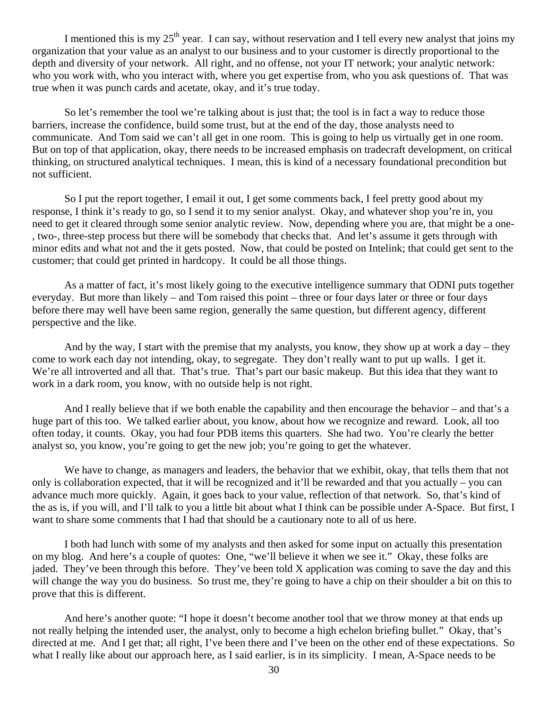I mentioned this is my  $25<sup>th</sup>$  year. I can say, without reservation and I tell every new analyst that joins my organization that your value as an analyst to our business and to your customer is directly proportional to the depth and diversity of your network. All right, and no offense, not your IT network; your analytic network: who you work with, who you interact with, where you get expertise from, who you ask questions of. That was true when it was punch cards and acetate, okay, and it's true today.

So let's remember the tool we're talking about is just that; the tool is in fact a way to reduce those barriers, increase the confidence, build some trust, but at the end of the day, those analysts need to communicate. And Tom said we can't all get in one room. This is going to help us virtually get in one room. But on top of that application, okay, there needs to be increased emphasis on tradecraft development, on critical thinking, on structured analytical techniques. I mean, this is kind of a necessary foundational precondition but not sufficient.

So I put the report together, I email it out, I get some comments back, I feel pretty good about my response, I think it's ready to go, so I send it to my senior analyst. Okay, and whatever shop you're in, you need to get it cleared through some senior analytic review. Now, depending where you are, that might be a one- , two-, three-step process but there will be somebody that checks that. And let's assume it gets through with minor edits and what not and the it gets posted. Now, that could be posted on Intelink; that could get sent to the customer; that could get printed in hardcopy. It could be all those things.

As a matter of fact, it's most likely going to the executive intelligence summary that ODNI puts together everyday. But more than likely – and Tom raised this point – three or four days later or three or four days before there may well have been same region, generally the same question, but different agency, different perspective and the like.

And by the way, I start with the premise that my analysts, you know, they show up at work a day – they come to work each day not intending, okay, to segregate. They don't really want to put up walls. I get it. We're all introverted and all that. That's true. That's part our basic makeup. But this idea that they want to work in a dark room, you know, with no outside help is not right.

And I really believe that if we both enable the capability and then encourage the behavior – and that's a huge part of this too. We talked earlier about, you know, about how we recognize and reward. Look, all too often today, it counts. Okay, you had four PDB items this quarters. She had two. You're clearly the better analyst so, you know, you're going to get the new job; you're going to get the whatever.

We have to change, as managers and leaders, the behavior that we exhibit, okay, that tells them that not only is collaboration expected, that it will be recognized and it'll be rewarded and that you actually – you can advance much more quickly. Again, it goes back to your value, reflection of that network. So, that's kind of the as is, if you will, and I'll talk to you a little bit about what I think can be possible under A-Space. But first, I want to share some comments that I had that should be a cautionary note to all of us here.

I both had lunch with some of my analysts and then asked for some input on actually this presentation on my blog. And here's a couple of quotes: One, "we'll believe it when we see it." Okay, these folks are jaded. They've been through this before. They've been told X application was coming to save the day and this will change the way you do business. So trust me, they're going to have a chip on their shoulder a bit on this to prove that this is different.

And here's another quote: "I hope it doesn't become another tool that we throw money at that ends up not really helping the intended user, the analyst, only to become a high echelon briefing bullet." Okay, that's directed at me. And I get that; all right, I've been there and I've been on the other end of these expectations. So what I really like about our approach here, as I said earlier, is in its simplicity. I mean, A-Space needs to be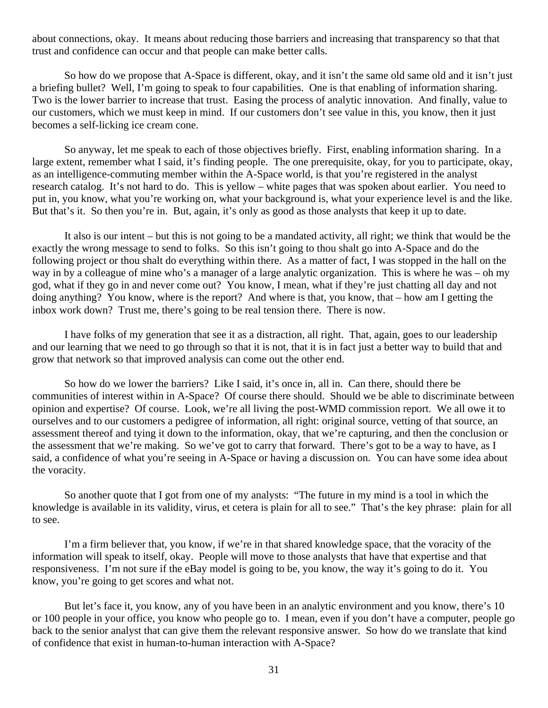about connections, okay. It means about reducing those barriers and increasing that transparency so that that trust and confidence can occur and that people can make better calls.

So how do we propose that A-Space is different, okay, and it isn't the same old same old and it isn't just a briefing bullet? Well, I'm going to speak to four capabilities. One is that enabling of information sharing. Two is the lower barrier to increase that trust. Easing the process of analytic innovation. And finally, value to our customers, which we must keep in mind. If our customers don't see value in this, you know, then it just becomes a self-licking ice cream cone.

So anyway, let me speak to each of those objectives briefly. First, enabling information sharing. In a large extent, remember what I said, it's finding people. The one prerequisite, okay, for you to participate, okay, as an intelligence-commuting member within the A-Space world, is that you're registered in the analyst research catalog. It's not hard to do. This is yellow – white pages that was spoken about earlier. You need to put in, you know, what you're working on, what your background is, what your experience level is and the like. But that's it. So then you're in. But, again, it's only as good as those analysts that keep it up to date.

It also is our intent – but this is not going to be a mandated activity, all right; we think that would be the exactly the wrong message to send to folks. So this isn't going to thou shalt go into A-Space and do the following project or thou shalt do everything within there. As a matter of fact, I was stopped in the hall on the way in by a colleague of mine who's a manager of a large analytic organization. This is where he was – oh my god, what if they go in and never come out? You know, I mean, what if they're just chatting all day and not doing anything? You know, where is the report? And where is that, you know, that – how am I getting the inbox work down? Trust me, there's going to be real tension there. There is now.

I have folks of my generation that see it as a distraction, all right. That, again, goes to our leadership and our learning that we need to go through so that it is not, that it is in fact just a better way to build that and grow that network so that improved analysis can come out the other end.

So how do we lower the barriers? Like I said, it's once in, all in. Can there, should there be communities of interest within in A-Space? Of course there should. Should we be able to discriminate between opinion and expertise? Of course. Look, we're all living the post-WMD commission report. We all owe it to ourselves and to our customers a pedigree of information, all right: original source, vetting of that source, an assessment thereof and tying it down to the information, okay, that we're capturing, and then the conclusion or the assessment that we're making. So we've got to carry that forward. There's got to be a way to have, as I said, a confidence of what you're seeing in A-Space or having a discussion on. You can have some idea about the voracity.

So another quote that I got from one of my analysts: "The future in my mind is a tool in which the knowledge is available in its validity, virus, et cetera is plain for all to see." That's the key phrase: plain for all to see.

I'm a firm believer that, you know, if we're in that shared knowledge space, that the voracity of the information will speak to itself, okay. People will move to those analysts that have that expertise and that responsiveness. I'm not sure if the eBay model is going to be, you know, the way it's going to do it. You know, you're going to get scores and what not.

But let's face it, you know, any of you have been in an analytic environment and you know, there's 10 or 100 people in your office, you know who people go to. I mean, even if you don't have a computer, people go back to the senior analyst that can give them the relevant responsive answer. So how do we translate that kind of confidence that exist in human-to-human interaction with A-Space?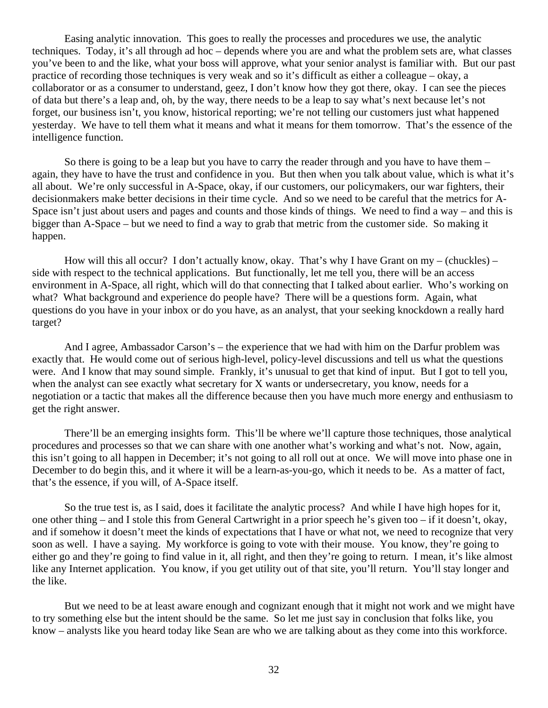Easing analytic innovation. This goes to really the processes and procedures we use, the analytic techniques. Today, it's all through ad hoc – depends where you are and what the problem sets are, what classes you've been to and the like, what your boss will approve, what your senior analyst is familiar with. But our past practice of recording those techniques is very weak and so it's difficult as either a colleague – okay, a collaborator or as a consumer to understand, geez, I don't know how they got there, okay. I can see the pieces of data but there's a leap and, oh, by the way, there needs to be a leap to say what's next because let's not forget, our business isn't, you know, historical reporting; we're not telling our customers just what happened yesterday. We have to tell them what it means and what it means for them tomorrow. That's the essence of the intelligence function.

So there is going to be a leap but you have to carry the reader through and you have to have them – again, they have to have the trust and confidence in you. But then when you talk about value, which is what it's all about. We're only successful in A-Space, okay, if our customers, our policymakers, our war fighters, their decisionmakers make better decisions in their time cycle. And so we need to be careful that the metrics for A-Space isn't just about users and pages and counts and those kinds of things. We need to find a way – and this is bigger than A-Space – but we need to find a way to grab that metric from the customer side. So making it happen.

How will this all occur? I don't actually know, okay. That's why I have Grant on my – (chuckles) – side with respect to the technical applications. But functionally, let me tell you, there will be an access environment in A-Space, all right, which will do that connecting that I talked about earlier. Who's working on what? What background and experience do people have? There will be a questions form. Again, what questions do you have in your inbox or do you have, as an analyst, that your seeking knockdown a really hard target?

And I agree, Ambassador Carson's – the experience that we had with him on the Darfur problem was exactly that. He would come out of serious high-level, policy-level discussions and tell us what the questions were. And I know that may sound simple. Frankly, it's unusual to get that kind of input. But I got to tell you, when the analyst can see exactly what secretary for X wants or undersecretary, you know, needs for a negotiation or a tactic that makes all the difference because then you have much more energy and enthusiasm to get the right answer.

There'll be an emerging insights form. This'll be where we'll capture those techniques, those analytical procedures and processes so that we can share with one another what's working and what's not. Now, again, this isn't going to all happen in December; it's not going to all roll out at once. We will move into phase one in December to do begin this, and it where it will be a learn-as-you-go, which it needs to be. As a matter of fact, that's the essence, if you will, of A-Space itself.

So the true test is, as I said, does it facilitate the analytic process? And while I have high hopes for it, one other thing – and I stole this from General Cartwright in a prior speech he's given too – if it doesn't, okay, and if somehow it doesn't meet the kinds of expectations that I have or what not, we need to recognize that very soon as well. I have a saying. My workforce is going to vote with their mouse. You know, they're going to either go and they're going to find value in it, all right, and then they're going to return. I mean, it's like almost like any Internet application. You know, if you get utility out of that site, you'll return. You'll stay longer and the like.

But we need to be at least aware enough and cognizant enough that it might not work and we might have to try something else but the intent should be the same. So let me just say in conclusion that folks like, you know – analysts like you heard today like Sean are who we are talking about as they come into this workforce.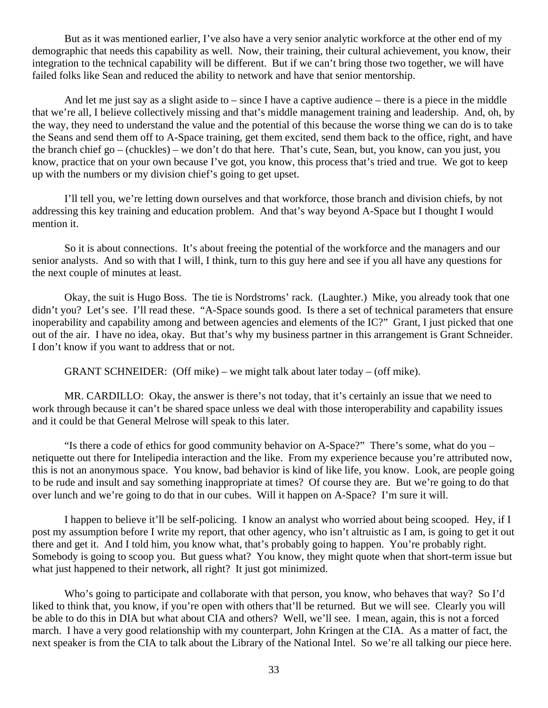But as it was mentioned earlier, I've also have a very senior analytic workforce at the other end of my demographic that needs this capability as well. Now, their training, their cultural achievement, you know, their integration to the technical capability will be different. But if we can't bring those two together, we will have failed folks like Sean and reduced the ability to network and have that senior mentorship.

And let me just say as a slight aside to – since I have a captive audience – there is a piece in the middle that we're all, I believe collectively missing and that's middle management training and leadership. And, oh, by the way, they need to understand the value and the potential of this because the worse thing we can do is to take the Seans and send them off to A-Space training, get them excited, send them back to the office, right, and have the branch chief go – (chuckles) – we don't do that here. That's cute, Sean, but, you know, can you just, you know, practice that on your own because I've got, you know, this process that's tried and true. We got to keep up with the numbers or my division chief's going to get upset.

I'll tell you, we're letting down ourselves and that workforce, those branch and division chiefs, by not addressing this key training and education problem. And that's way beyond A-Space but I thought I would mention it.

So it is about connections. It's about freeing the potential of the workforce and the managers and our senior analysts. And so with that I will, I think, turn to this guy here and see if you all have any questions for the next couple of minutes at least.

Okay, the suit is Hugo Boss. The tie is Nordstroms' rack. (Laughter.) Mike, you already took that one didn't you? Let's see. I'll read these. "A-Space sounds good. Is there a set of technical parameters that ensure inoperability and capability among and between agencies and elements of the IC?" Grant, I just picked that one out of the air. I have no idea, okay. But that's why my business partner in this arrangement is Grant Schneider. I don't know if you want to address that or not.

GRANT SCHNEIDER: (Off mike) – we might talk about later today – (off mike).

MR. CARDILLO: Okay, the answer is there's not today, that it's certainly an issue that we need to work through because it can't be shared space unless we deal with those interoperability and capability issues and it could be that General Melrose will speak to this later.

"Is there a code of ethics for good community behavior on A-Space?" There's some, what do you – netiquette out there for Intelipedia interaction and the like. From my experience because you're attributed now, this is not an anonymous space. You know, bad behavior is kind of like life, you know. Look, are people going to be rude and insult and say something inappropriate at times? Of course they are. But we're going to do that over lunch and we're going to do that in our cubes. Will it happen on A-Space? I'm sure it will.

I happen to believe it'll be self-policing. I know an analyst who worried about being scooped. Hey, if I post my assumption before I write my report, that other agency, who isn't altruistic as I am, is going to get it out there and get it. And I told him, you know what, that's probably going to happen. You're probably right. Somebody is going to scoop you. But guess what? You know, they might quote when that short-term issue but what just happened to their network, all right? It just got minimized.

Who's going to participate and collaborate with that person, you know, who behaves that way? So I'd liked to think that, you know, if you're open with others that'll be returned. But we will see. Clearly you will be able to do this in DIA but what about CIA and others? Well, we'll see. I mean, again, this is not a forced march. I have a very good relationship with my counterpart, John Kringen at the CIA. As a matter of fact, the next speaker is from the CIA to talk about the Library of the National Intel. So we're all talking our piece here.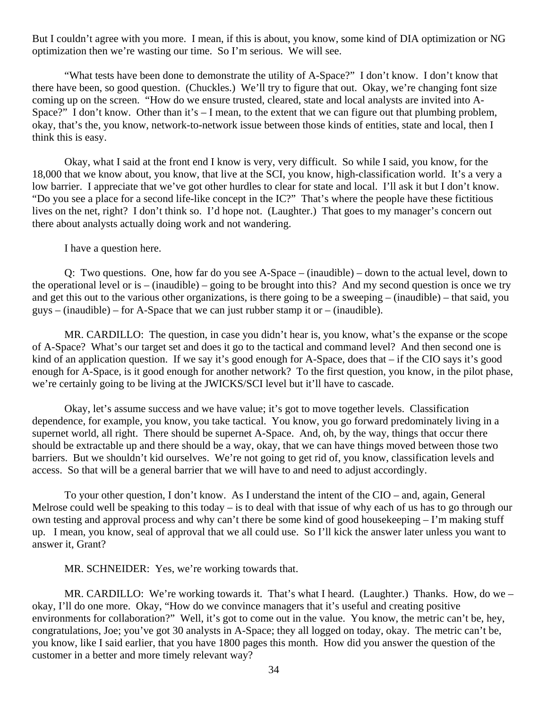But I couldn't agree with you more. I mean, if this is about, you know, some kind of DIA optimization or NG optimization then we're wasting our time. So I'm serious. We will see.

"What tests have been done to demonstrate the utility of A-Space?" I don't know. I don't know that there have been, so good question. (Chuckles.) We'll try to figure that out. Okay, we're changing font size coming up on the screen. "How do we ensure trusted, cleared, state and local analysts are invited into A-Space?" I don't know. Other than it's – I mean, to the extent that we can figure out that plumbing problem, okay, that's the, you know, network-to-network issue between those kinds of entities, state and local, then I think this is easy.

Okay, what I said at the front end I know is very, very difficult. So while I said, you know, for the 18,000 that we know about, you know, that live at the SCI, you know, high-classification world. It's a very a low barrier. I appreciate that we've got other hurdles to clear for state and local. I'll ask it but I don't know. "Do you see a place for a second life-like concept in the IC?" That's where the people have these fictitious lives on the net, right? I don't think so. I'd hope not. (Laughter.) That goes to my manager's concern out there about analysts actually doing work and not wandering.

I have a question here.

Q: Two questions. One, how far do you see A-Space – (inaudible) – down to the actual level, down to the operational level or is – (inaudible) – going to be brought into this? And my second question is once we try and get this out to the various other organizations, is there going to be a sweeping  $-$  (inaudible) – that said, you  $guys - (inaudible) - for A-Space that we can just rubber stamp it or – (inaudible).$ 

MR. CARDILLO: The question, in case you didn't hear is, you know, what's the expanse or the scope of A-Space? What's our target set and does it go to the tactical and command level? And then second one is kind of an application question. If we say it's good enough for A-Space, does that – if the CIO says it's good enough for A-Space, is it good enough for another network? To the first question, you know, in the pilot phase, we're certainly going to be living at the JWICKS/SCI level but it'll have to cascade.

Okay, let's assume success and we have value; it's got to move together levels. Classification dependence, for example, you know, you take tactical. You know, you go forward predominately living in a supernet world, all right. There should be supernet A-Space. And, oh, by the way, things that occur there should be extractable up and there should be a way, okay, that we can have things moved between those two barriers. But we shouldn't kid ourselves. We're not going to get rid of, you know, classification levels and access. So that will be a general barrier that we will have to and need to adjust accordingly.

To your other question, I don't know. As I understand the intent of the CIO – and, again, General Melrose could well be speaking to this today – is to deal with that issue of why each of us has to go through our own testing and approval process and why can't there be some kind of good housekeeping – I'm making stuff up. I mean, you know, seal of approval that we all could use. So I'll kick the answer later unless you want to answer it, Grant?

MR. SCHNEIDER: Yes, we're working towards that.

MR. CARDILLO: We're working towards it. That's what I heard. (Laughter.) Thanks. How, do we – okay, I'll do one more. Okay, "How do we convince managers that it's useful and creating positive environments for collaboration?" Well, it's got to come out in the value. You know, the metric can't be, hey, congratulations, Joe; you've got 30 analysts in A-Space; they all logged on today, okay. The metric can't be, you know, like I said earlier, that you have 1800 pages this month. How did you answer the question of the customer in a better and more timely relevant way?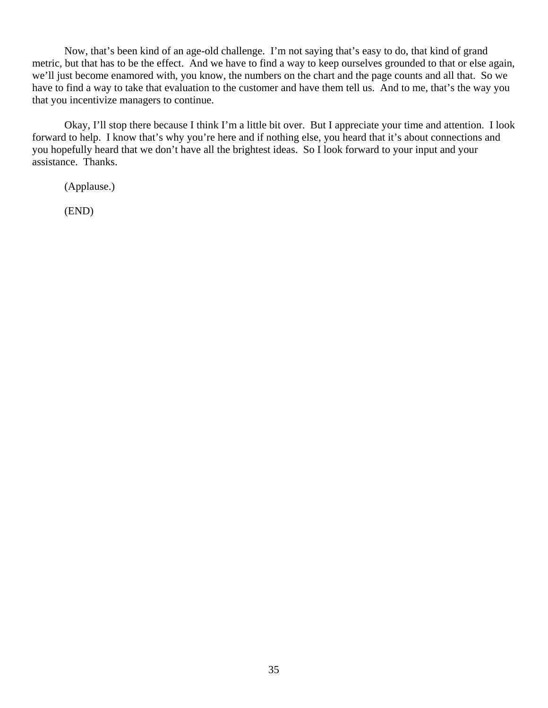Now, that's been kind of an age-old challenge. I'm not saying that's easy to do, that kind of grand metric, but that has to be the effect. And we have to find a way to keep ourselves grounded to that or else again, we'll just become enamored with, you know, the numbers on the chart and the page counts and all that. So we have to find a way to take that evaluation to the customer and have them tell us. And to me, that's the way you that you incentivize managers to continue.

Okay, I'll stop there because I think I'm a little bit over. But I appreciate your time and attention. I look forward to help. I know that's why you're here and if nothing else, you heard that it's about connections and you hopefully heard that we don't have all the brightest ideas. So I look forward to your input and your assistance. Thanks.

(Applause.)

(END)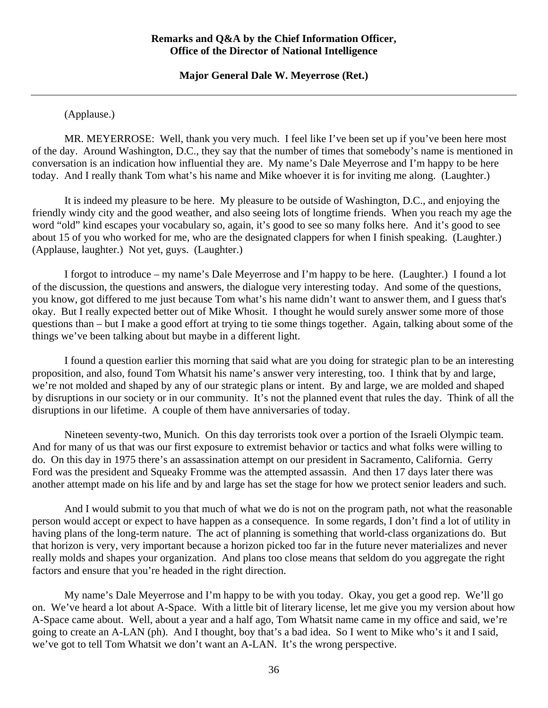**Major General Dale W. Meyerrose (Ret.)** 

<span id="page-35-0"></span>(Applause.)

 MR. MEYERROSE: Well, thank you very much. I feel like I've been set up if you've been here most of the day. Around Washington, D.C., they say that the number of times that somebody's name is mentioned in conversation is an indication how influential they are. My name's Dale Meyerrose and I'm happy to be here today. And I really thank Tom what's his name and Mike whoever it is for inviting me along. (Laughter.)

 It is indeed my pleasure to be here. My pleasure to be outside of Washington, D.C., and enjoying the friendly windy city and the good weather, and also seeing lots of longtime friends. When you reach my age the word "old" kind escapes your vocabulary so, again, it's good to see so many folks here. And it's good to see about 15 of you who worked for me, who are the designated clappers for when I finish speaking. (Laughter.) (Applause, laughter.) Not yet, guys. (Laughter.)

 I forgot to introduce – my name's Dale Meyerrose and I'm happy to be here. (Laughter.) I found a lot of the discussion, the questions and answers, the dialogue very interesting today. And some of the questions, you know, got differed to me just because Tom what's his name didn't want to answer them, and I guess that's okay. But I really expected better out of Mike Whosit. I thought he would surely answer some more of those questions than – but I make a good effort at trying to tie some things together. Again, talking about some of the things we've been talking about but maybe in a different light.

 I found a question earlier this morning that said what are you doing for strategic plan to be an interesting proposition, and also, found Tom Whatsit his name's answer very interesting, too. I think that by and large, we're not molded and shaped by any of our strategic plans or intent. By and large, we are molded and shaped by disruptions in our society or in our community. It's not the planned event that rules the day. Think of all the disruptions in our lifetime. A couple of them have anniversaries of today.

 Nineteen seventy-two, Munich. On this day terrorists took over a portion of the Israeli Olympic team. And for many of us that was our first exposure to extremist behavior or tactics and what folks were willing to do. On this day in 1975 there's an assassination attempt on our president in Sacramento, California. Gerry Ford was the president and Squeaky Fromme was the attempted assassin. And then 17 days later there was another attempt made on his life and by and large has set the stage for how we protect senior leaders and such.

 And I would submit to you that much of what we do is not on the program path, not what the reasonable person would accept or expect to have happen as a consequence. In some regards, I don't find a lot of utility in having plans of the long-term nature. The act of planning is something that world-class organizations do. But that horizon is very, very important because a horizon picked too far in the future never materializes and never really molds and shapes your organization. And plans too close means that seldom do you aggregate the right factors and ensure that you're headed in the right direction.

 My name's Dale Meyerrose and I'm happy to be with you today. Okay, you get a good rep. We'll go on. We've heard a lot about A-Space. With a little bit of literary license, let me give you my version about how A-Space came about. Well, about a year and a half ago, Tom Whatsit name came in my office and said, we're going to create an A-LAN (ph). And I thought, boy that's a bad idea. So I went to Mike who's it and I said, we've got to tell Tom Whatsit we don't want an A-LAN. It's the wrong perspective.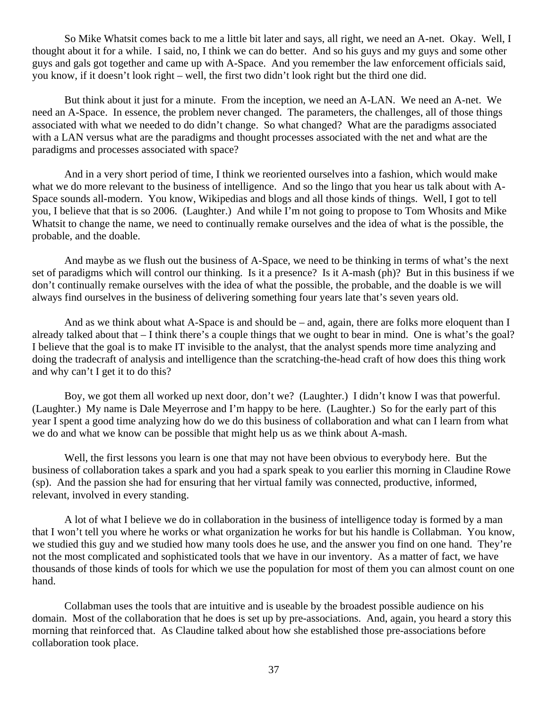So Mike Whatsit comes back to me a little bit later and says, all right, we need an A-net. Okay. Well, I thought about it for a while. I said, no, I think we can do better. And so his guys and my guys and some other guys and gals got together and came up with A-Space. And you remember the law enforcement officials said, you know, if it doesn't look right – well, the first two didn't look right but the third one did.

But think about it just for a minute. From the inception, we need an A-LAN. We need an A-net. We need an A-Space. In essence, the problem never changed. The parameters, the challenges, all of those things associated with what we needed to do didn't change. So what changed? What are the paradigms associated with a LAN versus what are the paradigms and thought processes associated with the net and what are the paradigms and processes associated with space?

And in a very short period of time, I think we reoriented ourselves into a fashion, which would make what we do more relevant to the business of intelligence. And so the lingo that you hear us talk about with A-Space sounds all-modern. You know, Wikipedias and blogs and all those kinds of things. Well, I got to tell you, I believe that that is so 2006. (Laughter.) And while I'm not going to propose to Tom Whosits and Mike Whatsit to change the name, we need to continually remake ourselves and the idea of what is the possible, the probable, and the doable.

 And maybe as we flush out the business of A-Space, we need to be thinking in terms of what's the next set of paradigms which will control our thinking. Is it a presence? Is it A-mash (ph)? But in this business if we don't continually remake ourselves with the idea of what the possible, the probable, and the doable is we will always find ourselves in the business of delivering something four years late that's seven years old.

And as we think about what A-Space is and should be – and, again, there are folks more eloquent than I already talked about that – I think there's a couple things that we ought to bear in mind. One is what's the goal? I believe that the goal is to make IT invisible to the analyst, that the analyst spends more time analyzing and doing the tradecraft of analysis and intelligence than the scratching-the-head craft of how does this thing work and why can't I get it to do this?

 Boy, we got them all worked up next door, don't we? (Laughter.) I didn't know I was that powerful. (Laughter.) My name is Dale Meyerrose and I'm happy to be here. (Laughter.) So for the early part of this year I spent a good time analyzing how do we do this business of collaboration and what can I learn from what we do and what we know can be possible that might help us as we think about A-mash.

Well, the first lessons you learn is one that may not have been obvious to everybody here. But the business of collaboration takes a spark and you had a spark speak to you earlier this morning in Claudine Rowe (sp). And the passion she had for ensuring that her virtual family was connected, productive, informed, relevant, involved in every standing.

A lot of what I believe we do in collaboration in the business of intelligence today is formed by a man that I won't tell you where he works or what organization he works for but his handle is Collabman. You know, we studied this guy and we studied how many tools does he use, and the answer you find on one hand. They're not the most complicated and sophisticated tools that we have in our inventory. As a matter of fact, we have thousands of those kinds of tools for which we use the population for most of them you can almost count on one hand.

Collabman uses the tools that are intuitive and is useable by the broadest possible audience on his domain. Most of the collaboration that he does is set up by pre-associations. And, again, you heard a story this morning that reinforced that. As Claudine talked about how she established those pre-associations before collaboration took place.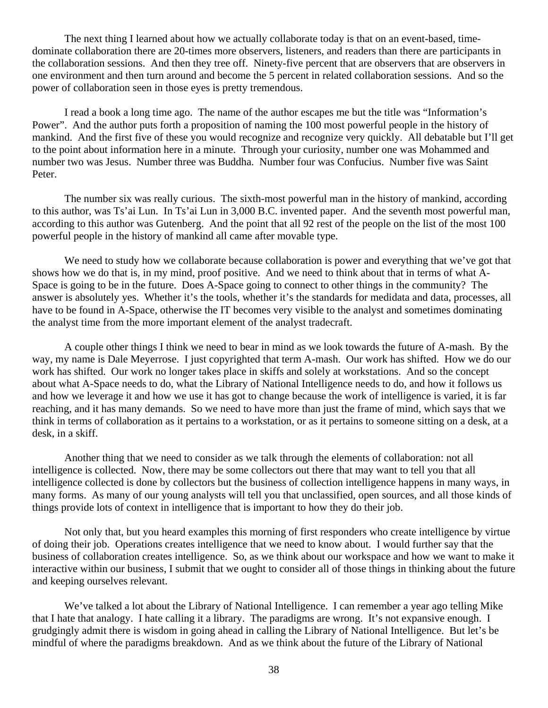The next thing I learned about how we actually collaborate today is that on an event-based, timedominate collaboration there are 20-times more observers, listeners, and readers than there are participants in the collaboration sessions. And then they tree off. Ninety-five percent that are observers that are observers in one environment and then turn around and become the 5 percent in related collaboration sessions. And so the power of collaboration seen in those eyes is pretty tremendous.

I read a book a long time ago. The name of the author escapes me but the title was "Information's Power". And the author puts forth a proposition of naming the 100 most powerful people in the history of mankind. And the first five of these you would recognize and recognize very quickly. All debatable but I'll get to the point about information here in a minute. Through your curiosity, number one was Mohammed and number two was Jesus. Number three was Buddha. Number four was Confucius. Number five was Saint Peter.

The number six was really curious. The sixth-most powerful man in the history of mankind, according to this author, was Ts'ai Lun. In Ts'ai Lun in 3,000 B.C. invented paper. And the seventh most powerful man, according to this author was Gutenberg. And the point that all 92 rest of the people on the list of the most 100 powerful people in the history of mankind all came after movable type.

We need to study how we collaborate because collaboration is power and everything that we've got that shows how we do that is, in my mind, proof positive. And we need to think about that in terms of what A-Space is going to be in the future. Does A-Space going to connect to other things in the community? The answer is absolutely yes. Whether it's the tools, whether it's the standards for medidata and data, processes, all have to be found in A-Space, otherwise the IT becomes very visible to the analyst and sometimes dominating the analyst time from the more important element of the analyst tradecraft.

A couple other things I think we need to bear in mind as we look towards the future of A-mash. By the way, my name is Dale Meyerrose. I just copyrighted that term A-mash. Our work has shifted. How we do our work has shifted. Our work no longer takes place in skiffs and solely at workstations. And so the concept about what A-Space needs to do, what the Library of National Intelligence needs to do, and how it follows us and how we leverage it and how we use it has got to change because the work of intelligence is varied, it is far reaching, and it has many demands. So we need to have more than just the frame of mind, which says that we think in terms of collaboration as it pertains to a workstation, or as it pertains to someone sitting on a desk, at a desk, in a skiff.

Another thing that we need to consider as we talk through the elements of collaboration: not all intelligence is collected. Now, there may be some collectors out there that may want to tell you that all intelligence collected is done by collectors but the business of collection intelligence happens in many ways, in many forms. As many of our young analysts will tell you that unclassified, open sources, and all those kinds of things provide lots of context in intelligence that is important to how they do their job.

Not only that, but you heard examples this morning of first responders who create intelligence by virtue of doing their job. Operations creates intelligence that we need to know about. I would further say that the business of collaboration creates intelligence. So, as we think about our workspace and how we want to make it interactive within our business, I submit that we ought to consider all of those things in thinking about the future and keeping ourselves relevant.

We've talked a lot about the Library of National Intelligence. I can remember a year ago telling Mike that I hate that analogy. I hate calling it a library. The paradigms are wrong. It's not expansive enough. I grudgingly admit there is wisdom in going ahead in calling the Library of National Intelligence. But let's be mindful of where the paradigms breakdown. And as we think about the future of the Library of National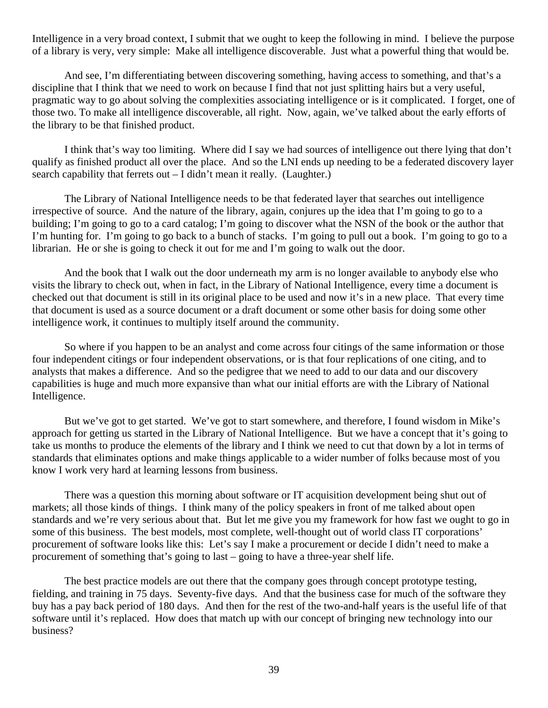Intelligence in a very broad context, I submit that we ought to keep the following in mind. I believe the purpose of a library is very, very simple: Make all intelligence discoverable. Just what a powerful thing that would be.

And see, I'm differentiating between discovering something, having access to something, and that's a discipline that I think that we need to work on because I find that not just splitting hairs but a very useful, pragmatic way to go about solving the complexities associating intelligence or is it complicated. I forget, one of those two. To make all intelligence discoverable, all right. Now, again, we've talked about the early efforts of the library to be that finished product.

I think that's way too limiting. Where did I say we had sources of intelligence out there lying that don't qualify as finished product all over the place. And so the LNI ends up needing to be a federated discovery layer search capability that ferrets out – I didn't mean it really. (Laughter.)

The Library of National Intelligence needs to be that federated layer that searches out intelligence irrespective of source. And the nature of the library, again, conjures up the idea that I'm going to go to a building; I'm going to go to a card catalog; I'm going to discover what the NSN of the book or the author that I'm hunting for. I'm going to go back to a bunch of stacks. I'm going to pull out a book. I'm going to go to a librarian. He or she is going to check it out for me and I'm going to walk out the door.

And the book that I walk out the door underneath my arm is no longer available to anybody else who visits the library to check out, when in fact, in the Library of National Intelligence, every time a document is checked out that document is still in its original place to be used and now it's in a new place. That every time that document is used as a source document or a draft document or some other basis for doing some other intelligence work, it continues to multiply itself around the community.

So where if you happen to be an analyst and come across four citings of the same information or those four independent citings or four independent observations, or is that four replications of one citing, and to analysts that makes a difference. And so the pedigree that we need to add to our data and our discovery capabilities is huge and much more expansive than what our initial efforts are with the Library of National Intelligence.

But we've got to get started. We've got to start somewhere, and therefore, I found wisdom in Mike's approach for getting us started in the Library of National Intelligence. But we have a concept that it's going to take us months to produce the elements of the library and I think we need to cut that down by a lot in terms of standards that eliminates options and make things applicable to a wider number of folks because most of you know I work very hard at learning lessons from business.

There was a question this morning about software or IT acquisition development being shut out of markets; all those kinds of things. I think many of the policy speakers in front of me talked about open standards and we're very serious about that. But let me give you my framework for how fast we ought to go in some of this business. The best models, most complete, well-thought out of world class IT corporations' procurement of software looks like this: Let's say I make a procurement or decide I didn't need to make a procurement of something that's going to last – going to have a three-year shelf life.

The best practice models are out there that the company goes through concept prototype testing, fielding, and training in 75 days. Seventy-five days. And that the business case for much of the software they buy has a pay back period of 180 days. And then for the rest of the two-and-half years is the useful life of that software until it's replaced. How does that match up with our concept of bringing new technology into our business?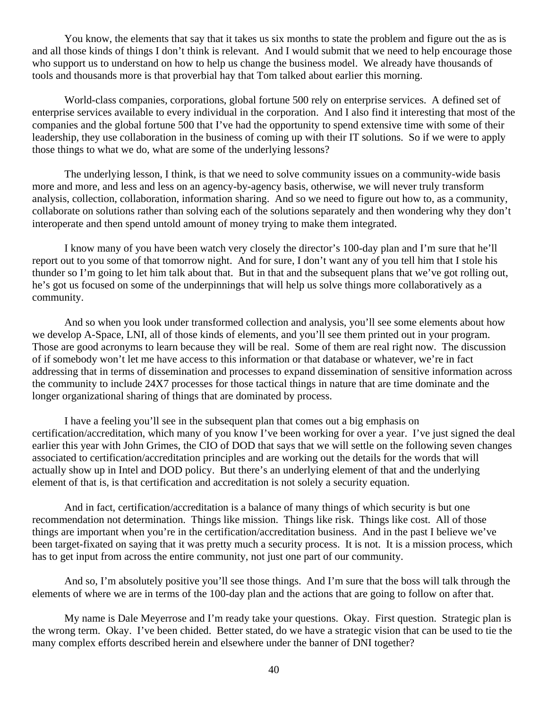You know, the elements that say that it takes us six months to state the problem and figure out the as is and all those kinds of things I don't think is relevant. And I would submit that we need to help encourage those who support us to understand on how to help us change the business model. We already have thousands of tools and thousands more is that proverbial hay that Tom talked about earlier this morning.

World-class companies, corporations, global fortune 500 rely on enterprise services. A defined set of enterprise services available to every individual in the corporation. And I also find it interesting that most of the companies and the global fortune 500 that I've had the opportunity to spend extensive time with some of their leadership, they use collaboration in the business of coming up with their IT solutions. So if we were to apply those things to what we do, what are some of the underlying lessons?

The underlying lesson, I think, is that we need to solve community issues on a community-wide basis more and more, and less and less on an agency-by-agency basis, otherwise, we will never truly transform analysis, collection, collaboration, information sharing. And so we need to figure out how to, as a community, collaborate on solutions rather than solving each of the solutions separately and then wondering why they don't interoperate and then spend untold amount of money trying to make them integrated.

I know many of you have been watch very closely the director's 100-day plan and I'm sure that he'll report out to you some of that tomorrow night. And for sure, I don't want any of you tell him that I stole his thunder so I'm going to let him talk about that. But in that and the subsequent plans that we've got rolling out, he's got us focused on some of the underpinnings that will help us solve things more collaboratively as a community.

And so when you look under transformed collection and analysis, you'll see some elements about how we develop A-Space, LNI, all of those kinds of elements, and you'll see them printed out in your program. Those are good acronyms to learn because they will be real. Some of them are real right now. The discussion of if somebody won't let me have access to this information or that database or whatever, we're in fact addressing that in terms of dissemination and processes to expand dissemination of sensitive information across the community to include 24X7 processes for those tactical things in nature that are time dominate and the longer organizational sharing of things that are dominated by process.

I have a feeling you'll see in the subsequent plan that comes out a big emphasis on certification/accreditation, which many of you know I've been working for over a year. I've just signed the deal earlier this year with John Grimes, the CIO of DOD that says that we will settle on the following seven changes associated to certification/accreditation principles and are working out the details for the words that will actually show up in Intel and DOD policy. But there's an underlying element of that and the underlying element of that is, is that certification and accreditation is not solely a security equation.

And in fact, certification/accreditation is a balance of many things of which security is but one recommendation not determination. Things like mission. Things like risk. Things like cost. All of those things are important when you're in the certification/accreditation business. And in the past I believe we've been target-fixated on saying that it was pretty much a security process. It is not. It is a mission process, which has to get input from across the entire community, not just one part of our community.

And so, I'm absolutely positive you'll see those things. And I'm sure that the boss will talk through the elements of where we are in terms of the 100-day plan and the actions that are going to follow on after that.

My name is Dale Meyerrose and I'm ready take your questions. Okay. First question. Strategic plan is the wrong term. Okay. I've been chided. Better stated, do we have a strategic vision that can be used to tie the many complex efforts described herein and elsewhere under the banner of DNI together?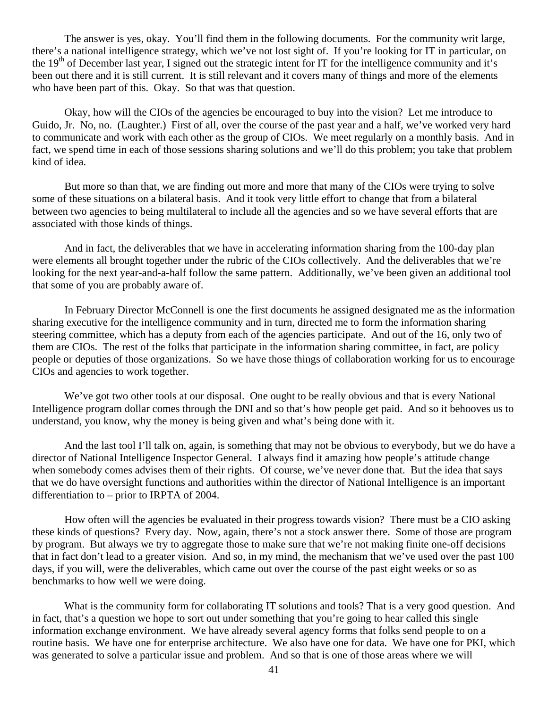The answer is yes, okay. You'll find them in the following documents. For the community writ large, there's a national intelligence strategy, which we've not lost sight of. If you're looking for IT in particular, on the  $19<sup>th</sup>$  of December last year, I signed out the strategic intent for IT for the intelligence community and it's been out there and it is still current. It is still relevant and it covers many of things and more of the elements who have been part of this. Okay. So that was that question.

Okay, how will the CIOs of the agencies be encouraged to buy into the vision? Let me introduce to Guido, Jr. No, no. (Laughter.) First of all, over the course of the past year and a half, we've worked very hard to communicate and work with each other as the group of CIOs. We meet regularly on a monthly basis. And in fact, we spend time in each of those sessions sharing solutions and we'll do this problem; you take that problem kind of idea.

But more so than that, we are finding out more and more that many of the CIOs were trying to solve some of these situations on a bilateral basis. And it took very little effort to change that from a bilateral between two agencies to being multilateral to include all the agencies and so we have several efforts that are associated with those kinds of things.

And in fact, the deliverables that we have in accelerating information sharing from the 100-day plan were elements all brought together under the rubric of the CIOs collectively. And the deliverables that we're looking for the next year-and-a-half follow the same pattern. Additionally, we've been given an additional tool that some of you are probably aware of.

In February Director McConnell is one the first documents he assigned designated me as the information sharing executive for the intelligence community and in turn, directed me to form the information sharing steering committee, which has a deputy from each of the agencies participate. And out of the 16, only two of them are CIOs. The rest of the folks that participate in the information sharing committee, in fact, are policy people or deputies of those organizations. So we have those things of collaboration working for us to encourage CIOs and agencies to work together.

We've got two other tools at our disposal. One ought to be really obvious and that is every National Intelligence program dollar comes through the DNI and so that's how people get paid. And so it behooves us to understand, you know, why the money is being given and what's being done with it.

And the last tool I'll talk on, again, is something that may not be obvious to everybody, but we do have a director of National Intelligence Inspector General. I always find it amazing how people's attitude change when somebody comes advises them of their rights. Of course, we've never done that. But the idea that says that we do have oversight functions and authorities within the director of National Intelligence is an important differentiation to – prior to IRPTA of 2004.

How often will the agencies be evaluated in their progress towards vision? There must be a CIO asking these kinds of questions? Every day. Now, again, there's not a stock answer there. Some of those are program by program. But always we try to aggregate those to make sure that we're not making finite one-off decisions that in fact don't lead to a greater vision. And so, in my mind, the mechanism that we've used over the past 100 days, if you will, were the deliverables, which came out over the course of the past eight weeks or so as benchmarks to how well we were doing.

What is the community form for collaborating IT solutions and tools? That is a very good question. And in fact, that's a question we hope to sort out under something that you're going to hear called this single information exchange environment. We have already several agency forms that folks send people to on a routine basis. We have one for enterprise architecture. We also have one for data. We have one for PKI, which was generated to solve a particular issue and problem. And so that is one of those areas where we will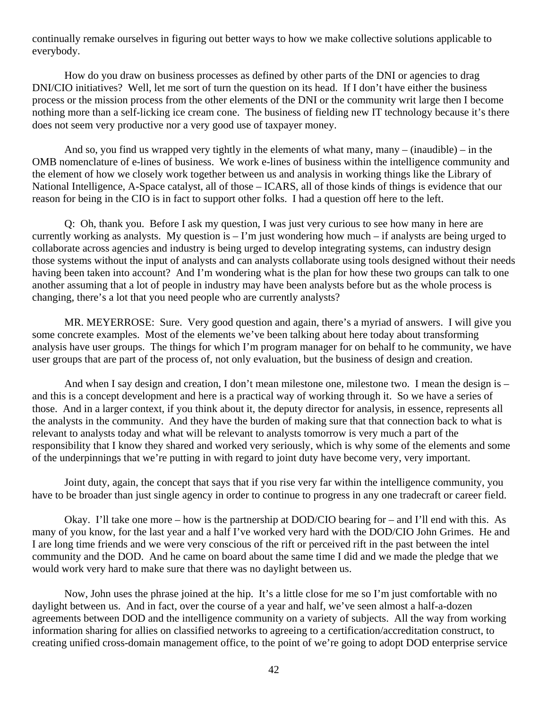continually remake ourselves in figuring out better ways to how we make collective solutions applicable to everybody.

How do you draw on business processes as defined by other parts of the DNI or agencies to drag DNI/CIO initiatives? Well, let me sort of turn the question on its head. If I don't have either the business process or the mission process from the other elements of the DNI or the community writ large then I become nothing more than a self-licking ice cream cone. The business of fielding new IT technology because it's there does not seem very productive nor a very good use of taxpayer money.

And so, you find us wrapped very tightly in the elements of what many, many – (inaudible) – in the OMB nomenclature of e-lines of business. We work e-lines of business within the intelligence community and the element of how we closely work together between us and analysis in working things like the Library of National Intelligence, A-Space catalyst, all of those – ICARS, all of those kinds of things is evidence that our reason for being in the CIO is in fact to support other folks. I had a question off here to the left.

Q: Oh, thank you. Before I ask my question, I was just very curious to see how many in here are currently working as analysts. My question is – I'm just wondering how much – if analysts are being urged to collaborate across agencies and industry is being urged to develop integrating systems, can industry design those systems without the input of analysts and can analysts collaborate using tools designed without their needs having been taken into account? And I'm wondering what is the plan for how these two groups can talk to one another assuming that a lot of people in industry may have been analysts before but as the whole process is changing, there's a lot that you need people who are currently analysts?

MR. MEYERROSE: Sure. Very good question and again, there's a myriad of answers. I will give you some concrete examples. Most of the elements we've been talking about here today about transforming analysis have user groups. The things for which I'm program manager for on behalf to he community, we have user groups that are part of the process of, not only evaluation, but the business of design and creation.

And when I say design and creation, I don't mean milestone one, milestone two. I mean the design is – and this is a concept development and here is a practical way of working through it. So we have a series of those. And in a larger context, if you think about it, the deputy director for analysis, in essence, represents all the analysts in the community. And they have the burden of making sure that that connection back to what is relevant to analysts today and what will be relevant to analysts tomorrow is very much a part of the responsibility that I know they shared and worked very seriously, which is why some of the elements and some of the underpinnings that we're putting in with regard to joint duty have become very, very important.

Joint duty, again, the concept that says that if you rise very far within the intelligence community, you have to be broader than just single agency in order to continue to progress in any one tradecraft or career field.

Okay. I'll take one more – how is the partnership at DOD/CIO bearing for – and I'll end with this. As many of you know, for the last year and a half I've worked very hard with the DOD/CIO John Grimes. He and I are long time friends and we were very conscious of the rift or perceived rift in the past between the intel community and the DOD. And he came on board about the same time I did and we made the pledge that we would work very hard to make sure that there was no daylight between us.

Now, John uses the phrase joined at the hip. It's a little close for me so I'm just comfortable with no daylight between us. And in fact, over the course of a year and half, we've seen almost a half-a-dozen agreements between DOD and the intelligence community on a variety of subjects. All the way from working information sharing for allies on classified networks to agreeing to a certification/accreditation construct, to creating unified cross-domain management office, to the point of we're going to adopt DOD enterprise service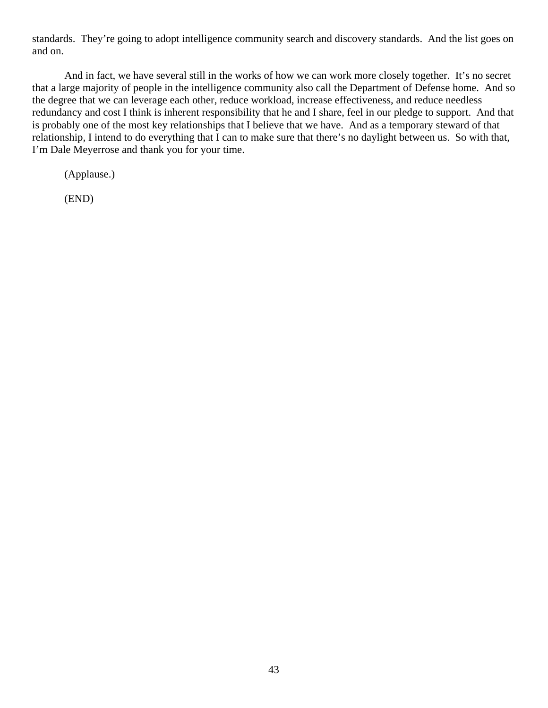standards. They're going to adopt intelligence community search and discovery standards. And the list goes on and on.

And in fact, we have several still in the works of how we can work more closely together. It's no secret that a large majority of people in the intelligence community also call the Department of Defense home. And so the degree that we can leverage each other, reduce workload, increase effectiveness, and reduce needless redundancy and cost I think is inherent responsibility that he and I share, feel in our pledge to support. And that is probably one of the most key relationships that I believe that we have. And as a temporary steward of that relationship, I intend to do everything that I can to make sure that there's no daylight between us. So with that, I'm Dale Meyerrose and thank you for your time.

(Applause.)

(END)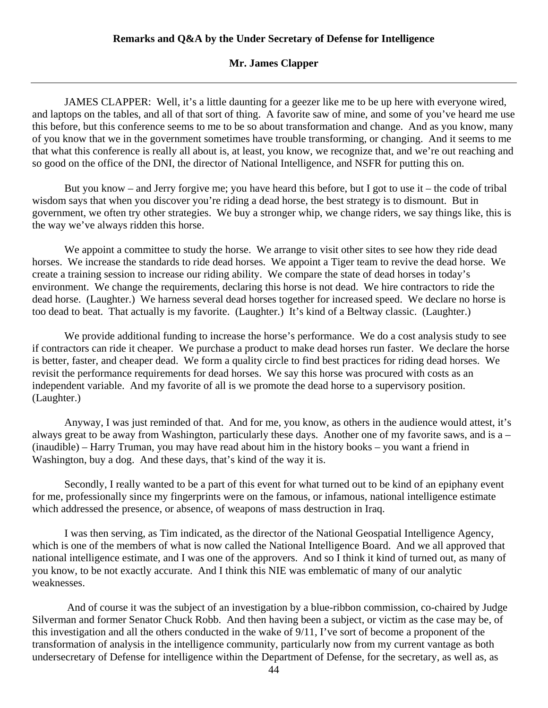### **Mr. James Clapper**

 JAMES CLAPPER: Well, it's a little daunting for a geezer like me to be up here with everyone wired, and laptops on the tables, and all of that sort of thing. A favorite saw of mine, and some of you've heard me use this before, but this conference seems to me to be so about transformation and change. And as you know, many of you know that we in the government sometimes have trouble transforming, or changing. And it seems to me that what this conference is really all about is, at least, you know, we recognize that, and we're out reaching and so good on the office of the DNI, the director of National Intelligence, and NSFR for putting this on.

 But you know – and Jerry forgive me; you have heard this before, but I got to use it – the code of tribal wisdom says that when you discover you're riding a dead horse, the best strategy is to dismount. But in government, we often try other strategies. We buy a stronger whip, we change riders, we say things like, this is the way we've always ridden this horse.

We appoint a committee to study the horse. We arrange to visit other sites to see how they ride dead horses. We increase the standards to ride dead horses. We appoint a Tiger team to revive the dead horse. We create a training session to increase our riding ability. We compare the state of dead horses in today's environment. We change the requirements, declaring this horse is not dead. We hire contractors to ride the dead horse. (Laughter.) We harness several dead horses together for increased speed. We declare no horse is too dead to beat. That actually is my favorite. (Laughter.) It's kind of a Beltway classic. (Laughter.)

We provide additional funding to increase the horse's performance. We do a cost analysis study to see if contractors can ride it cheaper. We purchase a product to make dead horses run faster. We declare the horse is better, faster, and cheaper dead. We form a quality circle to find best practices for riding dead horses. We revisit the performance requirements for dead horses. We say this horse was procured with costs as an independent variable. And my favorite of all is we promote the dead horse to a supervisory position. (Laughter.)

 Anyway, I was just reminded of that. And for me, you know, as others in the audience would attest, it's always great to be away from Washington, particularly these days. Another one of my favorite saws, and is a – (inaudible) – Harry Truman, you may have read about him in the history books – you want a friend in Washington, buy a dog. And these days, that's kind of the way it is.

Secondly, I really wanted to be a part of this event for what turned out to be kind of an epiphany event for me, professionally since my fingerprints were on the famous, or infamous, national intelligence estimate which addressed the presence, or absence, of weapons of mass destruction in Iraq.

I was then serving, as Tim indicated, as the director of the National Geospatial Intelligence Agency, which is one of the members of what is now called the National Intelligence Board. And we all approved that national intelligence estimate, and I was one of the approvers. And so I think it kind of turned out, as many of you know, to be not exactly accurate. And I think this NIE was emblematic of many of our analytic weaknesses.

 And of course it was the subject of an investigation by a blue-ribbon commission, co-chaired by Judge Silverman and former Senator Chuck Robb. And then having been a subject, or victim as the case may be, of this investigation and all the others conducted in the wake of 9/11, I've sort of become a proponent of the transformation of analysis in the intelligence community, particularly now from my current vantage as both undersecretary of Defense for intelligence within the Department of Defense, for the secretary, as well as, as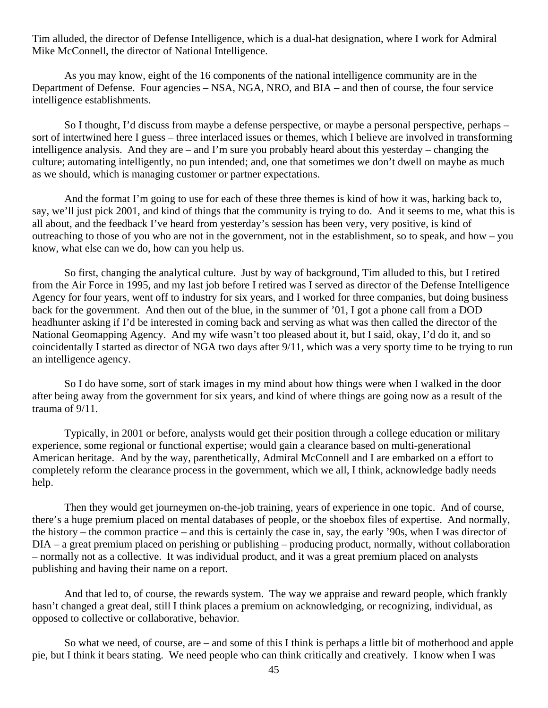Tim alluded, the director of Defense Intelligence, which is a dual-hat designation, where I work for Admiral Mike McConnell, the director of National Intelligence.

As you may know, eight of the 16 components of the national intelligence community are in the Department of Defense. Four agencies – NSA, NGA, NRO, and BIA – and then of course, the four service intelligence establishments.

So I thought, I'd discuss from maybe a defense perspective, or maybe a personal perspective, perhaps – sort of intertwined here I guess – three interlaced issues or themes, which I believe are involved in transforming intelligence analysis. And they are – and I'm sure you probably heard about this yesterday – changing the culture; automating intelligently, no pun intended; and, one that sometimes we don't dwell on maybe as much as we should, which is managing customer or partner expectations.

And the format I'm going to use for each of these three themes is kind of how it was, harking back to, say, we'll just pick 2001, and kind of things that the community is trying to do. And it seems to me, what this is all about, and the feedback I've heard from yesterday's session has been very, very positive, is kind of outreaching to those of you who are not in the government, not in the establishment, so to speak, and how – you know, what else can we do, how can you help us.

So first, changing the analytical culture. Just by way of background, Tim alluded to this, but I retired from the Air Force in 1995, and my last job before I retired was I served as director of the Defense Intelligence Agency for four years, went off to industry for six years, and I worked for three companies, but doing business back for the government. And then out of the blue, in the summer of '01, I got a phone call from a DOD headhunter asking if I'd be interested in coming back and serving as what was then called the director of the National Geomapping Agency. And my wife wasn't too pleased about it, but I said, okay, I'd do it, and so coincidentally I started as director of NGA two days after 9/11, which was a very sporty time to be trying to run an intelligence agency.

So I do have some, sort of stark images in my mind about how things were when I walked in the door after being away from the government for six years, and kind of where things are going now as a result of the trauma of 9/11.

Typically, in 2001 or before, analysts would get their position through a college education or military experience, some regional or functional expertise; would gain a clearance based on multi-generational American heritage. And by the way, parenthetically, Admiral McConnell and I are embarked on a effort to completely reform the clearance process in the government, which we all, I think, acknowledge badly needs help.

Then they would get journeymen on-the-job training, years of experience in one topic. And of course, there's a huge premium placed on mental databases of people, or the shoebox files of expertise. And normally, the history – the common practice – and this is certainly the case in, say, the early '90s, when I was director of DIA – a great premium placed on perishing or publishing – producing product, normally, without collaboration – normally not as a collective. It was individual product, and it was a great premium placed on analysts publishing and having their name on a report.

And that led to, of course, the rewards system. The way we appraise and reward people, which frankly hasn't changed a great deal, still I think places a premium on acknowledging, or recognizing, individual, as opposed to collective or collaborative, behavior.

So what we need, of course, are – and some of this I think is perhaps a little bit of motherhood and apple pie, but I think it bears stating. We need people who can think critically and creatively. I know when I was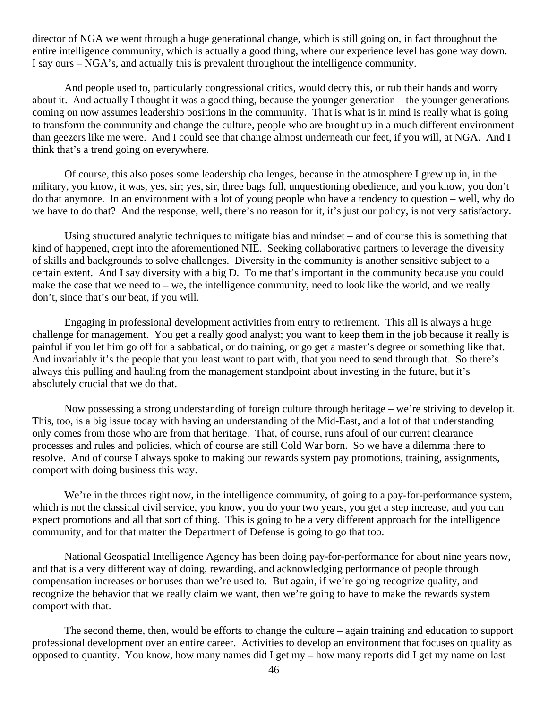director of NGA we went through a huge generational change, which is still going on, in fact throughout the entire intelligence community, which is actually a good thing, where our experience level has gone way down. I say ours – NGA's, and actually this is prevalent throughout the intelligence community.

And people used to, particularly congressional critics, would decry this, or rub their hands and worry about it. And actually I thought it was a good thing, because the younger generation – the younger generations coming on now assumes leadership positions in the community. That is what is in mind is really what is going to transform the community and change the culture, people who are brought up in a much different environment than geezers like me were. And I could see that change almost underneath our feet, if you will, at NGA. And I think that's a trend going on everywhere.

Of course, this also poses some leadership challenges, because in the atmosphere I grew up in, in the military, you know, it was, yes, sir; yes, sir, three bags full, unquestioning obedience, and you know, you don't do that anymore. In an environment with a lot of young people who have a tendency to question – well, why do we have to do that? And the response, well, there's no reason for it, it's just our policy, is not very satisfactory.

Using structured analytic techniques to mitigate bias and mindset – and of course this is something that kind of happened, crept into the aforementioned NIE. Seeking collaborative partners to leverage the diversity of skills and backgrounds to solve challenges. Diversity in the community is another sensitive subject to a certain extent. And I say diversity with a big D. To me that's important in the community because you could make the case that we need to – we, the intelligence community, need to look like the world, and we really don't, since that's our beat, if you will.

Engaging in professional development activities from entry to retirement. This all is always a huge challenge for management. You get a really good analyst; you want to keep them in the job because it really is painful if you let him go off for a sabbatical, or do training, or go get a master's degree or something like that. And invariably it's the people that you least want to part with, that you need to send through that. So there's always this pulling and hauling from the management standpoint about investing in the future, but it's absolutely crucial that we do that.

Now possessing a strong understanding of foreign culture through heritage – we're striving to develop it. This, too, is a big issue today with having an understanding of the Mid-East, and a lot of that understanding only comes from those who are from that heritage. That, of course, runs afoul of our current clearance processes and rules and policies, which of course are still Cold War born. So we have a dilemma there to resolve. And of course I always spoke to making our rewards system pay promotions, training, assignments, comport with doing business this way.

We're in the throes right now, in the intelligence community, of going to a pay-for-performance system, which is not the classical civil service, you know, you do your two years, you get a step increase, and you can expect promotions and all that sort of thing. This is going to be a very different approach for the intelligence community, and for that matter the Department of Defense is going to go that too.

National Geospatial Intelligence Agency has been doing pay-for-performance for about nine years now, and that is a very different way of doing, rewarding, and acknowledging performance of people through compensation increases or bonuses than we're used to. But again, if we're going recognize quality, and recognize the behavior that we really claim we want, then we're going to have to make the rewards system comport with that.

The second theme, then, would be efforts to change the culture – again training and education to support professional development over an entire career. Activities to develop an environment that focuses on quality as opposed to quantity. You know, how many names did I get my – how many reports did I get my name on last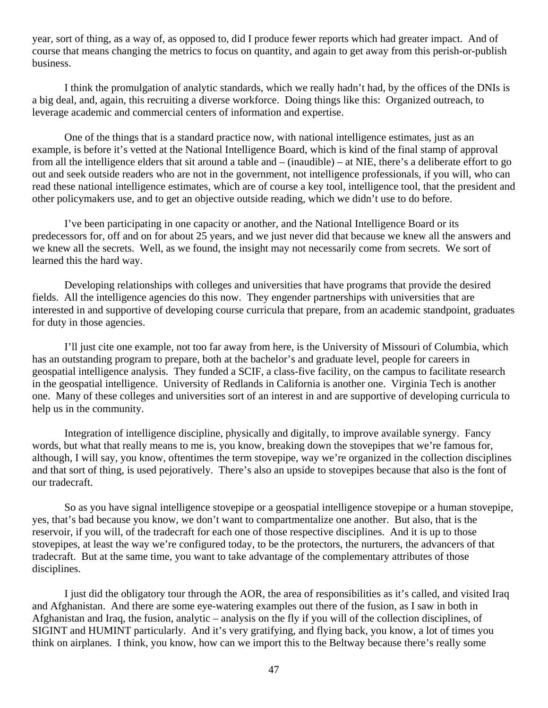year, sort of thing, as a way of, as opposed to, did I produce fewer reports which had greater impact. And of course that means changing the metrics to focus on quantity, and again to get away from this perish-or-publish business.

I think the promulgation of analytic standards, which we really hadn't had, by the offices of the DNIs is a big deal, and, again, this recruiting a diverse workforce. Doing things like this: Organized outreach, to leverage academic and commercial centers of information and expertise.

One of the things that is a standard practice now, with national intelligence estimates, just as an example, is before it's vetted at the National Intelligence Board, which is kind of the final stamp of approval from all the intelligence elders that sit around a table and – (inaudible) – at NIE, there's a deliberate effort to go out and seek outside readers who are not in the government, not intelligence professionals, if you will, who can read these national intelligence estimates, which are of course a key tool, intelligence tool, that the president and other policymakers use, and to get an objective outside reading, which we didn't use to do before.

I've been participating in one capacity or another, and the National Intelligence Board or its predecessors for, off and on for about 25 years, and we just never did that because we knew all the answers and we knew all the secrets. Well, as we found, the insight may not necessarily come from secrets. We sort of learned this the hard way.

Developing relationships with colleges and universities that have programs that provide the desired fields. All the intelligence agencies do this now. They engender partnerships with universities that are interested in and supportive of developing course curricula that prepare, from an academic standpoint, graduates for duty in those agencies.

I'll just cite one example, not too far away from here, is the University of Missouri of Columbia, which has an outstanding program to prepare, both at the bachelor's and graduate level, people for careers in geospatial intelligence analysis. They funded a SCIF, a class-five facility, on the campus to facilitate research in the geospatial intelligence. University of Redlands in California is another one. Virginia Tech is another one. Many of these colleges and universities sort of an interest in and are supportive of developing curricula to help us in the community.

Integration of intelligence discipline, physically and digitally, to improve available synergy. Fancy words, but what that really means to me is, you know, breaking down the stovepipes that we're famous for, although, I will say, you know, oftentimes the term stovepipe, way we're organized in the collection disciplines and that sort of thing, is used pejoratively. There's also an upside to stovepipes because that also is the font of our tradecraft.

So as you have signal intelligence stovepipe or a geospatial intelligence stovepipe or a human stovepipe, yes, that's bad because you know, we don't want to compartmentalize one another. But also, that is the reservoir, if you will, of the tradecraft for each one of those respective disciplines. And it is up to those stovepipes, at least the way we're configured today, to be the protectors, the nurturers, the advancers of that tradecraft. But at the same time, you want to take advantage of the complementary attributes of those disciplines.

I just did the obligatory tour through the AOR, the area of responsibilities as it's called, and visited Iraq and Afghanistan. And there are some eye-watering examples out there of the fusion, as I saw in both in Afghanistan and Iraq, the fusion, analytic – analysis on the fly if you will of the collection disciplines, of SIGINT and HUMINT particularly. And it's very gratifying, and flying back, you know, a lot of times you think on airplanes. I think, you know, how can we import this to the Beltway because there's really some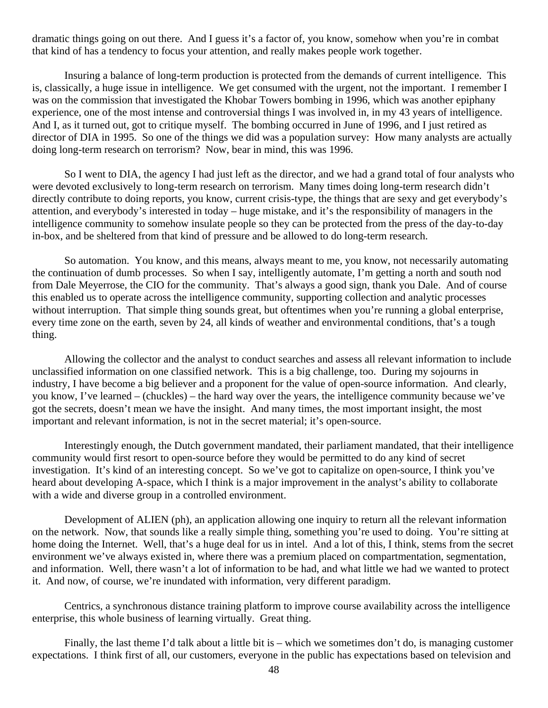dramatic things going on out there. And I guess it's a factor of, you know, somehow when you're in combat that kind of has a tendency to focus your attention, and really makes people work together.

Insuring a balance of long-term production is protected from the demands of current intelligence. This is, classically, a huge issue in intelligence. We get consumed with the urgent, not the important. I remember I was on the commission that investigated the Khobar Towers bombing in 1996, which was another epiphany experience, one of the most intense and controversial things I was involved in, in my 43 years of intelligence. And I, as it turned out, got to critique myself. The bombing occurred in June of 1996, and I just retired as director of DIA in 1995. So one of the things we did was a population survey: How many analysts are actually doing long-term research on terrorism? Now, bear in mind, this was 1996.

So I went to DIA, the agency I had just left as the director, and we had a grand total of four analysts who were devoted exclusively to long-term research on terrorism. Many times doing long-term research didn't directly contribute to doing reports, you know, current crisis-type, the things that are sexy and get everybody's attention, and everybody's interested in today – huge mistake, and it's the responsibility of managers in the intelligence community to somehow insulate people so they can be protected from the press of the day-to-day in-box, and be sheltered from that kind of pressure and be allowed to do long-term research.

So automation. You know, and this means, always meant to me, you know, not necessarily automating the continuation of dumb processes. So when I say, intelligently automate, I'm getting a north and south nod from Dale Meyerrose, the CIO for the community. That's always a good sign, thank you Dale. And of course this enabled us to operate across the intelligence community, supporting collection and analytic processes without interruption. That simple thing sounds great, but oftentimes when you're running a global enterprise, every time zone on the earth, seven by 24, all kinds of weather and environmental conditions, that's a tough thing.

Allowing the collector and the analyst to conduct searches and assess all relevant information to include unclassified information on one classified network. This is a big challenge, too. During my sojourns in industry, I have become a big believer and a proponent for the value of open-source information. And clearly, you know, I've learned – (chuckles) – the hard way over the years, the intelligence community because we've got the secrets, doesn't mean we have the insight. And many times, the most important insight, the most important and relevant information, is not in the secret material; it's open-source.

Interestingly enough, the Dutch government mandated, their parliament mandated, that their intelligence community would first resort to open-source before they would be permitted to do any kind of secret investigation. It's kind of an interesting concept. So we've got to capitalize on open-source, I think you've heard about developing A-space, which I think is a major improvement in the analyst's ability to collaborate with a wide and diverse group in a controlled environment.

Development of ALIEN (ph), an application allowing one inquiry to return all the relevant information on the network. Now, that sounds like a really simple thing, something you're used to doing. You're sitting at home doing the Internet. Well, that's a huge deal for us in intel. And a lot of this, I think, stems from the secret environment we've always existed in, where there was a premium placed on compartmentation, segmentation, and information. Well, there wasn't a lot of information to be had, and what little we had we wanted to protect it. And now, of course, we're inundated with information, very different paradigm.

Centrics, a synchronous distance training platform to improve course availability across the intelligence enterprise, this whole business of learning virtually. Great thing.

Finally, the last theme I'd talk about a little bit is – which we sometimes don't do, is managing customer expectations. I think first of all, our customers, everyone in the public has expectations based on television and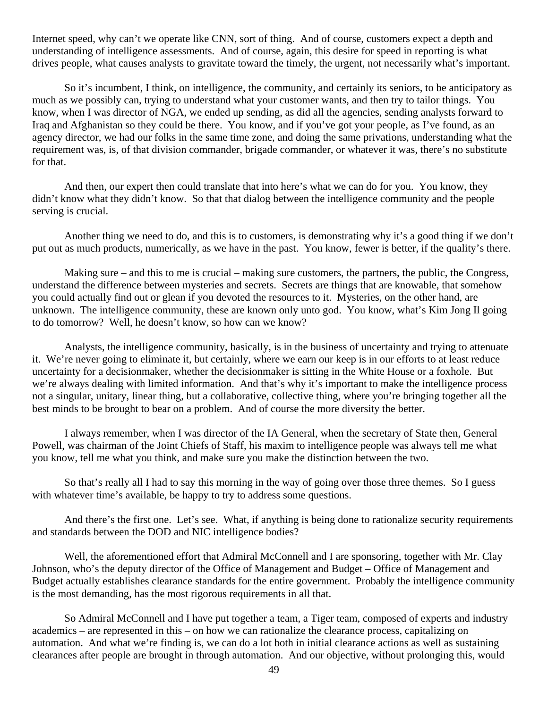Internet speed, why can't we operate like CNN, sort of thing. And of course, customers expect a depth and understanding of intelligence assessments. And of course, again, this desire for speed in reporting is what drives people, what causes analysts to gravitate toward the timely, the urgent, not necessarily what's important.

So it's incumbent, I think, on intelligence, the community, and certainly its seniors, to be anticipatory as much as we possibly can, trying to understand what your customer wants, and then try to tailor things. You know, when I was director of NGA, we ended up sending, as did all the agencies, sending analysts forward to Iraq and Afghanistan so they could be there. You know, and if you've got your people, as I've found, as an agency director, we had our folks in the same time zone, and doing the same privations, understanding what the requirement was, is, of that division commander, brigade commander, or whatever it was, there's no substitute for that.

And then, our expert then could translate that into here's what we can do for you. You know, they didn't know what they didn't know. So that that dialog between the intelligence community and the people serving is crucial.

Another thing we need to do, and this is to customers, is demonstrating why it's a good thing if we don't put out as much products, numerically, as we have in the past. You know, fewer is better, if the quality's there.

Making sure – and this to me is crucial – making sure customers, the partners, the public, the Congress, understand the difference between mysteries and secrets. Secrets are things that are knowable, that somehow you could actually find out or glean if you devoted the resources to it. Mysteries, on the other hand, are unknown. The intelligence community, these are known only unto god. You know, what's Kim Jong Il going to do tomorrow? Well, he doesn't know, so how can we know?

Analysts, the intelligence community, basically, is in the business of uncertainty and trying to attenuate it. We're never going to eliminate it, but certainly, where we earn our keep is in our efforts to at least reduce uncertainty for a decisionmaker, whether the decisionmaker is sitting in the White House or a foxhole. But we're always dealing with limited information. And that's why it's important to make the intelligence process not a singular, unitary, linear thing, but a collaborative, collective thing, where you're bringing together all the best minds to be brought to bear on a problem. And of course the more diversity the better.

I always remember, when I was director of the IA General, when the secretary of State then, General Powell, was chairman of the Joint Chiefs of Staff, his maxim to intelligence people was always tell me what you know, tell me what you think, and make sure you make the distinction between the two.

So that's really all I had to say this morning in the way of going over those three themes. So I guess with whatever time's available, be happy to try to address some questions.

And there's the first one. Let's see. What, if anything is being done to rationalize security requirements and standards between the DOD and NIC intelligence bodies?

Well, the aforementioned effort that Admiral McConnell and I are sponsoring, together with Mr. Clay Johnson, who's the deputy director of the Office of Management and Budget – Office of Management and Budget actually establishes clearance standards for the entire government. Probably the intelligence community is the most demanding, has the most rigorous requirements in all that.

So Admiral McConnell and I have put together a team, a Tiger team, composed of experts and industry academics – are represented in this – on how we can rationalize the clearance process, capitalizing on automation. And what we're finding is, we can do a lot both in initial clearance actions as well as sustaining clearances after people are brought in through automation. And our objective, without prolonging this, would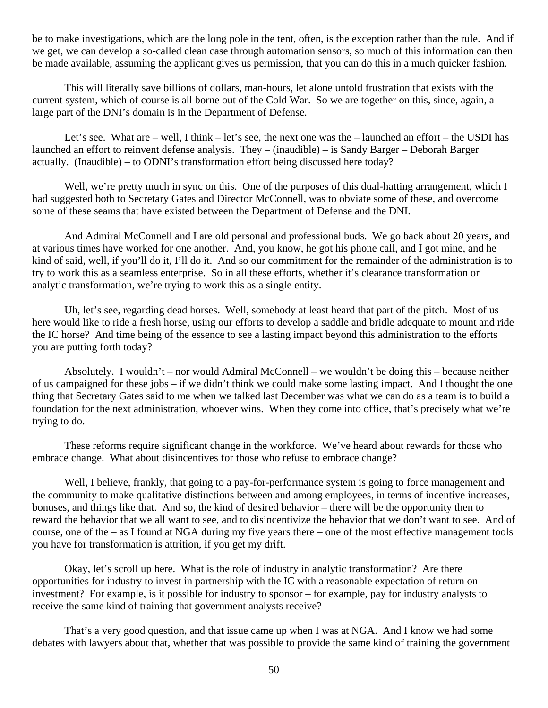be to make investigations, which are the long pole in the tent, often, is the exception rather than the rule. And if we get, we can develop a so-called clean case through automation sensors, so much of this information can then be made available, assuming the applicant gives us permission, that you can do this in a much quicker fashion.

This will literally save billions of dollars, man-hours, let alone untold frustration that exists with the current system, which of course is all borne out of the Cold War. So we are together on this, since, again, a large part of the DNI's domain is in the Department of Defense.

Let's see. What are – well, I think – let's see, the next one was the – launched an effort – the USDI has launched an effort to reinvent defense analysis. They – (inaudible) – is Sandy Barger – Deborah Barger actually. (Inaudible) – to ODNI's transformation effort being discussed here today?

Well, we're pretty much in sync on this. One of the purposes of this dual-hatting arrangement, which I had suggested both to Secretary Gates and Director McConnell, was to obviate some of these, and overcome some of these seams that have existed between the Department of Defense and the DNI.

And Admiral McConnell and I are old personal and professional buds. We go back about 20 years, and at various times have worked for one another. And, you know, he got his phone call, and I got mine, and he kind of said, well, if you'll do it, I'll do it. And so our commitment for the remainder of the administration is to try to work this as a seamless enterprise. So in all these efforts, whether it's clearance transformation or analytic transformation, we're trying to work this as a single entity.

Uh, let's see, regarding dead horses. Well, somebody at least heard that part of the pitch. Most of us here would like to ride a fresh horse, using our efforts to develop a saddle and bridle adequate to mount and ride the IC horse? And time being of the essence to see a lasting impact beyond this administration to the efforts you are putting forth today?

Absolutely. I wouldn't – nor would Admiral McConnell – we wouldn't be doing this – because neither of us campaigned for these jobs – if we didn't think we could make some lasting impact. And I thought the one thing that Secretary Gates said to me when we talked last December was what we can do as a team is to build a foundation for the next administration, whoever wins. When they come into office, that's precisely what we're trying to do.

These reforms require significant change in the workforce. We've heard about rewards for those who embrace change. What about disincentives for those who refuse to embrace change?

Well, I believe, frankly, that going to a pay-for-performance system is going to force management and the community to make qualitative distinctions between and among employees, in terms of incentive increases, bonuses, and things like that. And so, the kind of desired behavior – there will be the opportunity then to reward the behavior that we all want to see, and to disincentivize the behavior that we don't want to see. And of course, one of the – as I found at NGA during my five years there – one of the most effective management tools you have for transformation is attrition, if you get my drift.

Okay, let's scroll up here. What is the role of industry in analytic transformation? Are there opportunities for industry to invest in partnership with the IC with a reasonable expectation of return on investment? For example, is it possible for industry to sponsor – for example, pay for industry analysts to receive the same kind of training that government analysts receive?

That's a very good question, and that issue came up when I was at NGA. And I know we had some debates with lawyers about that, whether that was possible to provide the same kind of training the government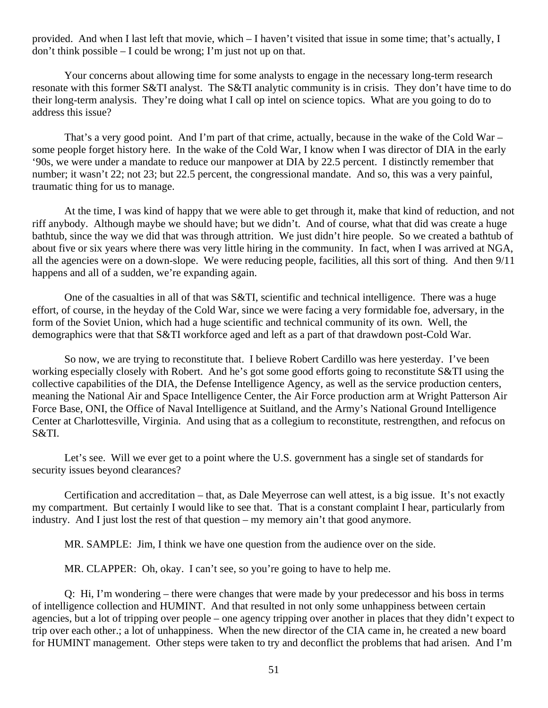provided. And when I last left that movie, which – I haven't visited that issue in some time; that's actually, I don't think possible – I could be wrong; I'm just not up on that.

Your concerns about allowing time for some analysts to engage in the necessary long-term research resonate with this former S&TI analyst. The S&TI analytic community is in crisis. They don't have time to do their long-term analysis. They're doing what I call op intel on science topics. What are you going to do to address this issue?

That's a very good point. And I'm part of that crime, actually, because in the wake of the Cold War – some people forget history here. In the wake of the Cold War, I know when I was director of DIA in the early '90s, we were under a mandate to reduce our manpower at DIA by 22.5 percent. I distinctly remember that number; it wasn't 22; not 23; but 22.5 percent, the congressional mandate. And so, this was a very painful, traumatic thing for us to manage.

At the time, I was kind of happy that we were able to get through it, make that kind of reduction, and not riff anybody. Although maybe we should have; but we didn't. And of course, what that did was create a huge bathtub, since the way we did that was through attrition. We just didn't hire people. So we created a bathtub of about five or six years where there was very little hiring in the community. In fact, when I was arrived at NGA, all the agencies were on a down-slope. We were reducing people, facilities, all this sort of thing. And then 9/11 happens and all of a sudden, we're expanding again.

One of the casualties in all of that was S&TI, scientific and technical intelligence. There was a huge effort, of course, in the heyday of the Cold War, since we were facing a very formidable foe, adversary, in the form of the Soviet Union, which had a huge scientific and technical community of its own. Well, the demographics were that that S&TI workforce aged and left as a part of that drawdown post-Cold War.

So now, we are trying to reconstitute that. I believe Robert Cardillo was here yesterday. I've been working especially closely with Robert. And he's got some good efforts going to reconstitute S&TI using the collective capabilities of the DIA, the Defense Intelligence Agency, as well as the service production centers, meaning the National Air and Space Intelligence Center, the Air Force production arm at Wright Patterson Air Force Base, ONI, the Office of Naval Intelligence at Suitland, and the Army's National Ground Intelligence Center at Charlottesville, Virginia. And using that as a collegium to reconstitute, restrengthen, and refocus on S&TI.

Let's see. Will we ever get to a point where the U.S. government has a single set of standards for security issues beyond clearances?

Certification and accreditation – that, as Dale Meyerrose can well attest, is a big issue. It's not exactly my compartment. But certainly I would like to see that. That is a constant complaint I hear, particularly from industry. And I just lost the rest of that question – my memory ain't that good anymore.

MR. SAMPLE: Jim, I think we have one question from the audience over on the side.

MR. CLAPPER: Oh, okay. I can't see, so you're going to have to help me.

Q: Hi, I'm wondering – there were changes that were made by your predecessor and his boss in terms of intelligence collection and HUMINT. And that resulted in not only some unhappiness between certain agencies, but a lot of tripping over people – one agency tripping over another in places that they didn't expect to trip over each other.; a lot of unhappiness. When the new director of the CIA came in, he created a new board for HUMINT management. Other steps were taken to try and deconflict the problems that had arisen. And I'm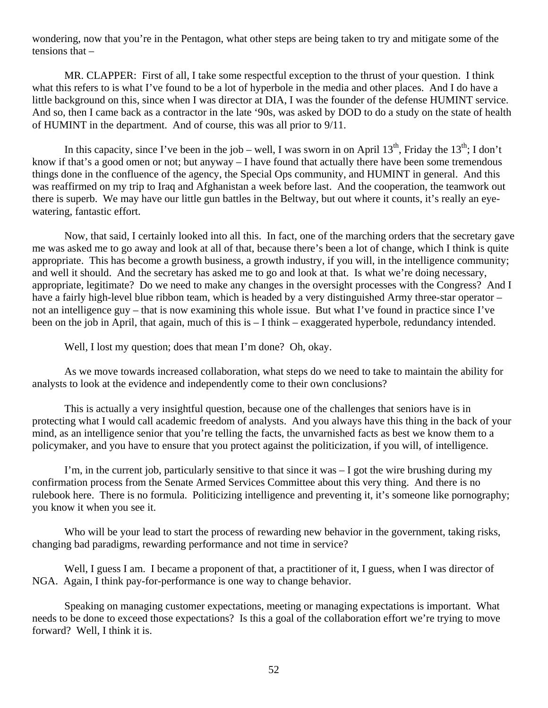wondering, now that you're in the Pentagon, what other steps are being taken to try and mitigate some of the tensions that –

MR. CLAPPER: First of all, I take some respectful exception to the thrust of your question. I think what this refers to is what I've found to be a lot of hyperbole in the media and other places. And I do have a little background on this, since when I was director at DIA, I was the founder of the defense HUMINT service. And so, then I came back as a contractor in the late '90s, was asked by DOD to do a study on the state of health of HUMINT in the department. And of course, this was all prior to 9/11.

In this capacity, since I've been in the job – well, I was sworn in on April 13<sup>th</sup>, Friday the 13<sup>th</sup>; I don't know if that's a good omen or not; but anyway – I have found that actually there have been some tremendous things done in the confluence of the agency, the Special Ops community, and HUMINT in general. And this was reaffirmed on my trip to Iraq and Afghanistan a week before last. And the cooperation, the teamwork out there is superb. We may have our little gun battles in the Beltway, but out where it counts, it's really an eyewatering, fantastic effort.

Now, that said, I certainly looked into all this. In fact, one of the marching orders that the secretary gave me was asked me to go away and look at all of that, because there's been a lot of change, which I think is quite appropriate. This has become a growth business, a growth industry, if you will, in the intelligence community; and well it should. And the secretary has asked me to go and look at that. Is what we're doing necessary, appropriate, legitimate? Do we need to make any changes in the oversight processes with the Congress? And I have a fairly high-level blue ribbon team, which is headed by a very distinguished Army three-star operator – not an intelligence guy – that is now examining this whole issue. But what I've found in practice since I've been on the job in April, that again, much of this is – I think – exaggerated hyperbole, redundancy intended.

Well, I lost my question; does that mean I'm done? Oh, okay.

As we move towards increased collaboration, what steps do we need to take to maintain the ability for analysts to look at the evidence and independently come to their own conclusions?

This is actually a very insightful question, because one of the challenges that seniors have is in protecting what I would call academic freedom of analysts. And you always have this thing in the back of your mind, as an intelligence senior that you're telling the facts, the unvarnished facts as best we know them to a policymaker, and you have to ensure that you protect against the politicization, if you will, of intelligence.

I'm, in the current job, particularly sensitive to that since it was  $-1$  got the wire brushing during my confirmation process from the Senate Armed Services Committee about this very thing. And there is no rulebook here. There is no formula. Politicizing intelligence and preventing it, it's someone like pornography; you know it when you see it.

Who will be your lead to start the process of rewarding new behavior in the government, taking risks, changing bad paradigms, rewarding performance and not time in service?

Well, I guess I am. I became a proponent of that, a practitioner of it, I guess, when I was director of NGA. Again, I think pay-for-performance is one way to change behavior.

Speaking on managing customer expectations, meeting or managing expectations is important. What needs to be done to exceed those expectations? Is this a goal of the collaboration effort we're trying to move forward? Well, I think it is.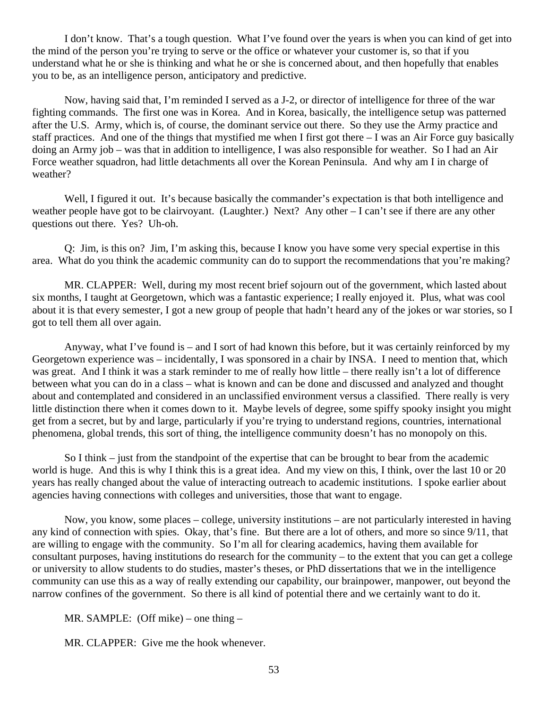I don't know. That's a tough question. What I've found over the years is when you can kind of get into the mind of the person you're trying to serve or the office or whatever your customer is, so that if you understand what he or she is thinking and what he or she is concerned about, and then hopefully that enables you to be, as an intelligence person, anticipatory and predictive.

Now, having said that, I'm reminded I served as a J-2, or director of intelligence for three of the war fighting commands. The first one was in Korea. And in Korea, basically, the intelligence setup was patterned after the U.S. Army, which is, of course, the dominant service out there. So they use the Army practice and staff practices. And one of the things that mystified me when I first got there – I was an Air Force guy basically doing an Army job – was that in addition to intelligence, I was also responsible for weather. So I had an Air Force weather squadron, had little detachments all over the Korean Peninsula. And why am I in charge of weather?

Well, I figured it out. It's because basically the commander's expectation is that both intelligence and weather people have got to be clairvoyant. (Laughter.) Next? Any other – I can't see if there are any other questions out there. Yes? Uh-oh.

Q: Jim, is this on? Jim, I'm asking this, because I know you have some very special expertise in this area. What do you think the academic community can do to support the recommendations that you're making?

MR. CLAPPER: Well, during my most recent brief sojourn out of the government, which lasted about six months, I taught at Georgetown, which was a fantastic experience; I really enjoyed it. Plus, what was cool about it is that every semester, I got a new group of people that hadn't heard any of the jokes or war stories, so I got to tell them all over again.

Anyway, what I've found is – and I sort of had known this before, but it was certainly reinforced by my Georgetown experience was – incidentally, I was sponsored in a chair by INSA. I need to mention that, which was great. And I think it was a stark reminder to me of really how little – there really isn't a lot of difference between what you can do in a class – what is known and can be done and discussed and analyzed and thought about and contemplated and considered in an unclassified environment versus a classified. There really is very little distinction there when it comes down to it. Maybe levels of degree, some spiffy spooky insight you might get from a secret, but by and large, particularly if you're trying to understand regions, countries, international phenomena, global trends, this sort of thing, the intelligence community doesn't has no monopoly on this.

So I think – just from the standpoint of the expertise that can be brought to bear from the academic world is huge. And this is why I think this is a great idea. And my view on this, I think, over the last 10 or 20 years has really changed about the value of interacting outreach to academic institutions. I spoke earlier about agencies having connections with colleges and universities, those that want to engage.

Now, you know, some places – college, university institutions – are not particularly interested in having any kind of connection with spies. Okay, that's fine. But there are a lot of others, and more so since 9/11, that are willing to engage with the community. So I'm all for clearing academics, having them available for consultant purposes, having institutions do research for the community – to the extent that you can get a college or university to allow students to do studies, master's theses, or PhD dissertations that we in the intelligence community can use this as a way of really extending our capability, our brainpower, manpower, out beyond the narrow confines of the government. So there is all kind of potential there and we certainly want to do it.

MR. SAMPLE: (Off mike) – one thing –

MR. CLAPPER: Give me the hook whenever.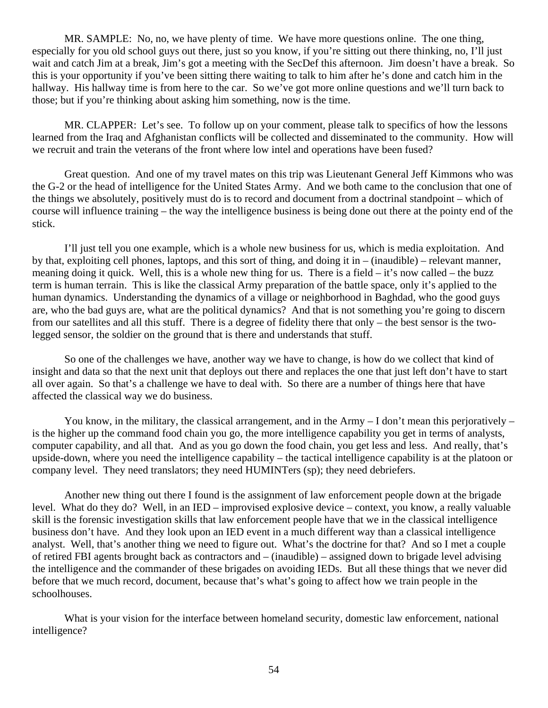MR. SAMPLE: No, no, we have plenty of time. We have more questions online. The one thing, especially for you old school guys out there, just so you know, if you're sitting out there thinking, no, I'll just wait and catch Jim at a break, Jim's got a meeting with the SecDef this afternoon. Jim doesn't have a break. So this is your opportunity if you've been sitting there waiting to talk to him after he's done and catch him in the hallway. His hallway time is from here to the car. So we've got more online questions and we'll turn back to those; but if you're thinking about asking him something, now is the time.

MR. CLAPPER: Let's see. To follow up on your comment, please talk to specifics of how the lessons learned from the Iraq and Afghanistan conflicts will be collected and disseminated to the community. How will we recruit and train the veterans of the front where low intel and operations have been fused?

Great question. And one of my travel mates on this trip was Lieutenant General Jeff Kimmons who was the G-2 or the head of intelligence for the United States Army. And we both came to the conclusion that one of the things we absolutely, positively must do is to record and document from a doctrinal standpoint – which of course will influence training – the way the intelligence business is being done out there at the pointy end of the stick.

I'll just tell you one example, which is a whole new business for us, which is media exploitation. And by that, exploiting cell phones, laptops, and this sort of thing, and doing it in – (inaudible) – relevant manner, meaning doing it quick. Well, this is a whole new thing for us. There is a field – it's now called – the buzz term is human terrain. This is like the classical Army preparation of the battle space, only it's applied to the human dynamics. Understanding the dynamics of a village or neighborhood in Baghdad, who the good guys are, who the bad guys are, what are the political dynamics? And that is not something you're going to discern from our satellites and all this stuff. There is a degree of fidelity there that only – the best sensor is the twolegged sensor, the soldier on the ground that is there and understands that stuff.

So one of the challenges we have, another way we have to change, is how do we collect that kind of insight and data so that the next unit that deploys out there and replaces the one that just left don't have to start all over again. So that's a challenge we have to deal with. So there are a number of things here that have affected the classical way we do business.

You know, in the military, the classical arrangement, and in the Army  $-1$  don't mean this perjoratively  $$ is the higher up the command food chain you go, the more intelligence capability you get in terms of analysts, computer capability, and all that. And as you go down the food chain, you get less and less. And really, that's upside-down, where you need the intelligence capability – the tactical intelligence capability is at the platoon or company level. They need translators; they need HUMINTers (sp); they need debriefers.

Another new thing out there I found is the assignment of law enforcement people down at the brigade level. What do they do? Well, in an IED – improvised explosive device – context, you know, a really valuable skill is the forensic investigation skills that law enforcement people have that we in the classical intelligence business don't have. And they look upon an IED event in a much different way than a classical intelligence analyst. Well, that's another thing we need to figure out. What's the doctrine for that? And so I met a couple of retired FBI agents brought back as contractors and – (inaudible) – assigned down to brigade level advising the intelligence and the commander of these brigades on avoiding IEDs. But all these things that we never did before that we much record, document, because that's what's going to affect how we train people in the schoolhouses.

What is your vision for the interface between homeland security, domestic law enforcement, national intelligence?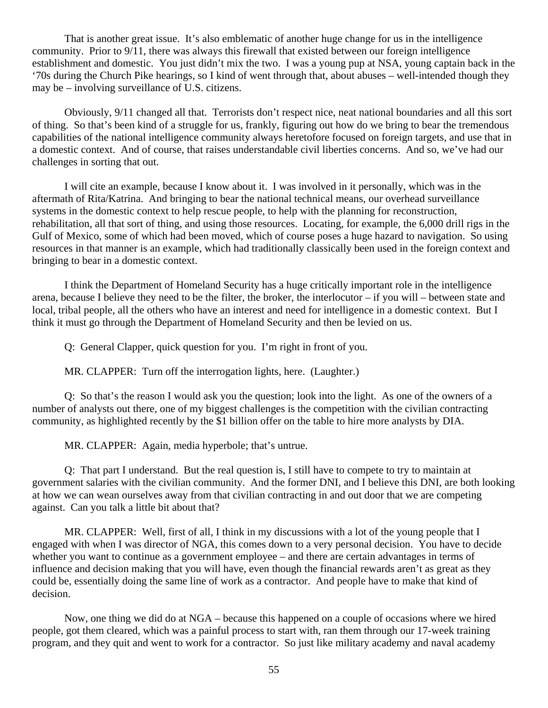That is another great issue. It's also emblematic of another huge change for us in the intelligence community. Prior to 9/11, there was always this firewall that existed between our foreign intelligence establishment and domestic. You just didn't mix the two. I was a young pup at NSA, young captain back in the '70s during the Church Pike hearings, so I kind of went through that, about abuses – well-intended though they may be – involving surveillance of U.S. citizens.

Obviously, 9/11 changed all that. Terrorists don't respect nice, neat national boundaries and all this sort of thing. So that's been kind of a struggle for us, frankly, figuring out how do we bring to bear the tremendous capabilities of the national intelligence community always heretofore focused on foreign targets, and use that in a domestic context. And of course, that raises understandable civil liberties concerns. And so, we've had our challenges in sorting that out.

I will cite an example, because I know about it. I was involved in it personally, which was in the aftermath of Rita/Katrina. And bringing to bear the national technical means, our overhead surveillance systems in the domestic context to help rescue people, to help with the planning for reconstruction, rehabilitation, all that sort of thing, and using those resources. Locating, for example, the 6,000 drill rigs in the Gulf of Mexico, some of which had been moved, which of course poses a huge hazard to navigation. So using resources in that manner is an example, which had traditionally classically been used in the foreign context and bringing to bear in a domestic context.

I think the Department of Homeland Security has a huge critically important role in the intelligence arena, because I believe they need to be the filter, the broker, the interlocutor – if you will – between state and local, tribal people, all the others who have an interest and need for intelligence in a domestic context. But I think it must go through the Department of Homeland Security and then be levied on us.

Q: General Clapper, quick question for you. I'm right in front of you.

MR. CLAPPER: Turn off the interrogation lights, here. (Laughter.)

Q: So that's the reason I would ask you the question; look into the light. As one of the owners of a number of analysts out there, one of my biggest challenges is the competition with the civilian contracting community, as highlighted recently by the \$1 billion offer on the table to hire more analysts by DIA.

MR. CLAPPER: Again, media hyperbole; that's untrue.

Q: That part I understand. But the real question is, I still have to compete to try to maintain at government salaries with the civilian community. And the former DNI, and I believe this DNI, are both looking at how we can wean ourselves away from that civilian contracting in and out door that we are competing against. Can you talk a little bit about that?

MR. CLAPPER: Well, first of all, I think in my discussions with a lot of the young people that I engaged with when I was director of NGA, this comes down to a very personal decision. You have to decide whether you want to continue as a government employee – and there are certain advantages in terms of influence and decision making that you will have, even though the financial rewards aren't as great as they could be, essentially doing the same line of work as a contractor. And people have to make that kind of decision.

Now, one thing we did do at NGA – because this happened on a couple of occasions where we hired people, got them cleared, which was a painful process to start with, ran them through our 17-week training program, and they quit and went to work for a contractor. So just like military academy and naval academy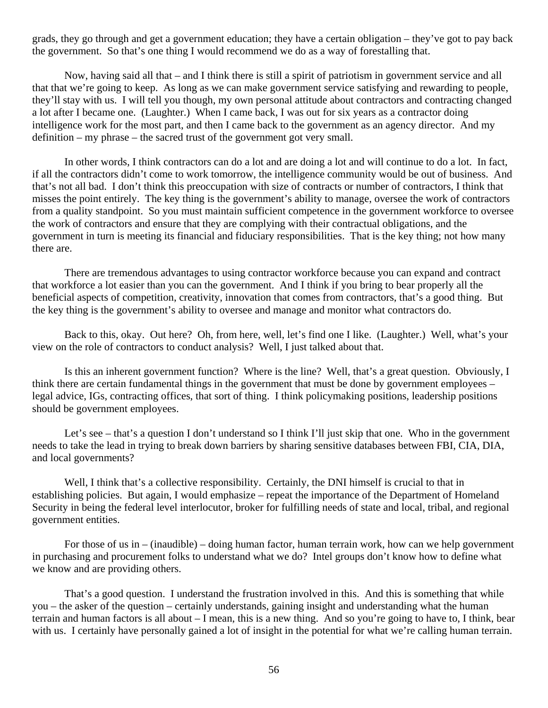grads, they go through and get a government education; they have a certain obligation – they've got to pay back the government. So that's one thing I would recommend we do as a way of forestalling that.

Now, having said all that – and I think there is still a spirit of patriotism in government service and all that that we're going to keep. As long as we can make government service satisfying and rewarding to people, they'll stay with us. I will tell you though, my own personal attitude about contractors and contracting changed a lot after I became one. (Laughter.) When I came back, I was out for six years as a contractor doing intelligence work for the most part, and then I came back to the government as an agency director. And my definition – my phrase – the sacred trust of the government got very small.

In other words, I think contractors can do a lot and are doing a lot and will continue to do a lot. In fact, if all the contractors didn't come to work tomorrow, the intelligence community would be out of business. And that's not all bad. I don't think this preoccupation with size of contracts or number of contractors, I think that misses the point entirely. The key thing is the government's ability to manage, oversee the work of contractors from a quality standpoint. So you must maintain sufficient competence in the government workforce to oversee the work of contractors and ensure that they are complying with their contractual obligations, and the government in turn is meeting its financial and fiduciary responsibilities. That is the key thing; not how many there are.

There are tremendous advantages to using contractor workforce because you can expand and contract that workforce a lot easier than you can the government. And I think if you bring to bear properly all the beneficial aspects of competition, creativity, innovation that comes from contractors, that's a good thing. But the key thing is the government's ability to oversee and manage and monitor what contractors do.

Back to this, okay. Out here? Oh, from here, well, let's find one I like. (Laughter.) Well, what's your view on the role of contractors to conduct analysis? Well, I just talked about that.

Is this an inherent government function? Where is the line? Well, that's a great question. Obviously, I think there are certain fundamental things in the government that must be done by government employees – legal advice, IGs, contracting offices, that sort of thing. I think policymaking positions, leadership positions should be government employees.

Let's see – that's a question I don't understand so I think I'll just skip that one. Who in the government needs to take the lead in trying to break down barriers by sharing sensitive databases between FBI, CIA, DIA, and local governments?

Well, I think that's a collective responsibility. Certainly, the DNI himself is crucial to that in establishing policies. But again, I would emphasize – repeat the importance of the Department of Homeland Security in being the federal level interlocutor, broker for fulfilling needs of state and local, tribal, and regional government entities.

For those of us in – (inaudible) – doing human factor, human terrain work, how can we help government in purchasing and procurement folks to understand what we do? Intel groups don't know how to define what we know and are providing others.

That's a good question. I understand the frustration involved in this. And this is something that while you – the asker of the question – certainly understands, gaining insight and understanding what the human terrain and human factors is all about – I mean, this is a new thing. And so you're going to have to, I think, bear with us. I certainly have personally gained a lot of insight in the potential for what we're calling human terrain.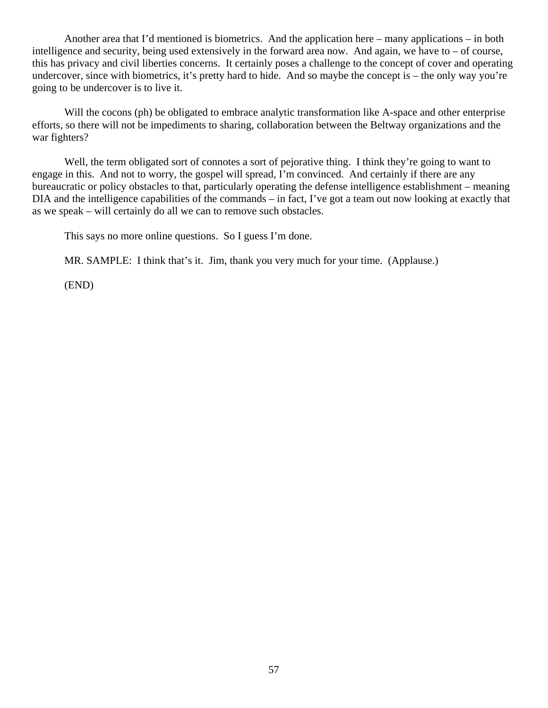Another area that I'd mentioned is biometrics. And the application here – many applications – in both intelligence and security, being used extensively in the forward area now. And again, we have to – of course, this has privacy and civil liberties concerns. It certainly poses a challenge to the concept of cover and operating undercover, since with biometrics, it's pretty hard to hide. And so maybe the concept is – the only way you're going to be undercover is to live it.

Will the cocons (ph) be obligated to embrace analytic transformation like A-space and other enterprise efforts, so there will not be impediments to sharing, collaboration between the Beltway organizations and the war fighters?

Well, the term obligated sort of connotes a sort of pejorative thing. I think they're going to want to engage in this. And not to worry, the gospel will spread, I'm convinced. And certainly if there are any bureaucratic or policy obstacles to that, particularly operating the defense intelligence establishment – meaning DIA and the intelligence capabilities of the commands – in fact, I've got a team out now looking at exactly that as we speak – will certainly do all we can to remove such obstacles.

This says no more online questions. So I guess I'm done.

MR. SAMPLE: I think that's it. Jim, thank you very much for your time. (Applause.)

(END)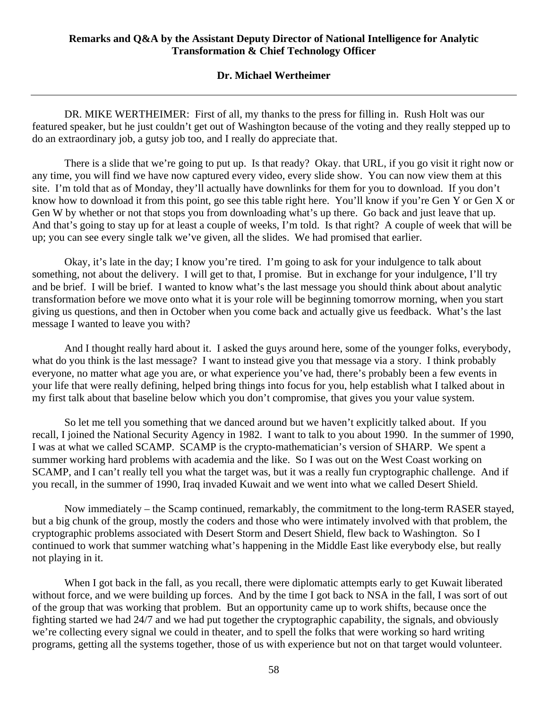## **Dr. Michael Wertheimer**

DR. MIKE WERTHEIMER: First of all, my thanks to the press for filling in. Rush Holt was our featured speaker, but he just couldn't get out of Washington because of the voting and they really stepped up to do an extraordinary job, a gutsy job too, and I really do appreciate that.

There is a slide that we're going to put up. Is that ready? Okay. that URL, if you go visit it right now or any time, you will find we have now captured every video, every slide show. You can now view them at this site. I'm told that as of Monday, they'll actually have downlinks for them for you to download. If you don't know how to download it from this point, go see this table right here. You'll know if you're Gen Y or Gen X or Gen W by whether or not that stops you from downloading what's up there. Go back and just leave that up. And that's going to stay up for at least a couple of weeks, I'm told. Is that right? A couple of week that will be up; you can see every single talk we've given, all the slides. We had promised that earlier.

Okay, it's late in the day; I know you're tired. I'm going to ask for your indulgence to talk about something, not about the delivery. I will get to that, I promise. But in exchange for your indulgence, I'll try and be brief. I will be brief. I wanted to know what's the last message you should think about about analytic transformation before we move onto what it is your role will be beginning tomorrow morning, when you start giving us questions, and then in October when you come back and actually give us feedback. What's the last message I wanted to leave you with?

And I thought really hard about it. I asked the guys around here, some of the younger folks, everybody, what do you think is the last message? I want to instead give you that message via a story. I think probably everyone, no matter what age you are, or what experience you've had, there's probably been a few events in your life that were really defining, helped bring things into focus for you, help establish what I talked about in my first talk about that baseline below which you don't compromise, that gives you your value system.

So let me tell you something that we danced around but we haven't explicitly talked about. If you recall, I joined the National Security Agency in 1982. I want to talk to you about 1990. In the summer of 1990, I was at what we called SCAMP. SCAMP is the crypto-mathematician's version of SHARP. We spent a summer working hard problems with academia and the like. So I was out on the West Coast working on SCAMP, and I can't really tell you what the target was, but it was a really fun cryptographic challenge. And if you recall, in the summer of 1990, Iraq invaded Kuwait and we went into what we called Desert Shield.

Now immediately – the Scamp continued, remarkably, the commitment to the long-term RASER stayed, but a big chunk of the group, mostly the coders and those who were intimately involved with that problem, the cryptographic problems associated with Desert Storm and Desert Shield, flew back to Washington. So I continued to work that summer watching what's happening in the Middle East like everybody else, but really not playing in it.

When I got back in the fall, as you recall, there were diplomatic attempts early to get Kuwait liberated without force, and we were building up forces. And by the time I got back to NSA in the fall, I was sort of out of the group that was working that problem. But an opportunity came up to work shifts, because once the fighting started we had 24/7 and we had put together the cryptographic capability, the signals, and obviously we're collecting every signal we could in theater, and to spell the folks that were working so hard writing programs, getting all the systems together, those of us with experience but not on that target would volunteer.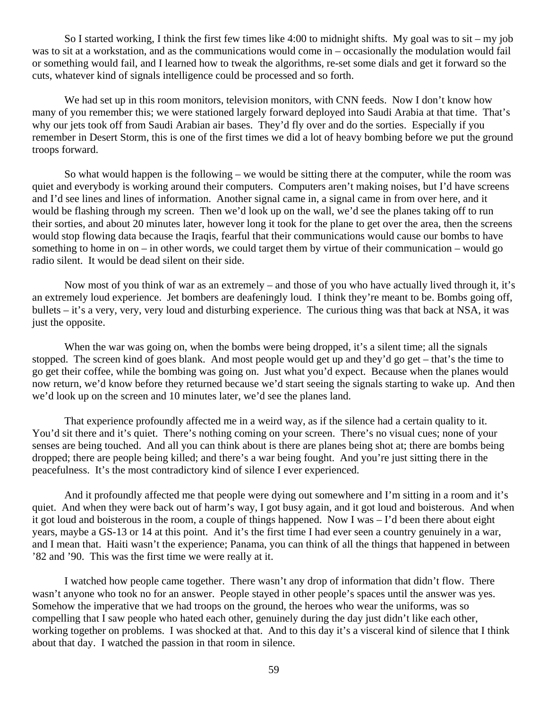So I started working, I think the first few times like 4:00 to midnight shifts. My goal was to sit – my job was to sit at a workstation, and as the communications would come in – occasionally the modulation would fail or something would fail, and I learned how to tweak the algorithms, re-set some dials and get it forward so the cuts, whatever kind of signals intelligence could be processed and so forth.

We had set up in this room monitors, television monitors, with CNN feeds. Now I don't know how many of you remember this; we were stationed largely forward deployed into Saudi Arabia at that time. That's why our jets took off from Saudi Arabian air bases. They'd fly over and do the sorties. Especially if you remember in Desert Storm, this is one of the first times we did a lot of heavy bombing before we put the ground troops forward.

So what would happen is the following – we would be sitting there at the computer, while the room was quiet and everybody is working around their computers. Computers aren't making noises, but I'd have screens and I'd see lines and lines of information. Another signal came in, a signal came in from over here, and it would be flashing through my screen. Then we'd look up on the wall, we'd see the planes taking off to run their sorties, and about 20 minutes later, however long it took for the plane to get over the area, then the screens would stop flowing data because the Iraqis, fearful that their communications would cause our bombs to have something to home in on – in other words, we could target them by virtue of their communication – would go radio silent. It would be dead silent on their side.

Now most of you think of war as an extremely – and those of you who have actually lived through it, it's an extremely loud experience. Jet bombers are deafeningly loud. I think they're meant to be. Bombs going off, bullets – it's a very, very, very loud and disturbing experience. The curious thing was that back at NSA, it was just the opposite.

When the war was going on, when the bombs were being dropped, it's a silent time; all the signals stopped. The screen kind of goes blank. And most people would get up and they'd go get – that's the time to go get their coffee, while the bombing was going on. Just what you'd expect. Because when the planes would now return, we'd know before they returned because we'd start seeing the signals starting to wake up. And then we'd look up on the screen and 10 minutes later, we'd see the planes land.

That experience profoundly affected me in a weird way, as if the silence had a certain quality to it. You'd sit there and it's quiet. There's nothing coming on your screen. There's no visual cues; none of your senses are being touched. And all you can think about is there are planes being shot at; there are bombs being dropped; there are people being killed; and there's a war being fought. And you're just sitting there in the peacefulness. It's the most contradictory kind of silence I ever experienced.

And it profoundly affected me that people were dying out somewhere and I'm sitting in a room and it's quiet. And when they were back out of harm's way, I got busy again, and it got loud and boisterous. And when it got loud and boisterous in the room, a couple of things happened. Now I was – I'd been there about eight years, maybe a GS-13 or 14 at this point. And it's the first time I had ever seen a country genuinely in a war, and I mean that. Haiti wasn't the experience; Panama, you can think of all the things that happened in between '82 and '90. This was the first time we were really at it.

I watched how people came together. There wasn't any drop of information that didn't flow. There wasn't anyone who took no for an answer. People stayed in other people's spaces until the answer was yes. Somehow the imperative that we had troops on the ground, the heroes who wear the uniforms, was so compelling that I saw people who hated each other, genuinely during the day just didn't like each other, working together on problems. I was shocked at that. And to this day it's a visceral kind of silence that I think about that day. I watched the passion in that room in silence.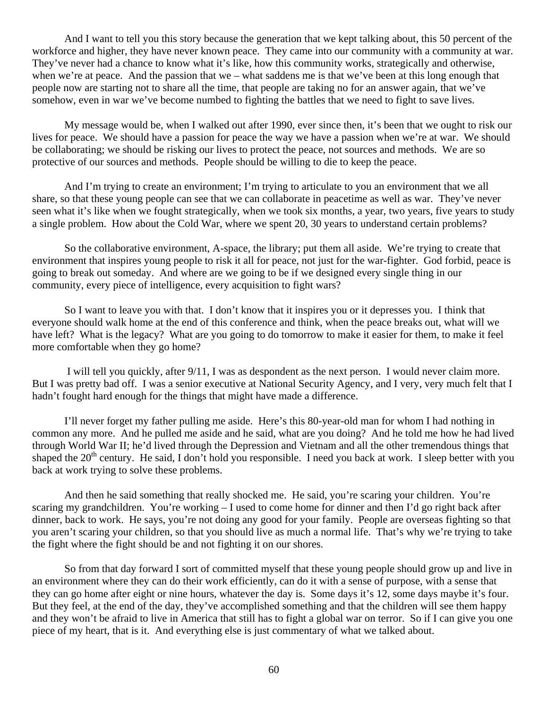And I want to tell you this story because the generation that we kept talking about, this 50 percent of the workforce and higher, they have never known peace. They came into our community with a community at war. They've never had a chance to know what it's like, how this community works, strategically and otherwise, when we're at peace. And the passion that we – what saddens me is that we've been at this long enough that people now are starting not to share all the time, that people are taking no for an answer again, that we've somehow, even in war we've become numbed to fighting the battles that we need to fight to save lives.

My message would be, when I walked out after 1990, ever since then, it's been that we ought to risk our lives for peace. We should have a passion for peace the way we have a passion when we're at war. We should be collaborating; we should be risking our lives to protect the peace, not sources and methods. We are so protective of our sources and methods. People should be willing to die to keep the peace.

And I'm trying to create an environment; I'm trying to articulate to you an environment that we all share, so that these young people can see that we can collaborate in peacetime as well as war. They've never seen what it's like when we fought strategically, when we took six months, a year, two years, five years to study a single problem. How about the Cold War, where we spent 20, 30 years to understand certain problems?

So the collaborative environment, A-space, the library; put them all aside. We're trying to create that environment that inspires young people to risk it all for peace, not just for the war-fighter. God forbid, peace is going to break out someday. And where are we going to be if we designed every single thing in our community, every piece of intelligence, every acquisition to fight wars?

So I want to leave you with that. I don't know that it inspires you or it depresses you. I think that everyone should walk home at the end of this conference and think, when the peace breaks out, what will we have left? What is the legacy? What are you going to do tomorrow to make it easier for them, to make it feel more comfortable when they go home?

 I will tell you quickly, after 9/11, I was as despondent as the next person. I would never claim more. But I was pretty bad off. I was a senior executive at National Security Agency, and I very, very much felt that I hadn't fought hard enough for the things that might have made a difference.

I'll never forget my father pulling me aside. Here's this 80-year-old man for whom I had nothing in common any more. And he pulled me aside and he said, what are you doing? And he told me how he had lived through World War II; he'd lived through the Depression and Vietnam and all the other tremendous things that shaped the 20<sup>th</sup> century. He said, I don't hold you responsible. I need you back at work. I sleep better with you back at work trying to solve these problems.

And then he said something that really shocked me. He said, you're scaring your children. You're scaring my grandchildren. You're working – I used to come home for dinner and then I'd go right back after dinner, back to work. He says, you're not doing any good for your family. People are overseas fighting so that you aren't scaring your children, so that you should live as much a normal life. That's why we're trying to take the fight where the fight should be and not fighting it on our shores.

So from that day forward I sort of committed myself that these young people should grow up and live in an environment where they can do their work efficiently, can do it with a sense of purpose, with a sense that they can go home after eight or nine hours, whatever the day is. Some days it's 12, some days maybe it's four. But they feel, at the end of the day, they've accomplished something and that the children will see them happy and they won't be afraid to live in America that still has to fight a global war on terror. So if I can give you one piece of my heart, that is it. And everything else is just commentary of what we talked about.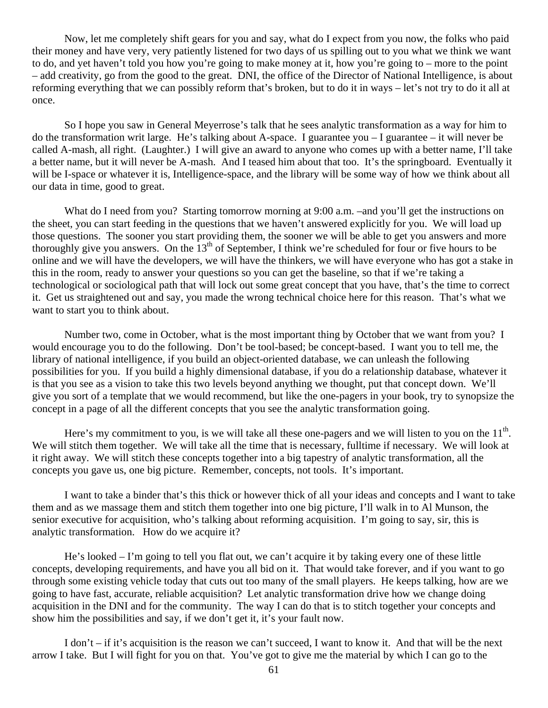Now, let me completely shift gears for you and say, what do I expect from you now, the folks who paid their money and have very, very patiently listened for two days of us spilling out to you what we think we want to do, and yet haven't told you how you're going to make money at it, how you're going to – more to the point – add creativity, go from the good to the great. DNI, the office of the Director of National Intelligence, is about reforming everything that we can possibly reform that's broken, but to do it in ways – let's not try to do it all at once.

So I hope you saw in General Meyerrose's talk that he sees analytic transformation as a way for him to do the transformation writ large. He's talking about A-space. I guarantee you – I guarantee – it will never be called A-mash, all right. (Laughter.) I will give an award to anyone who comes up with a better name, I'll take a better name, but it will never be A-mash. And I teased him about that too. It's the springboard. Eventually it will be I-space or whatever it is, Intelligence-space, and the library will be some way of how we think about all our data in time, good to great.

What do I need from you? Starting tomorrow morning at 9:00 a.m. –and you'll get the instructions on the sheet, you can start feeding in the questions that we haven't answered explicitly for you. We will load up those questions. The sooner you start providing them, the sooner we will be able to get you answers and more thoroughly give you answers. On the  $13<sup>th</sup>$  of September, I think we're scheduled for four or five hours to be online and we will have the developers, we will have the thinkers, we will have everyone who has got a stake in this in the room, ready to answer your questions so you can get the baseline, so that if we're taking a technological or sociological path that will lock out some great concept that you have, that's the time to correct it. Get us straightened out and say, you made the wrong technical choice here for this reason. That's what we want to start you to think about.

Number two, come in October, what is the most important thing by October that we want from you? I would encourage you to do the following. Don't be tool-based; be concept-based. I want you to tell me, the library of national intelligence, if you build an object-oriented database, we can unleash the following possibilities for you. If you build a highly dimensional database, if you do a relationship database, whatever it is that you see as a vision to take this two levels beyond anything we thought, put that concept down. We'll give you sort of a template that we would recommend, but like the one-pagers in your book, try to synopsize the concept in a page of all the different concepts that you see the analytic transformation going.

Here's my commitment to you, is we will take all these one-pagers and we will listen to you on the  $11<sup>th</sup>$ . We will stitch them together. We will take all the time that is necessary, fulltime if necessary. We will look at it right away. We will stitch these concepts together into a big tapestry of analytic transformation, all the concepts you gave us, one big picture. Remember, concepts, not tools. It's important.

I want to take a binder that's this thick or however thick of all your ideas and concepts and I want to take them and as we massage them and stitch them together into one big picture, I'll walk in to Al Munson, the senior executive for acquisition, who's talking about reforming acquisition. I'm going to say, sir, this is analytic transformation. How do we acquire it?

He's looked – I'm going to tell you flat out, we can't acquire it by taking every one of these little concepts, developing requirements, and have you all bid on it. That would take forever, and if you want to go through some existing vehicle today that cuts out too many of the small players. He keeps talking, how are we going to have fast, accurate, reliable acquisition? Let analytic transformation drive how we change doing acquisition in the DNI and for the community. The way I can do that is to stitch together your concepts and show him the possibilities and say, if we don't get it, it's your fault now.

I don't – if it's acquisition is the reason we can't succeed, I want to know it. And that will be the next arrow I take. But I will fight for you on that. You've got to give me the material by which I can go to the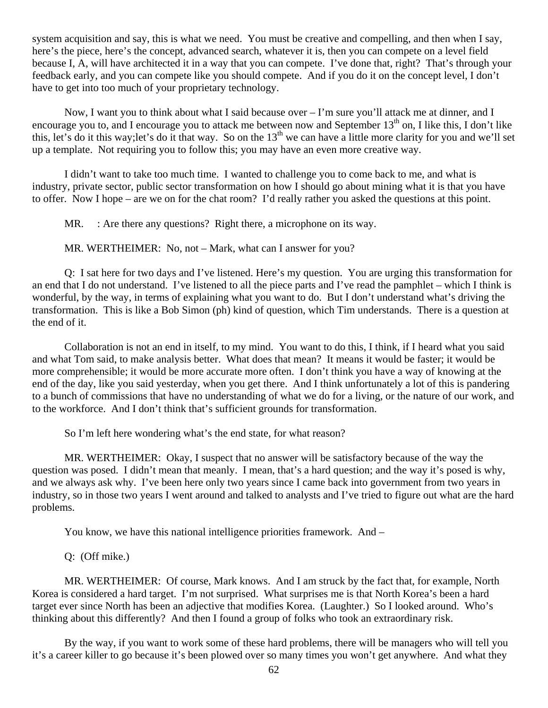system acquisition and say, this is what we need. You must be creative and compelling, and then when I say, here's the piece, here's the concept, advanced search, whatever it is, then you can compete on a level field because I, A, will have architected it in a way that you can compete. I've done that, right? That's through your feedback early, and you can compete like you should compete. And if you do it on the concept level, I don't have to get into too much of your proprietary technology.

Now, I want you to think about what I said because over – I'm sure you'll attack me at dinner, and I encourage you to, and I encourage you to attack me between now and September  $13<sup>th</sup>$  on, I like this, I don't like this, let's do it this way;let's do it that way. So on the  $13<sup>th</sup>$  we can have a little more clarity for you and we'll set up a template. Not requiring you to follow this; you may have an even more creative way.

I didn't want to take too much time. I wanted to challenge you to come back to me, and what is industry, private sector, public sector transformation on how I should go about mining what it is that you have to offer. Now I hope – are we on for the chat room? I'd really rather you asked the questions at this point.

MR. : Are there any questions? Right there, a microphone on its way.

MR. WERTHEIMER: No, not – Mark, what can I answer for you?

Q: I sat here for two days and I've listened. Here's my question. You are urging this transformation for an end that I do not understand. I've listened to all the piece parts and I've read the pamphlet – which I think is wonderful, by the way, in terms of explaining what you want to do. But I don't understand what's driving the transformation. This is like a Bob Simon (ph) kind of question, which Tim understands. There is a question at the end of it.

Collaboration is not an end in itself, to my mind. You want to do this, I think, if I heard what you said and what Tom said, to make analysis better. What does that mean? It means it would be faster; it would be more comprehensible; it would be more accurate more often. I don't think you have a way of knowing at the end of the day, like you said yesterday, when you get there. And I think unfortunately a lot of this is pandering to a bunch of commissions that have no understanding of what we do for a living, or the nature of our work, and to the workforce. And I don't think that's sufficient grounds for transformation.

So I'm left here wondering what's the end state, for what reason?

MR. WERTHEIMER: Okay, I suspect that no answer will be satisfactory because of the way the question was posed. I didn't mean that meanly. I mean, that's a hard question; and the way it's posed is why, and we always ask why. I've been here only two years since I came back into government from two years in industry, so in those two years I went around and talked to analysts and I've tried to figure out what are the hard problems.

You know, we have this national intelligence priorities framework. And –

Q: (Off mike.)

MR. WERTHEIMER: Of course, Mark knows. And I am struck by the fact that, for example, North Korea is considered a hard target. I'm not surprised. What surprises me is that North Korea's been a hard target ever since North has been an adjective that modifies Korea. (Laughter.) So I looked around. Who's thinking about this differently? And then I found a group of folks who took an extraordinary risk.

By the way, if you want to work some of these hard problems, there will be managers who will tell you it's a career killer to go because it's been plowed over so many times you won't get anywhere. And what they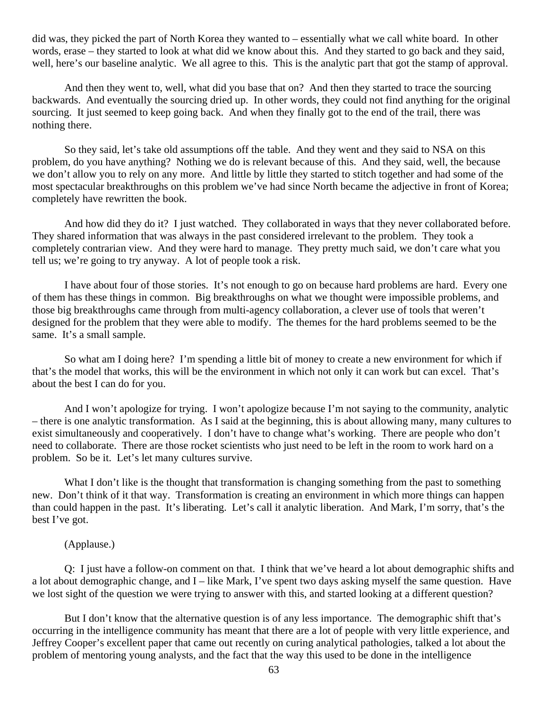did was, they picked the part of North Korea they wanted to – essentially what we call white board. In other words, erase – they started to look at what did we know about this. And they started to go back and they said, well, here's our baseline analytic. We all agree to this. This is the analytic part that got the stamp of approval.

And then they went to, well, what did you base that on? And then they started to trace the sourcing backwards. And eventually the sourcing dried up. In other words, they could not find anything for the original sourcing. It just seemed to keep going back. And when they finally got to the end of the trail, there was nothing there.

So they said, let's take old assumptions off the table. And they went and they said to NSA on this problem, do you have anything? Nothing we do is relevant because of this. And they said, well, the because we don't allow you to rely on any more. And little by little they started to stitch together and had some of the most spectacular breakthroughs on this problem we've had since North became the adjective in front of Korea; completely have rewritten the book.

And how did they do it? I just watched. They collaborated in ways that they never collaborated before. They shared information that was always in the past considered irrelevant to the problem. They took a completely contrarian view. And they were hard to manage. They pretty much said, we don't care what you tell us; we're going to try anyway. A lot of people took a risk.

 I have about four of those stories. It's not enough to go on because hard problems are hard. Every one of them has these things in common. Big breakthroughs on what we thought were impossible problems, and those big breakthroughs came through from multi-agency collaboration, a clever use of tools that weren't designed for the problem that they were able to modify. The themes for the hard problems seemed to be the same. It's a small sample.

So what am I doing here? I'm spending a little bit of money to create a new environment for which if that's the model that works, this will be the environment in which not only it can work but can excel. That's about the best I can do for you.

And I won't apologize for trying. I won't apologize because I'm not saying to the community, analytic – there is one analytic transformation. As I said at the beginning, this is about allowing many, many cultures to exist simultaneously and cooperatively. I don't have to change what's working. There are people who don't need to collaborate. There are those rocket scientists who just need to be left in the room to work hard on a problem. So be it. Let's let many cultures survive.

What I don't like is the thought that transformation is changing something from the past to something new. Don't think of it that way. Transformation is creating an environment in which more things can happen than could happen in the past. It's liberating. Let's call it analytic liberation. And Mark, I'm sorry, that's the best I've got.

#### (Applause.)

Q: I just have a follow-on comment on that. I think that we've heard a lot about demographic shifts and a lot about demographic change, and I – like Mark, I've spent two days asking myself the same question. Have we lost sight of the question we were trying to answer with this, and started looking at a different question?

But I don't know that the alternative question is of any less importance. The demographic shift that's occurring in the intelligence community has meant that there are a lot of people with very little experience, and Jeffrey Cooper's excellent paper that came out recently on curing analytical pathologies, talked a lot about the problem of mentoring young analysts, and the fact that the way this used to be done in the intelligence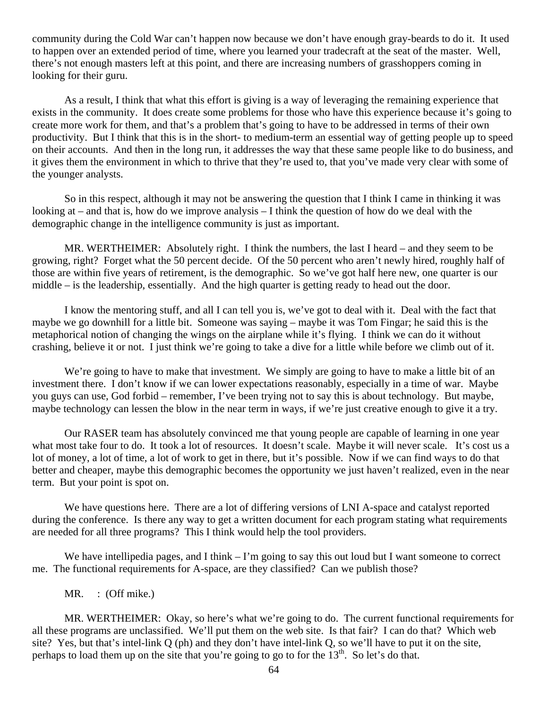community during the Cold War can't happen now because we don't have enough gray-beards to do it. It used to happen over an extended period of time, where you learned your tradecraft at the seat of the master. Well, there's not enough masters left at this point, and there are increasing numbers of grasshoppers coming in looking for their guru.

As a result, I think that what this effort is giving is a way of leveraging the remaining experience that exists in the community. It does create some problems for those who have this experience because it's going to create more work for them, and that's a problem that's going to have to be addressed in terms of their own productivity. But I think that this is in the short- to medium-term an essential way of getting people up to speed on their accounts. And then in the long run, it addresses the way that these same people like to do business, and it gives them the environment in which to thrive that they're used to, that you've made very clear with some of the younger analysts.

So in this respect, although it may not be answering the question that I think I came in thinking it was looking at – and that is, how do we improve analysis – I think the question of how do we deal with the demographic change in the intelligence community is just as important.

MR. WERTHEIMER: Absolutely right. I think the numbers, the last I heard – and they seem to be growing, right? Forget what the 50 percent decide. Of the 50 percent who aren't newly hired, roughly half of those are within five years of retirement, is the demographic. So we've got half here new, one quarter is our middle – is the leadership, essentially. And the high quarter is getting ready to head out the door.

I know the mentoring stuff, and all I can tell you is, we've got to deal with it. Deal with the fact that maybe we go downhill for a little bit. Someone was saying – maybe it was Tom Fingar; he said this is the metaphorical notion of changing the wings on the airplane while it's flying. I think we can do it without crashing, believe it or not. I just think we're going to take a dive for a little while before we climb out of it.

We're going to have to make that investment. We simply are going to have to make a little bit of an investment there. I don't know if we can lower expectations reasonably, especially in a time of war. Maybe you guys can use, God forbid – remember, I've been trying not to say this is about technology. But maybe, maybe technology can lessen the blow in the near term in ways, if we're just creative enough to give it a try.

Our RASER team has absolutely convinced me that young people are capable of learning in one year what most take four to do. It took a lot of resources. It doesn't scale. Maybe it will never scale. It's cost us a lot of money, a lot of time, a lot of work to get in there, but it's possible. Now if we can find ways to do that better and cheaper, maybe this demographic becomes the opportunity we just haven't realized, even in the near term. But your point is spot on.

We have questions here. There are a lot of differing versions of LNI A-space and catalyst reported during the conference. Is there any way to get a written document for each program stating what requirements are needed for all three programs? This I think would help the tool providers.

We have intellipedia pages, and I think – I'm going to say this out loud but I want someone to correct me. The functional requirements for A-space, are they classified? Can we publish those?

MR. : (Off mike.)

MR. WERTHEIMER: Okay, so here's what we're going to do. The current functional requirements for all these programs are unclassified. We'll put them on the web site. Is that fair? I can do that? Which web site? Yes, but that's intel-link Q (ph) and they don't have intel-link Q, so we'll have to put it on the site, perhaps to load them up on the site that you're going to go to for the 13<sup>th</sup>. So let's do that.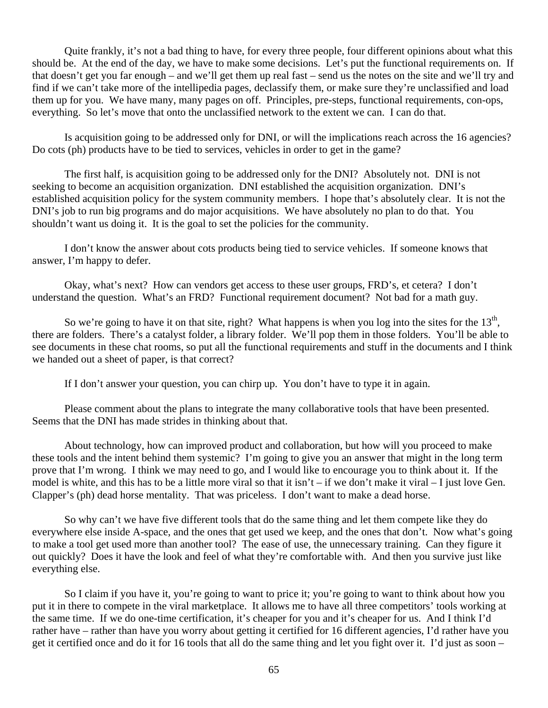Quite frankly, it's not a bad thing to have, for every three people, four different opinions about what this should be. At the end of the day, we have to make some decisions. Let's put the functional requirements on. If that doesn't get you far enough – and we'll get them up real fast – send us the notes on the site and we'll try and find if we can't take more of the intellipedia pages, declassify them, or make sure they're unclassified and load them up for you. We have many, many pages on off. Principles, pre-steps, functional requirements, con-ops, everything. So let's move that onto the unclassified network to the extent we can. I can do that.

Is acquisition going to be addressed only for DNI, or will the implications reach across the 16 agencies? Do cots (ph) products have to be tied to services, vehicles in order to get in the game?

The first half, is acquisition going to be addressed only for the DNI? Absolutely not. DNI is not seeking to become an acquisition organization. DNI established the acquisition organization. DNI's established acquisition policy for the system community members. I hope that's absolutely clear. It is not the DNI's job to run big programs and do major acquisitions. We have absolutely no plan to do that. You shouldn't want us doing it. It is the goal to set the policies for the community.

I don't know the answer about cots products being tied to service vehicles. If someone knows that answer, I'm happy to defer.

Okay, what's next? How can vendors get access to these user groups, FRD's, et cetera? I don't understand the question. What's an FRD? Functional requirement document? Not bad for a math guy.

So we're going to have it on that site, right? What happens is when you log into the sites for the  $13<sup>th</sup>$ , there are folders. There's a catalyst folder, a library folder. We'll pop them in those folders. You'll be able to see documents in these chat rooms, so put all the functional requirements and stuff in the documents and I think we handed out a sheet of paper, is that correct?

If I don't answer your question, you can chirp up. You don't have to type it in again.

Please comment about the plans to integrate the many collaborative tools that have been presented. Seems that the DNI has made strides in thinking about that.

About technology, how can improved product and collaboration, but how will you proceed to make these tools and the intent behind them systemic? I'm going to give you an answer that might in the long term prove that I'm wrong. I think we may need to go, and I would like to encourage you to think about it. If the model is white, and this has to be a little more viral so that it isn't – if we don't make it viral – I just love Gen. Clapper's (ph) dead horse mentality. That was priceless. I don't want to make a dead horse.

So why can't we have five different tools that do the same thing and let them compete like they do everywhere else inside A-space, and the ones that get used we keep, and the ones that don't. Now what's going to make a tool get used more than another tool? The ease of use, the unnecessary training. Can they figure it out quickly? Does it have the look and feel of what they're comfortable with. And then you survive just like everything else.

So I claim if you have it, you're going to want to price it; you're going to want to think about how you put it in there to compete in the viral marketplace. It allows me to have all three competitors' tools working at the same time. If we do one-time certification, it's cheaper for you and it's cheaper for us. And I think I'd rather have – rather than have you worry about getting it certified for 16 different agencies, I'd rather have you get it certified once and do it for 16 tools that all do the same thing and let you fight over it. I'd just as soon –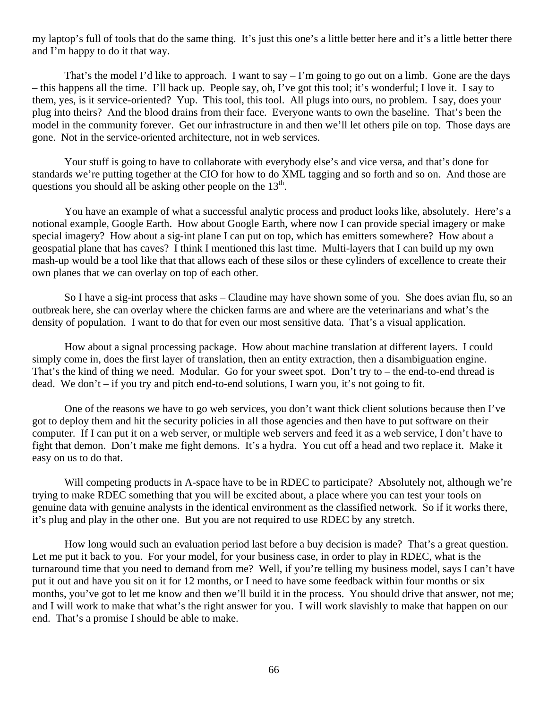my laptop's full of tools that do the same thing. It's just this one's a little better here and it's a little better there and I'm happy to do it that way.

That's the model I'd like to approach. I want to say  $-1$ 'm going to go out on a limb. Gone are the days – this happens all the time. I'll back up. People say, oh, I've got this tool; it's wonderful; I love it. I say to them, yes, is it service-oriented? Yup. This tool, this tool. All plugs into ours, no problem. I say, does your plug into theirs? And the blood drains from their face. Everyone wants to own the baseline. That's been the model in the community forever. Get our infrastructure in and then we'll let others pile on top. Those days are gone. Not in the service-oriented architecture, not in web services.

Your stuff is going to have to collaborate with everybody else's and vice versa, and that's done for standards we're putting together at the CIO for how to do XML tagging and so forth and so on. And those are questions you should all be asking other people on the  $13<sup>th</sup>$ .

You have an example of what a successful analytic process and product looks like, absolutely. Here's a notional example, Google Earth. How about Google Earth, where now I can provide special imagery or make special imagery? How about a sig-int plane I can put on top, which has emitters somewhere? How about a geospatial plane that has caves? I think I mentioned this last time. Multi-layers that I can build up my own mash-up would be a tool like that that allows each of these silos or these cylinders of excellence to create their own planes that we can overlay on top of each other.

So I have a sig-int process that asks – Claudine may have shown some of you. She does avian flu, so an outbreak here, she can overlay where the chicken farms are and where are the veterinarians and what's the density of population. I want to do that for even our most sensitive data. That's a visual application.

How about a signal processing package. How about machine translation at different layers. I could simply come in, does the first layer of translation, then an entity extraction, then a disambiguation engine. That's the kind of thing we need. Modular. Go for your sweet spot. Don't try to – the end-to-end thread is dead. We don't – if you try and pitch end-to-end solutions, I warn you, it's not going to fit.

One of the reasons we have to go web services, you don't want thick client solutions because then I've got to deploy them and hit the security policies in all those agencies and then have to put software on their computer. If I can put it on a web server, or multiple web servers and feed it as a web service, I don't have to fight that demon. Don't make me fight demons. It's a hydra. You cut off a head and two replace it. Make it easy on us to do that.

Will competing products in A-space have to be in RDEC to participate? Absolutely not, although we're trying to make RDEC something that you will be excited about, a place where you can test your tools on genuine data with genuine analysts in the identical environment as the classified network. So if it works there, it's plug and play in the other one. But you are not required to use RDEC by any stretch.

How long would such an evaluation period last before a buy decision is made? That's a great question. Let me put it back to you. For your model, for your business case, in order to play in RDEC, what is the turnaround time that you need to demand from me? Well, if you're telling my business model, says I can't have put it out and have you sit on it for 12 months, or I need to have some feedback within four months or six months, you've got to let me know and then we'll build it in the process. You should drive that answer, not me; and I will work to make that what's the right answer for you. I will work slavishly to make that happen on our end. That's a promise I should be able to make.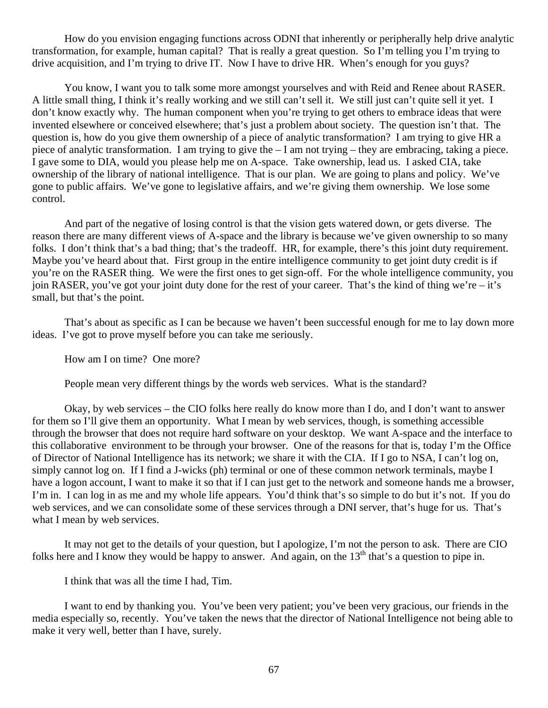How do you envision engaging functions across ODNI that inherently or peripherally help drive analytic transformation, for example, human capital? That is really a great question. So I'm telling you I'm trying to drive acquisition, and I'm trying to drive IT. Now I have to drive HR. When's enough for you guys?

You know, I want you to talk some more amongst yourselves and with Reid and Renee about RASER. A little small thing, I think it's really working and we still can't sell it. We still just can't quite sell it yet. I don't know exactly why. The human component when you're trying to get others to embrace ideas that were invented elsewhere or conceived elsewhere; that's just a problem about society. The question isn't that. The question is, how do you give them ownership of a piece of analytic transformation? I am trying to give HR a piece of analytic transformation. I am trying to give the – I am not trying – they are embracing, taking a piece. I gave some to DIA, would you please help me on A-space. Take ownership, lead us. I asked CIA, take ownership of the library of national intelligence. That is our plan. We are going to plans and policy. We've gone to public affairs. We've gone to legislative affairs, and we're giving them ownership. We lose some control.

And part of the negative of losing control is that the vision gets watered down, or gets diverse. The reason there are many different views of A-space and the library is because we've given ownership to so many folks. I don't think that's a bad thing; that's the tradeoff. HR, for example, there's this joint duty requirement. Maybe you've heard about that. First group in the entire intelligence community to get joint duty credit is if you're on the RASER thing. We were the first ones to get sign-off. For the whole intelligence community, you join RASER, you've got your joint duty done for the rest of your career. That's the kind of thing we're – it's small, but that's the point.

That's about as specific as I can be because we haven't been successful enough for me to lay down more ideas. I've got to prove myself before you can take me seriously.

How am I on time? One more?

People mean very different things by the words web services. What is the standard?

Okay, by web services – the CIO folks here really do know more than I do, and I don't want to answer for them so I'll give them an opportunity. What I mean by web services, though, is something accessible through the browser that does not require hard software on your desktop. We want A-space and the interface to this collaborative environment to be through your browser. One of the reasons for that is, today I'm the Office of Director of National Intelligence has its network; we share it with the CIA. If I go to NSA, I can't log on, simply cannot log on. If I find a J-wicks (ph) terminal or one of these common network terminals, maybe I have a logon account, I want to make it so that if I can just get to the network and someone hands me a browser, I'm in. I can log in as me and my whole life appears. You'd think that's so simple to do but it's not. If you do web services, and we can consolidate some of these services through a DNI server, that's huge for us. That's what I mean by web services.

It may not get to the details of your question, but I apologize, I'm not the person to ask. There are CIO folks here and I know they would be happy to answer. And again, on the  $13<sup>th</sup>$  that's a question to pipe in.

I think that was all the time I had, Tim.

I want to end by thanking you. You've been very patient; you've been very gracious, our friends in the media especially so, recently. You've taken the news that the director of National Intelligence not being able to make it very well, better than I have, surely.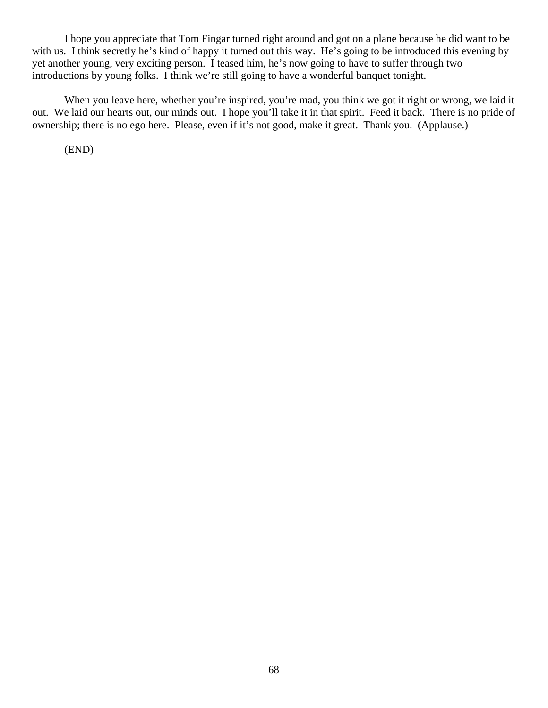I hope you appreciate that Tom Fingar turned right around and got on a plane because he did want to be with us. I think secretly he's kind of happy it turned out this way. He's going to be introduced this evening by yet another young, very exciting person. I teased him, he's now going to have to suffer through two introductions by young folks. I think we're still going to have a wonderful banquet tonight.

When you leave here, whether you're inspired, you're mad, you think we got it right or wrong, we laid it out. We laid our hearts out, our minds out. I hope you'll take it in that spirit. Feed it back. There is no pride of ownership; there is no ego here. Please, even if it's not good, make it great. Thank you. (Applause.)

(END)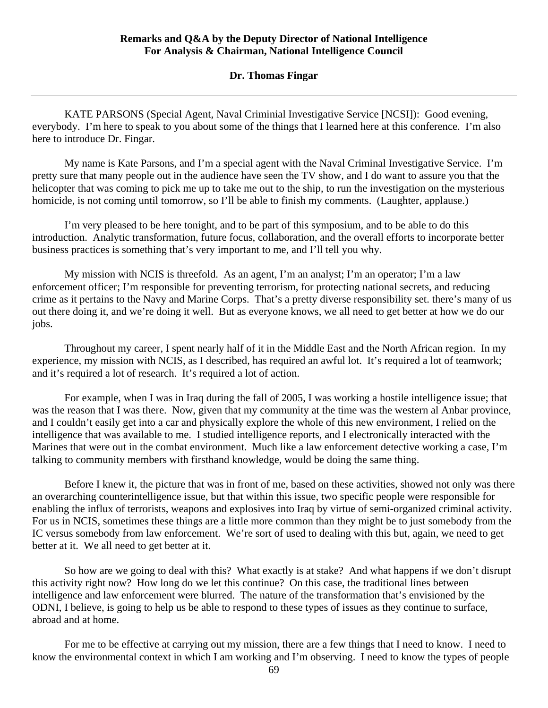# **Dr. Thomas Fingar**

KATE PARSONS (Special Agent, Naval Criminial Investigative Service [NCSI]): Good evening, everybody. I'm here to speak to you about some of the things that I learned here at this conference. I'm also here to introduce Dr. Fingar.

My name is Kate Parsons, and I'm a special agent with the Naval Criminal Investigative Service. I'm pretty sure that many people out in the audience have seen the TV show, and I do want to assure you that the helicopter that was coming to pick me up to take me out to the ship, to run the investigation on the mysterious homicide, is not coming until tomorrow, so I'll be able to finish my comments. (Laughter, applause.)

I'm very pleased to be here tonight, and to be part of this symposium, and to be able to do this introduction. Analytic transformation, future focus, collaboration, and the overall efforts to incorporate better business practices is something that's very important to me, and I'll tell you why.

My mission with NCIS is threefold. As an agent, I'm an analyst; I'm an operator; I'm a law enforcement officer; I'm responsible for preventing terrorism, for protecting national secrets, and reducing crime as it pertains to the Navy and Marine Corps. That's a pretty diverse responsibility set. there's many of us out there doing it, and we're doing it well. But as everyone knows, we all need to get better at how we do our jobs.

Throughout my career, I spent nearly half of it in the Middle East and the North African region. In my experience, my mission with NCIS, as I described, has required an awful lot. It's required a lot of teamwork; and it's required a lot of research. It's required a lot of action.

For example, when I was in Iraq during the fall of 2005, I was working a hostile intelligence issue; that was the reason that I was there. Now, given that my community at the time was the western al Anbar province, and I couldn't easily get into a car and physically explore the whole of this new environment, I relied on the intelligence that was available to me. I studied intelligence reports, and I electronically interacted with the Marines that were out in the combat environment. Much like a law enforcement detective working a case, I'm talking to community members with firsthand knowledge, would be doing the same thing.

Before I knew it, the picture that was in front of me, based on these activities, showed not only was there an overarching counterintelligence issue, but that within this issue, two specific people were responsible for enabling the influx of terrorists, weapons and explosives into Iraq by virtue of semi-organized criminal activity. For us in NCIS, sometimes these things are a little more common than they might be to just somebody from the IC versus somebody from law enforcement. We're sort of used to dealing with this but, again, we need to get better at it. We all need to get better at it.

So how are we going to deal with this? What exactly is at stake? And what happens if we don't disrupt this activity right now? How long do we let this continue? On this case, the traditional lines between intelligence and law enforcement were blurred. The nature of the transformation that's envisioned by the ODNI, I believe, is going to help us be able to respond to these types of issues as they continue to surface, abroad and at home.

For me to be effective at carrying out my mission, there are a few things that I need to know. I need to know the environmental context in which I am working and I'm observing. I need to know the types of people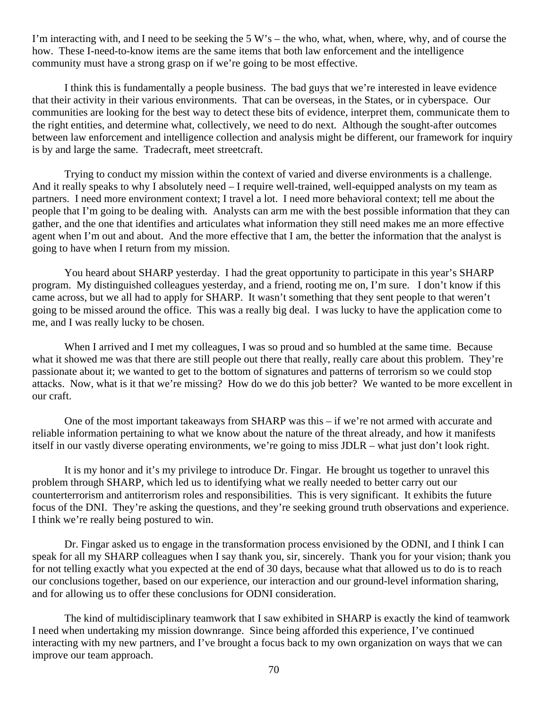I'm interacting with, and I need to be seeking the  $5 W$ 's – the who, what, when, where, why, and of course the how. These I-need-to-know items are the same items that both law enforcement and the intelligence community must have a strong grasp on if we're going to be most effective.

I think this is fundamentally a people business. The bad guys that we're interested in leave evidence that their activity in their various environments. That can be overseas, in the States, or in cyberspace. Our communities are looking for the best way to detect these bits of evidence, interpret them, communicate them to the right entities, and determine what, collectively, we need to do next. Although the sought-after outcomes between law enforcement and intelligence collection and analysis might be different, our framework for inquiry is by and large the same. Tradecraft, meet streetcraft.

Trying to conduct my mission within the context of varied and diverse environments is a challenge. And it really speaks to why I absolutely need – I require well-trained, well-equipped analysts on my team as partners. I need more environment context; I travel a lot. I need more behavioral context; tell me about the people that I'm going to be dealing with. Analysts can arm me with the best possible information that they can gather, and the one that identifies and articulates what information they still need makes me an more effective agent when I'm out and about. And the more effective that I am, the better the information that the analyst is going to have when I return from my mission.

You heard about SHARP yesterday. I had the great opportunity to participate in this year's SHARP program. My distinguished colleagues yesterday, and a friend, rooting me on, I'm sure. I don't know if this came across, but we all had to apply for SHARP. It wasn't something that they sent people to that weren't going to be missed around the office. This was a really big deal. I was lucky to have the application come to me, and I was really lucky to be chosen.

When I arrived and I met my colleagues, I was so proud and so humbled at the same time. Because what it showed me was that there are still people out there that really, really care about this problem. They're passionate about it; we wanted to get to the bottom of signatures and patterns of terrorism so we could stop attacks. Now, what is it that we're missing? How do we do this job better? We wanted to be more excellent in our craft.

One of the most important takeaways from SHARP was this – if we're not armed with accurate and reliable information pertaining to what we know about the nature of the threat already, and how it manifests itself in our vastly diverse operating environments, we're going to miss JDLR – what just don't look right.

It is my honor and it's my privilege to introduce Dr. Fingar. He brought us together to unravel this problem through SHARP, which led us to identifying what we really needed to better carry out our counterterrorism and antiterrorism roles and responsibilities. This is very significant. It exhibits the future focus of the DNI. They're asking the questions, and they're seeking ground truth observations and experience. I think we're really being postured to win.

Dr. Fingar asked us to engage in the transformation process envisioned by the ODNI, and I think I can speak for all my SHARP colleagues when I say thank you, sir, sincerely. Thank you for your vision; thank you for not telling exactly what you expected at the end of 30 days, because what that allowed us to do is to reach our conclusions together, based on our experience, our interaction and our ground-level information sharing, and for allowing us to offer these conclusions for ODNI consideration.

The kind of multidisciplinary teamwork that I saw exhibited in SHARP is exactly the kind of teamwork I need when undertaking my mission downrange. Since being afforded this experience, I've continued interacting with my new partners, and I've brought a focus back to my own organization on ways that we can improve our team approach.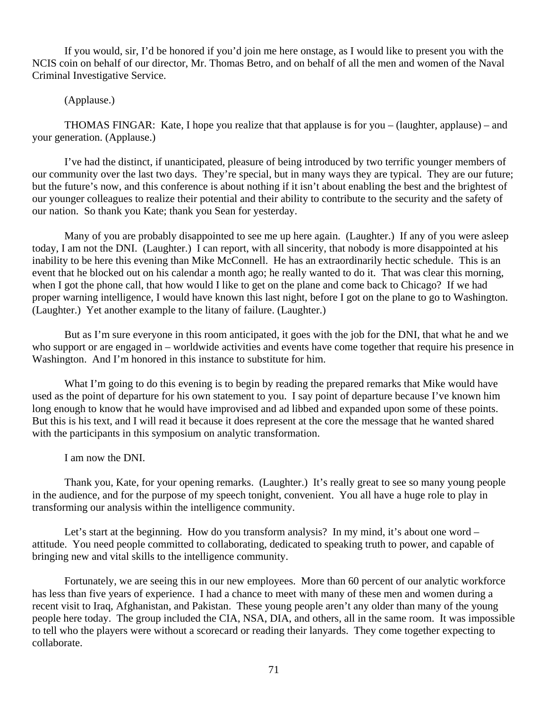If you would, sir, I'd be honored if you'd join me here onstage, as I would like to present you with the NCIS coin on behalf of our director, Mr. Thomas Betro, and on behalf of all the men and women of the Naval Criminal Investigative Service.

# (Applause.)

THOMAS FINGAR: Kate, I hope you realize that that applause is for you – (laughter, applause) – and your generation. (Applause.)

I've had the distinct, if unanticipated, pleasure of being introduced by two terrific younger members of our community over the last two days. They're special, but in many ways they are typical. They are our future; but the future's now, and this conference is about nothing if it isn't about enabling the best and the brightest of our younger colleagues to realize their potential and their ability to contribute to the security and the safety of our nation. So thank you Kate; thank you Sean for yesterday.

Many of you are probably disappointed to see me up here again. (Laughter.) If any of you were asleep today, I am not the DNI. (Laughter.) I can report, with all sincerity, that nobody is more disappointed at his inability to be here this evening than Mike McConnell. He has an extraordinarily hectic schedule. This is an event that he blocked out on his calendar a month ago; he really wanted to do it. That was clear this morning, when I got the phone call, that how would I like to get on the plane and come back to Chicago? If we had proper warning intelligence, I would have known this last night, before I got on the plane to go to Washington. (Laughter.) Yet another example to the litany of failure. (Laughter.)

But as I'm sure everyone in this room anticipated, it goes with the job for the DNI, that what he and we who support or are engaged in – worldwide activities and events have come together that require his presence in Washington. And I'm honored in this instance to substitute for him.

What I'm going to do this evening is to begin by reading the prepared remarks that Mike would have used as the point of departure for his own statement to you. I say point of departure because I've known him long enough to know that he would have improvised and ad libbed and expanded upon some of these points. But this is his text, and I will read it because it does represent at the core the message that he wanted shared with the participants in this symposium on analytic transformation.

I am now the DNI.

Thank you, Kate, for your opening remarks. (Laughter.) It's really great to see so many young people in the audience, and for the purpose of my speech tonight, convenient. You all have a huge role to play in transforming our analysis within the intelligence community.

Let's start at the beginning. How do you transform analysis? In my mind, it's about one word – attitude. You need people committed to collaborating, dedicated to speaking truth to power, and capable of bringing new and vital skills to the intelligence community.

Fortunately, we are seeing this in our new employees. More than 60 percent of our analytic workforce has less than five years of experience. I had a chance to meet with many of these men and women during a recent visit to Iraq, Afghanistan, and Pakistan. These young people aren't any older than many of the young people here today. The group included the CIA, NSA, DIA, and others, all in the same room. It was impossible to tell who the players were without a scorecard or reading their lanyards. They come together expecting to collaborate.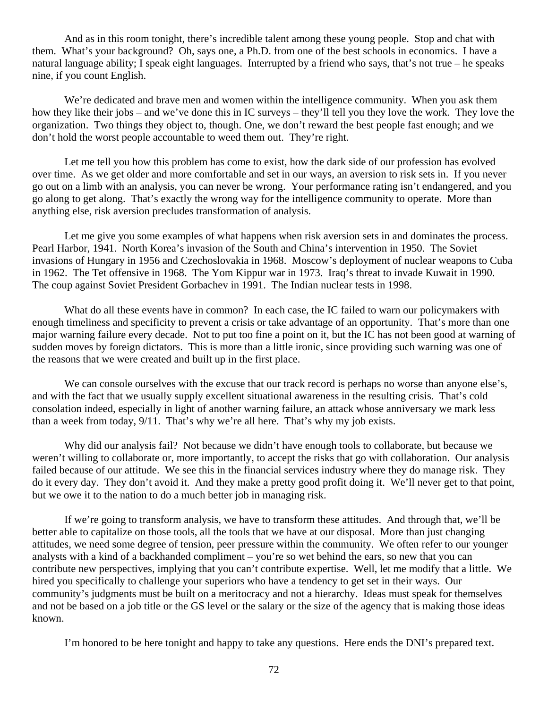And as in this room tonight, there's incredible talent among these young people. Stop and chat with them. What's your background? Oh, says one, a Ph.D. from one of the best schools in economics. I have a natural language ability; I speak eight languages. Interrupted by a friend who says, that's not true – he speaks nine, if you count English.

We're dedicated and brave men and women within the intelligence community. When you ask them how they like their jobs – and we've done this in IC surveys – they'll tell you they love the work. They love the organization. Two things they object to, though. One, we don't reward the best people fast enough; and we don't hold the worst people accountable to weed them out. They're right.

Let me tell you how this problem has come to exist, how the dark side of our profession has evolved over time. As we get older and more comfortable and set in our ways, an aversion to risk sets in. If you never go out on a limb with an analysis, you can never be wrong. Your performance rating isn't endangered, and you go along to get along. That's exactly the wrong way for the intelligence community to operate. More than anything else, risk aversion precludes transformation of analysis.

Let me give you some examples of what happens when risk aversion sets in and dominates the process. Pearl Harbor, 1941. North Korea's invasion of the South and China's intervention in 1950. The Soviet invasions of Hungary in 1956 and Czechoslovakia in 1968. Moscow's deployment of nuclear weapons to Cuba in 1962. The Tet offensive in 1968. The Yom Kippur war in 1973. Iraq's threat to invade Kuwait in 1990. The coup against Soviet President Gorbachev in 1991. The Indian nuclear tests in 1998.

What do all these events have in common? In each case, the IC failed to warn our policymakers with enough timeliness and specificity to prevent a crisis or take advantage of an opportunity. That's more than one major warning failure every decade. Not to put too fine a point on it, but the IC has not been good at warning of sudden moves by foreign dictators. This is more than a little ironic, since providing such warning was one of the reasons that we were created and built up in the first place.

We can console ourselves with the excuse that our track record is perhaps no worse than anyone else's, and with the fact that we usually supply excellent situational awareness in the resulting crisis. That's cold consolation indeed, especially in light of another warning failure, an attack whose anniversary we mark less than a week from today, 9/11. That's why we're all here. That's why my job exists.

Why did our analysis fail? Not because we didn't have enough tools to collaborate, but because we weren't willing to collaborate or, more importantly, to accept the risks that go with collaboration. Our analysis failed because of our attitude. We see this in the financial services industry where they do manage risk. They do it every day. They don't avoid it. And they make a pretty good profit doing it. We'll never get to that point, but we owe it to the nation to do a much better job in managing risk.

If we're going to transform analysis, we have to transform these attitudes. And through that, we'll be better able to capitalize on those tools, all the tools that we have at our disposal. More than just changing attitudes, we need some degree of tension, peer pressure within the community. We often refer to our younger analysts with a kind of a backhanded compliment – you're so wet behind the ears, so new that you can contribute new perspectives, implying that you can't contribute expertise. Well, let me modify that a little. We hired you specifically to challenge your superiors who have a tendency to get set in their ways. Our community's judgments must be built on a meritocracy and not a hierarchy. Ideas must speak for themselves and not be based on a job title or the GS level or the salary or the size of the agency that is making those ideas known.

I'm honored to be here tonight and happy to take any questions. Here ends the DNI's prepared text.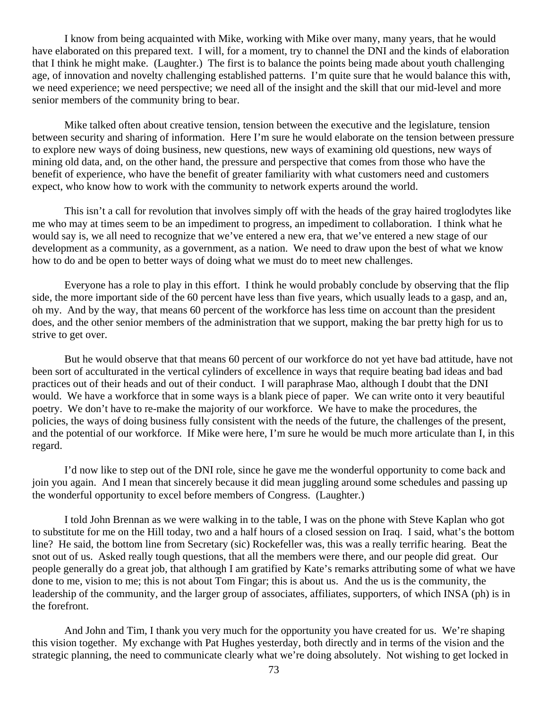I know from being acquainted with Mike, working with Mike over many, many years, that he would have elaborated on this prepared text. I will, for a moment, try to channel the DNI and the kinds of elaboration that I think he might make. (Laughter.) The first is to balance the points being made about youth challenging age, of innovation and novelty challenging established patterns. I'm quite sure that he would balance this with, we need experience; we need perspective; we need all of the insight and the skill that our mid-level and more senior members of the community bring to bear.

Mike talked often about creative tension, tension between the executive and the legislature, tension between security and sharing of information. Here I'm sure he would elaborate on the tension between pressure to explore new ways of doing business, new questions, new ways of examining old questions, new ways of mining old data, and, on the other hand, the pressure and perspective that comes from those who have the benefit of experience, who have the benefit of greater familiarity with what customers need and customers expect, who know how to work with the community to network experts around the world.

This isn't a call for revolution that involves simply off with the heads of the gray haired troglodytes like me who may at times seem to be an impediment to progress, an impediment to collaboration. I think what he would say is, we all need to recognize that we've entered a new era, that we've entered a new stage of our development as a community, as a government, as a nation. We need to draw upon the best of what we know how to do and be open to better ways of doing what we must do to meet new challenges.

Everyone has a role to play in this effort. I think he would probably conclude by observing that the flip side, the more important side of the 60 percent have less than five years, which usually leads to a gasp, and an, oh my. And by the way, that means 60 percent of the workforce has less time on account than the president does, and the other senior members of the administration that we support, making the bar pretty high for us to strive to get over.

But he would observe that that means 60 percent of our workforce do not yet have bad attitude, have not been sort of acculturated in the vertical cylinders of excellence in ways that require beating bad ideas and bad practices out of their heads and out of their conduct. I will paraphrase Mao, although I doubt that the DNI would. We have a workforce that in some ways is a blank piece of paper. We can write onto it very beautiful poetry. We don't have to re-make the majority of our workforce. We have to make the procedures, the policies, the ways of doing business fully consistent with the needs of the future, the challenges of the present, and the potential of our workforce. If Mike were here, I'm sure he would be much more articulate than I, in this regard.

I'd now like to step out of the DNI role, since he gave me the wonderful opportunity to come back and join you again. And I mean that sincerely because it did mean juggling around some schedules and passing up the wonderful opportunity to excel before members of Congress. (Laughter.)

I told John Brennan as we were walking in to the table, I was on the phone with Steve Kaplan who got to substitute for me on the Hill today, two and a half hours of a closed session on Iraq. I said, what's the bottom line? He said, the bottom line from Secretary (sic) Rockefeller was, this was a really terrific hearing. Beat the snot out of us. Asked really tough questions, that all the members were there, and our people did great. Our people generally do a great job, that although I am gratified by Kate's remarks attributing some of what we have done to me, vision to me; this is not about Tom Fingar; this is about us. And the us is the community, the leadership of the community, and the larger group of associates, affiliates, supporters, of which INSA (ph) is in the forefront.

And John and Tim, I thank you very much for the opportunity you have created for us. We're shaping this vision together. My exchange with Pat Hughes yesterday, both directly and in terms of the vision and the strategic planning, the need to communicate clearly what we're doing absolutely. Not wishing to get locked in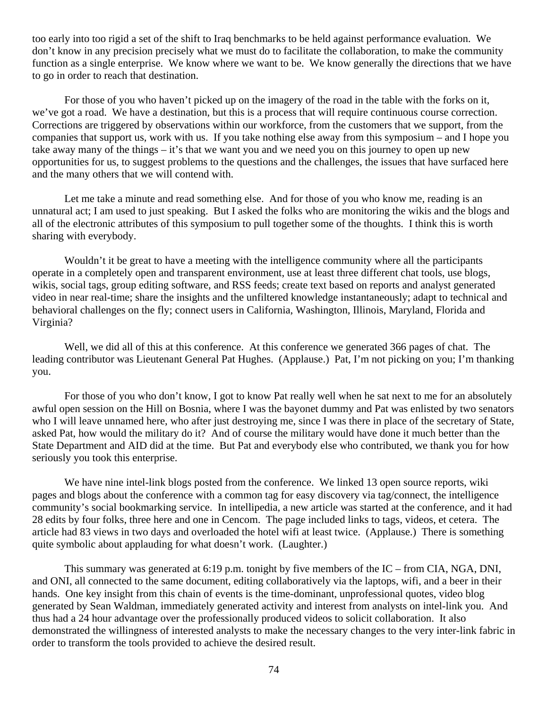too early into too rigid a set of the shift to Iraq benchmarks to be held against performance evaluation. We don't know in any precision precisely what we must do to facilitate the collaboration, to make the community function as a single enterprise. We know where we want to be. We know generally the directions that we have to go in order to reach that destination.

For those of you who haven't picked up on the imagery of the road in the table with the forks on it, we've got a road. We have a destination, but this is a process that will require continuous course correction. Corrections are triggered by observations within our workforce, from the customers that we support, from the companies that support us, work with us. If you take nothing else away from this symposium – and I hope you take away many of the things – it's that we want you and we need you on this journey to open up new opportunities for us, to suggest problems to the questions and the challenges, the issues that have surfaced here and the many others that we will contend with.

Let me take a minute and read something else. And for those of you who know me, reading is an unnatural act; I am used to just speaking. But I asked the folks who are monitoring the wikis and the blogs and all of the electronic attributes of this symposium to pull together some of the thoughts. I think this is worth sharing with everybody.

Wouldn't it be great to have a meeting with the intelligence community where all the participants operate in a completely open and transparent environment, use at least three different chat tools, use blogs, wikis, social tags, group editing software, and RSS feeds; create text based on reports and analyst generated video in near real-time; share the insights and the unfiltered knowledge instantaneously; adapt to technical and behavioral challenges on the fly; connect users in California, Washington, Illinois, Maryland, Florida and Virginia?

Well, we did all of this at this conference. At this conference we generated 366 pages of chat. The leading contributor was Lieutenant General Pat Hughes. (Applause.) Pat, I'm not picking on you; I'm thanking you.

For those of you who don't know, I got to know Pat really well when he sat next to me for an absolutely awful open session on the Hill on Bosnia, where I was the bayonet dummy and Pat was enlisted by two senators who I will leave unnamed here, who after just destroying me, since I was there in place of the secretary of State, asked Pat, how would the military do it? And of course the military would have done it much better than the State Department and AID did at the time. But Pat and everybody else who contributed, we thank you for how seriously you took this enterprise.

We have nine intel-link blogs posted from the conference. We linked 13 open source reports, wiki pages and blogs about the conference with a common tag for easy discovery via tag/connect, the intelligence community's social bookmarking service. In intellipedia, a new article was started at the conference, and it had 28 edits by four folks, three here and one in Cencom. The page included links to tags, videos, et cetera. The article had 83 views in two days and overloaded the hotel wifi at least twice. (Applause.) There is something quite symbolic about applauding for what doesn't work. (Laughter.)

This summary was generated at 6:19 p.m. tonight by five members of the IC – from CIA, NGA, DNI, and ONI, all connected to the same document, editing collaboratively via the laptops, wifi, and a beer in their hands. One key insight from this chain of events is the time-dominant, unprofessional quotes, video blog generated by Sean Waldman, immediately generated activity and interest from analysts on intel-link you. And thus had a 24 hour advantage over the professionally produced videos to solicit collaboration. It also demonstrated the willingness of interested analysts to make the necessary changes to the very inter-link fabric in order to transform the tools provided to achieve the desired result.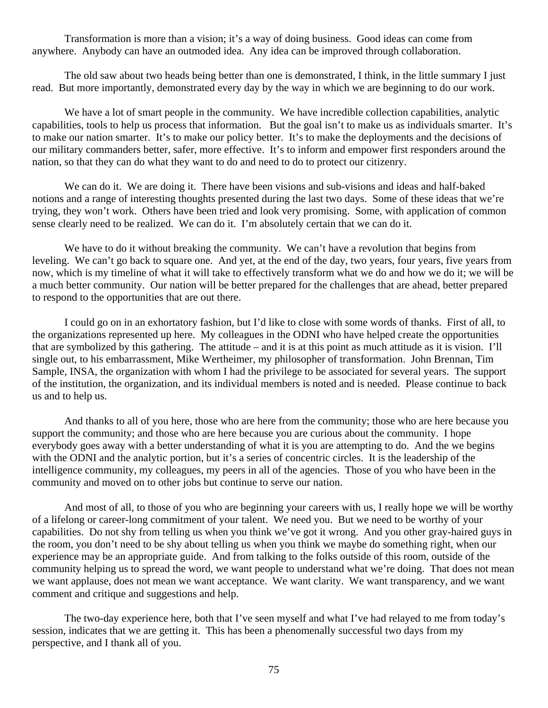Transformation is more than a vision; it's a way of doing business. Good ideas can come from anywhere. Anybody can have an outmoded idea. Any idea can be improved through collaboration.

The old saw about two heads being better than one is demonstrated, I think, in the little summary I just read. But more importantly, demonstrated every day by the way in which we are beginning to do our work.

We have a lot of smart people in the community. We have incredible collection capabilities, analytic capabilities, tools to help us process that information. But the goal isn't to make us as individuals smarter. It's to make our nation smarter. It's to make our policy better. It's to make the deployments and the decisions of our military commanders better, safer, more effective. It's to inform and empower first responders around the nation, so that they can do what they want to do and need to do to protect our citizenry.

We can do it. We are doing it. There have been visions and sub-visions and ideas and half-baked notions and a range of interesting thoughts presented during the last two days. Some of these ideas that we're trying, they won't work. Others have been tried and look very promising. Some, with application of common sense clearly need to be realized. We can do it. I'm absolutely certain that we can do it.

We have to do it without breaking the community. We can't have a revolution that begins from leveling. We can't go back to square one. And yet, at the end of the day, two years, four years, five years from now, which is my timeline of what it will take to effectively transform what we do and how we do it; we will be a much better community. Our nation will be better prepared for the challenges that are ahead, better prepared to respond to the opportunities that are out there.

I could go on in an exhortatory fashion, but I'd like to close with some words of thanks. First of all, to the organizations represented up here. My colleagues in the ODNI who have helped create the opportunities that are symbolized by this gathering. The attitude – and it is at this point as much attitude as it is vision. I'll single out, to his embarrassment, Mike Wertheimer, my philosopher of transformation. John Brennan, Tim Sample, INSA, the organization with whom I had the privilege to be associated for several years. The support of the institution, the organization, and its individual members is noted and is needed. Please continue to back us and to help us.

And thanks to all of you here, those who are here from the community; those who are here because you support the community; and those who are here because you are curious about the community. I hope everybody goes away with a better understanding of what it is you are attempting to do. And the we begins with the ODNI and the analytic portion, but it's a series of concentric circles. It is the leadership of the intelligence community, my colleagues, my peers in all of the agencies. Those of you who have been in the community and moved on to other jobs but continue to serve our nation.

And most of all, to those of you who are beginning your careers with us, I really hope we will be worthy of a lifelong or career-long commitment of your talent. We need you. But we need to be worthy of your capabilities. Do not shy from telling us when you think we've got it wrong. And you other gray-haired guys in the room, you don't need to be shy about telling us when you think we maybe do something right, when our experience may be an appropriate guide. And from talking to the folks outside of this room, outside of the community helping us to spread the word, we want people to understand what we're doing. That does not mean we want applause, does not mean we want acceptance. We want clarity. We want transparency, and we want comment and critique and suggestions and help.

The two-day experience here, both that I've seen myself and what I've had relayed to me from today's session, indicates that we are getting it. This has been a phenomenally successful two days from my perspective, and I thank all of you.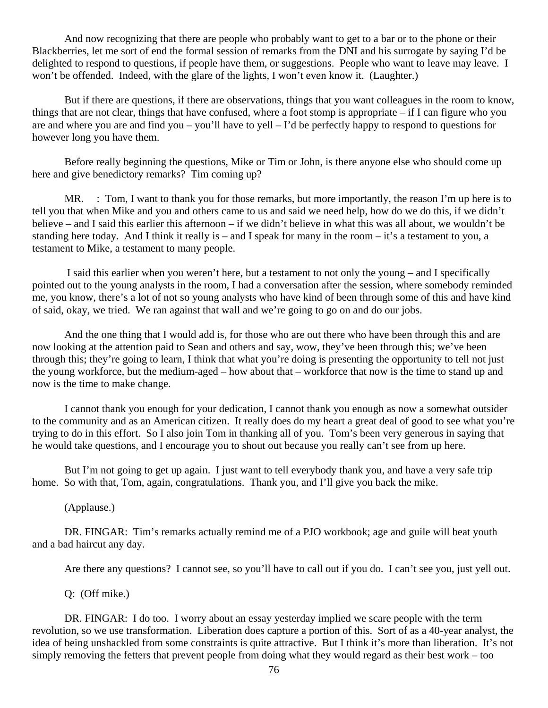And now recognizing that there are people who probably want to get to a bar or to the phone or their Blackberries, let me sort of end the formal session of remarks from the DNI and his surrogate by saying I'd be delighted to respond to questions, if people have them, or suggestions. People who want to leave may leave. I won't be offended. Indeed, with the glare of the lights, I won't even know it. (Laughter.)

But if there are questions, if there are observations, things that you want colleagues in the room to know, things that are not clear, things that have confused, where a foot stomp is appropriate – if I can figure who you are and where you are and find you – you'll have to yell – I'd be perfectly happy to respond to questions for however long you have them.

Before really beginning the questions, Mike or Tim or John, is there anyone else who should come up here and give benedictory remarks? Tim coming up?

MR. : Tom, I want to thank you for those remarks, but more importantly, the reason I'm up here is to tell you that when Mike and you and others came to us and said we need help, how do we do this, if we didn't believe – and I said this earlier this afternoon – if we didn't believe in what this was all about, we wouldn't be standing here today. And I think it really is – and I speak for many in the room – it's a testament to you, a testament to Mike, a testament to many people.

 I said this earlier when you weren't here, but a testament to not only the young – and I specifically pointed out to the young analysts in the room, I had a conversation after the session, where somebody reminded me, you know, there's a lot of not so young analysts who have kind of been through some of this and have kind of said, okay, we tried. We ran against that wall and we're going to go on and do our jobs.

And the one thing that I would add is, for those who are out there who have been through this and are now looking at the attention paid to Sean and others and say, wow, they've been through this; we've been through this; they're going to learn, I think that what you're doing is presenting the opportunity to tell not just the young workforce, but the medium-aged – how about that – workforce that now is the time to stand up and now is the time to make change.

I cannot thank you enough for your dedication, I cannot thank you enough as now a somewhat outsider to the community and as an American citizen. It really does do my heart a great deal of good to see what you're trying to do in this effort. So I also join Tom in thanking all of you. Tom's been very generous in saying that he would take questions, and I encourage you to shout out because you really can't see from up here.

But I'm not going to get up again. I just want to tell everybody thank you, and have a very safe trip home. So with that, Tom, again, congratulations. Thank you, and I'll give you back the mike.

(Applause.)

DR. FINGAR: Tim's remarks actually remind me of a PJO workbook; age and guile will beat youth and a bad haircut any day.

Are there any questions? I cannot see, so you'll have to call out if you do. I can't see you, just yell out.

Q: (Off mike.)

DR. FINGAR: I do too. I worry about an essay yesterday implied we scare people with the term revolution, so we use transformation. Liberation does capture a portion of this. Sort of as a 40-year analyst, the idea of being unshackled from some constraints is quite attractive. But I think it's more than liberation. It's not simply removing the fetters that prevent people from doing what they would regard as their best work – too